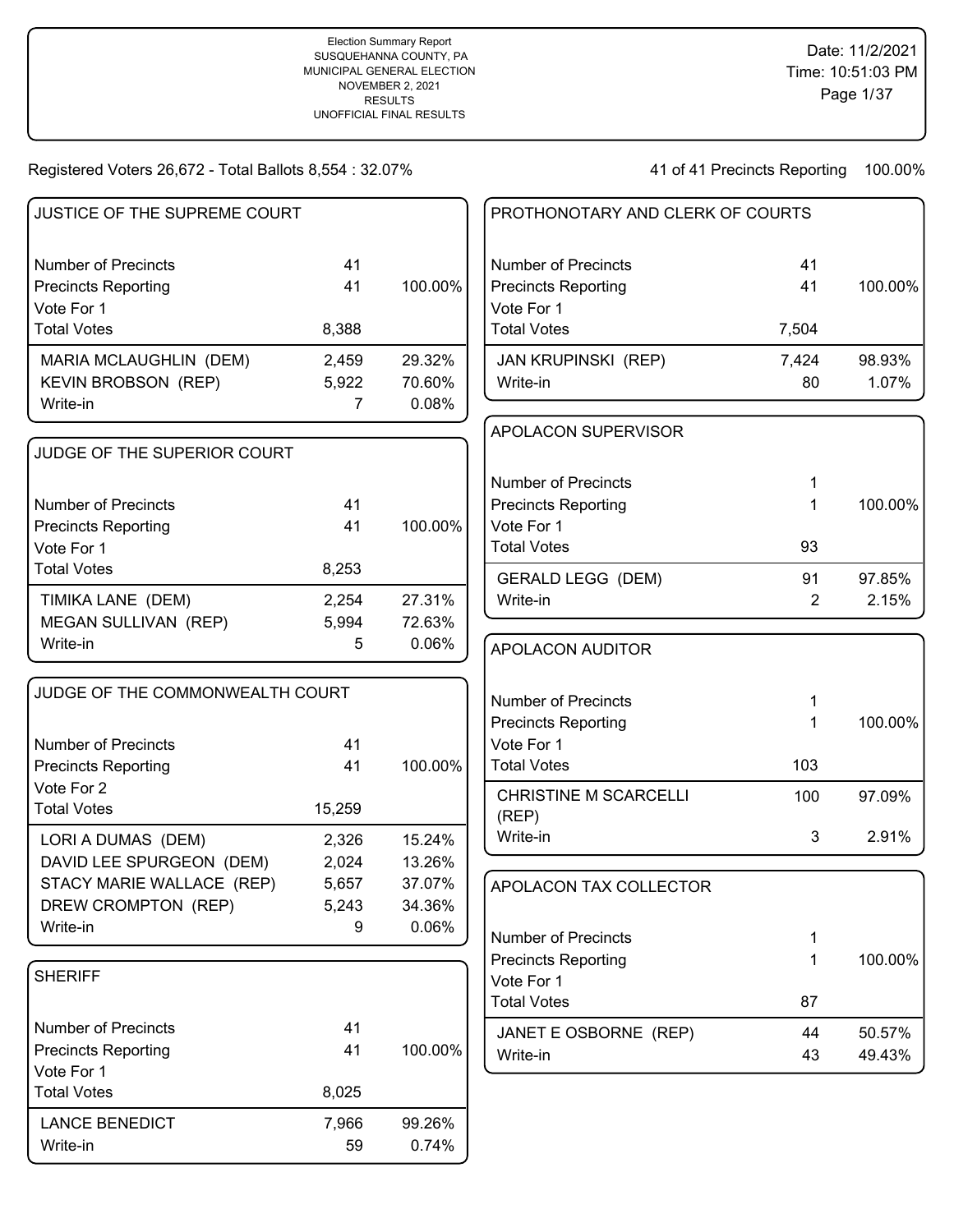| JUSTICE OF THE SUPREME COURT     |                         |                 | PROTHONOTARY AND CLERK OF COURTS |                |         |
|----------------------------------|-------------------------|-----------------|----------------------------------|----------------|---------|
| <b>Number of Precincts</b>       | 41                      |                 | <b>Number of Precincts</b>       | 41             |         |
| <b>Precincts Reporting</b>       | 41                      | 100.00%         | <b>Precincts Reporting</b>       | 41             | 100.00% |
| Vote For 1<br><b>Total Votes</b> | 8,388                   |                 | Vote For 1<br><b>Total Votes</b> | 7,504          |         |
|                                  |                         |                 |                                  |                |         |
| MARIA MCLAUGHLIN (DEM)           | 2,459                   | 29.32%          | <b>JAN KRUPINSKI (REP)</b>       | 7,424          | 98.93%  |
| KEVIN BROBSON (REP)<br>Write-in  | 5,922<br>$\overline{7}$ | 70.60%<br>0.08% | Write-in                         | 80             | 1.07%   |
|                                  |                         |                 |                                  |                |         |
| JUDGE OF THE SUPERIOR COURT      |                         |                 | <b>APOLACON SUPERVISOR</b>       |                |         |
|                                  |                         |                 | <b>Number of Precincts</b>       |                |         |
| Number of Precincts              | 41                      |                 | <b>Precincts Reporting</b>       |                | 100.00% |
| <b>Precincts Reporting</b>       | 41                      | 100.00%         | Vote For 1                       |                |         |
| Vote For 1                       |                         |                 | <b>Total Votes</b>               | 93             |         |
| <b>Total Votes</b>               | 8,253                   |                 | <b>GERALD LEGG (DEM)</b>         | 91             | 97.85%  |
| TIMIKA LANE (DEM)                | 2,254                   | 27.31%          | Write-in                         | $\overline{2}$ | 2.15%   |
| MEGAN SULLIVAN (REP)             | 5,994                   | 72.63%          |                                  |                |         |
| Write-in                         | 5                       | 0.06%           | <b>APOLACON AUDITOR</b>          |                |         |
| JUDGE OF THE COMMONWEALTH COURT  |                         |                 | <b>Number of Precincts</b>       | 1              |         |
|                                  |                         |                 | <b>Precincts Reporting</b>       | 1              | 100.00% |
| <b>Number of Precincts</b>       | 41                      |                 | Vote For 1                       |                |         |
| <b>Precincts Reporting</b>       | 41                      | 100.00%         | <b>Total Votes</b>               | 103            |         |
| Vote For 2                       |                         |                 | <b>CHRISTINE M SCARCELLI</b>     | 100            | 97.09%  |
| <b>Total Votes</b>               | 15,259                  |                 | (REP)                            |                |         |
| LORI A DUMAS (DEM)               | 2,326                   | 15.24%          | Write-in                         | 3              | 2.91%   |
| DAVID LEE SPURGEON (DEM)         | 2,024                   | 13.26%          |                                  |                |         |
| STACY MARIE WALLACE (REP)        | 5,657                   | 37.07%          | APOLACON TAX COLLECTOR           |                |         |
| DREW CROMPTON (REP)              | 5,243                   | 34.36%          |                                  |                |         |
| Write-in                         | 9                       | 0.06%           | <b>Number of Precincts</b>       | 1              |         |
|                                  |                         |                 | <b>Precincts Reporting</b>       | $\mathbf 1$    | 100.00% |
| <b>SHERIFF</b>                   |                         |                 | Vote For 1                       |                |         |
|                                  |                         |                 | <b>Total Votes</b>               | 87             |         |
| <b>Number of Precincts</b>       | 41                      |                 | JANET E OSBORNE (REP)            | 44             | 50.57%  |
| <b>Precincts Reporting</b>       | 41                      | 100.00%         | Write-in                         | 43             | 49.43%  |
| Vote For 1                       |                         |                 |                                  |                |         |
| <b>Total Votes</b>               | 8,025                   |                 |                                  |                |         |
| <b>LANCE BENEDICT</b>            | 7,966                   | 99.26%          |                                  |                |         |
| Write-in                         | 59                      | 0.74%           |                                  |                |         |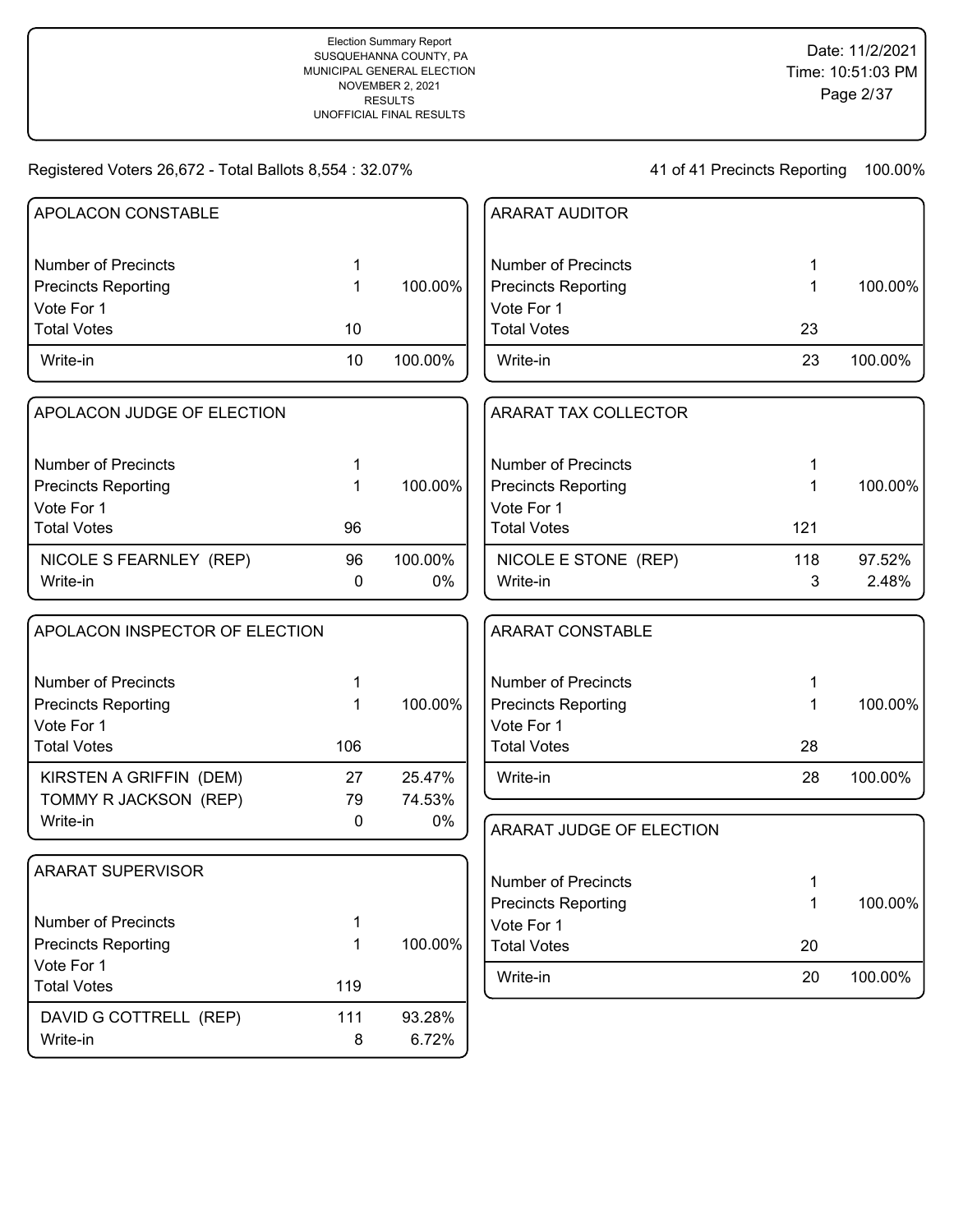Write-in 8 6.72%

| APOLACON CONSTABLE             |     |         | <b>ARARAT AUDITOR</b>      |     |         |
|--------------------------------|-----|---------|----------------------------|-----|---------|
|                                |     |         |                            |     |         |
| <b>Number of Precincts</b>     | 1   |         | <b>Number of Precincts</b> | 1   |         |
| <b>Precincts Reporting</b>     | 1   | 100.00% | <b>Precincts Reporting</b> | 1   | 100.00% |
| Vote For 1                     |     |         | Vote For 1                 |     |         |
| <b>Total Votes</b>             | 10  |         | <b>Total Votes</b>         | 23  |         |
| Write-in                       | 10  | 100.00% | Write-in                   | 23  | 100.00% |
| APOLACON JUDGE OF ELECTION     |     |         | ARARAT TAX COLLECTOR       |     |         |
| <b>Number of Precincts</b>     | 1   |         | <b>Number of Precincts</b> | 1   |         |
| <b>Precincts Reporting</b>     | 1   | 100.00% | <b>Precincts Reporting</b> | 1   | 100.00% |
| Vote For 1                     |     |         | Vote For 1                 |     |         |
| <b>Total Votes</b>             | 96  |         | <b>Total Votes</b>         | 121 |         |
| NICOLE S FEARNLEY (REP)        | 96  | 100.00% | NICOLE E STONE (REP)       | 118 | 97.52%  |
| Write-in                       | 0   | $0\%$   | Write-in                   | 3   | 2.48%   |
| APOLACON INSPECTOR OF ELECTION |     |         | <b>ARARAT CONSTABLE</b>    |     |         |
|                                |     |         |                            |     |         |
| <b>Number of Precincts</b>     |     |         | <b>Number of Precincts</b> |     |         |
| <b>Precincts Reporting</b>     | 1   | 100.00% | <b>Precincts Reporting</b> |     | 100.00% |
| Vote For 1                     |     |         | Vote For 1                 |     |         |
| <b>Total Votes</b>             | 106 |         | <b>Total Votes</b>         | 28  |         |
| KIRSTEN A GRIFFIN (DEM)        | 27  | 25.47%  | Write-in                   | 28  | 100.00% |
| TOMMY R JACKSON (REP)          | 79  | 74.53%  |                            |     |         |
| Write-in                       | 0   | $0\%$   | ARARAT JUDGE OF ELECTION   |     |         |
|                                |     |         |                            |     |         |
| <b>ARARAT SUPERVISOR</b>       |     |         | <b>Number of Precincts</b> |     |         |
|                                |     |         | <b>Precincts Reporting</b> | 1   | 100.00% |
| <b>Number of Precincts</b>     | 1   |         | Vote For 1                 |     |         |
| <b>Precincts Reporting</b>     | 1   | 100.00% | <b>Total Votes</b>         | 20  |         |
| Vote For 1                     |     |         |                            |     |         |
| <b>Total Votes</b>             | 119 |         | Write-in                   | 20  | 100.00% |
| DAVID G COTTRELL (REP)         | 111 | 93.28%  |                            |     |         |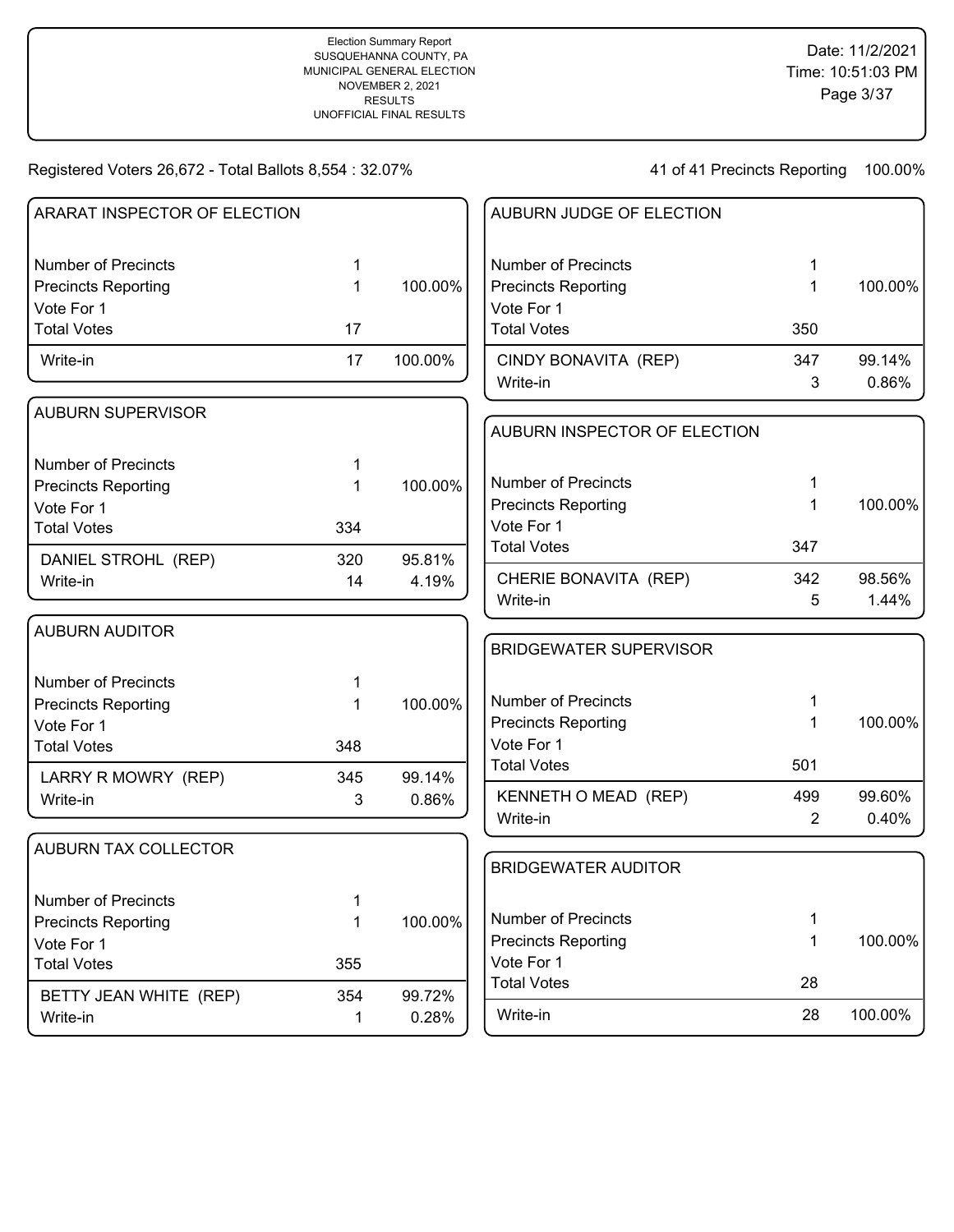| ARARAT INSPECTOR OF ELECTION |     |         | AUBURN JUDGE OF ELECTION                 |                |         |
|------------------------------|-----|---------|------------------------------------------|----------------|---------|
| <b>Number of Precincts</b>   | 1   |         | <b>Number of Precincts</b>               | 1              |         |
| <b>Precincts Reporting</b>   | 1   | 100.00% | <b>Precincts Reporting</b>               | 1              | 100.00% |
| Vote For 1                   |     |         | Vote For 1                               |                |         |
| <b>Total Votes</b>           | 17  |         | <b>Total Votes</b>                       | 350            |         |
| Write-in                     | 17  | 100.00% | CINDY BONAVITA (REP)                     | 347            | 99.14%  |
|                              |     |         | Write-in                                 | 3              | 0.86%   |
| <b>AUBURN SUPERVISOR</b>     |     |         | AUBURN INSPECTOR OF ELECTION             |                |         |
|                              |     |         |                                          |                |         |
| <b>Number of Precincts</b>   | 1   |         | <b>Number of Precincts</b>               |                |         |
| <b>Precincts Reporting</b>   | 1   | 100.00% |                                          | 1              |         |
| Vote For 1                   |     |         | <b>Precincts Reporting</b><br>Vote For 1 | 1              | 100.00% |
| <b>Total Votes</b>           | 334 |         | <b>Total Votes</b>                       | 347            |         |
| DANIEL STROHL (REP)          | 320 | 95.81%  |                                          |                |         |
| Write-in                     | 14  | 4.19%   | CHERIE BONAVITA (REP)                    | 342            | 98.56%  |
|                              |     |         | Write-in                                 | 5              | 1.44%   |
| <b>AUBURN AUDITOR</b>        |     |         |                                          |                |         |
|                              |     |         | <b>BRIDGEWATER SUPERVISOR</b>            |                |         |
| <b>Number of Precincts</b>   | 1   |         |                                          |                |         |
| <b>Precincts Reporting</b>   | 1   | 100.00% | <b>Number of Precincts</b>               | 1              |         |
| Vote For 1                   |     |         | <b>Precincts Reporting</b>               | 1              | 100.00% |
| <b>Total Votes</b>           | 348 |         | Vote For 1                               |                |         |
| LARRY R MOWRY (REP)          | 345 | 99.14%  | <b>Total Votes</b>                       | 501            |         |
| Write-in                     | 3   | 0.86%   | KENNETH O MEAD (REP)                     | 499            | 99.60%  |
|                              |     |         | Write-in                                 | $\overline{2}$ | 0.40%   |
| <b>AUBURN TAX COLLECTOR</b>  |     |         |                                          |                |         |
|                              |     |         | <b>BRIDGEWATER AUDITOR</b>               |                |         |
| Number of Precincts          | 1   |         |                                          |                |         |
| <b>Precincts Reporting</b>   | 1   | 100.00% | <b>Number of Precincts</b>               | 1              |         |
| Vote For 1                   |     |         | <b>Precincts Reporting</b>               | 1              | 100.00% |
| <b>Total Votes</b>           | 355 |         | Vote For 1                               |                |         |
| BETTY JEAN WHITE (REP)       | 354 | 99.72%  | <b>Total Votes</b>                       | 28             |         |
| Write-in                     | 1   | 0.28%   | Write-in                                 | 28             | 100.00% |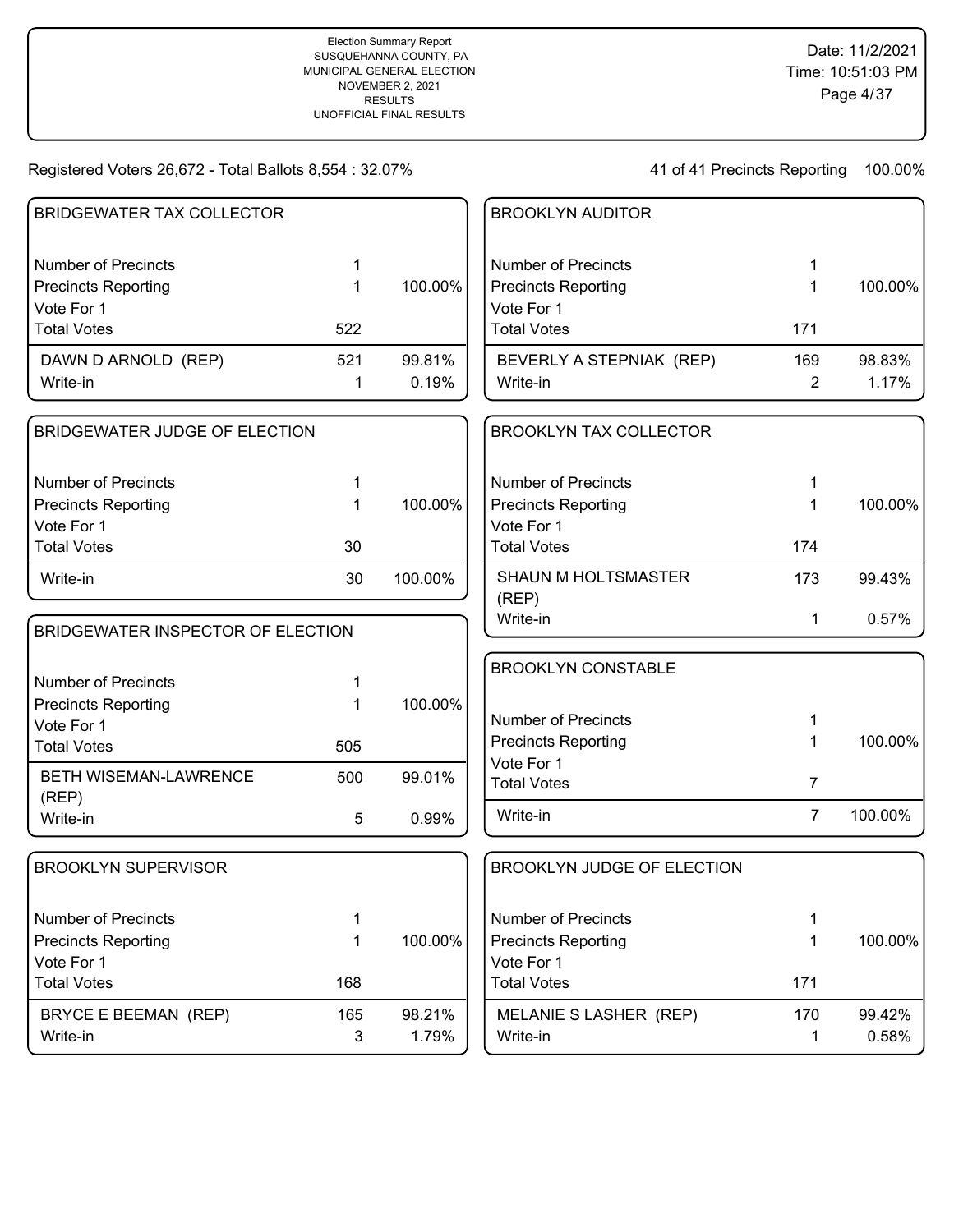| <b>BRIDGEWATER TAX COLLECTOR</b>  |              |         | <b>BROOKLYN AUDITOR</b>           |                |         |
|-----------------------------------|--------------|---------|-----------------------------------|----------------|---------|
| <b>Number of Precincts</b>        | 1            |         | <b>Number of Precincts</b>        | 1              |         |
| <b>Precincts Reporting</b>        | 1            | 100.00% | <b>Precincts Reporting</b>        | 1              | 100.00% |
| Vote For 1                        |              |         | Vote For 1                        |                |         |
| <b>Total Votes</b>                | 522          |         | <b>Total Votes</b>                | 171            |         |
| DAWN D ARNOLD (REP)               | 521          | 99.81%  | BEVERLY A STEPNIAK (REP)          | 169            | 98.83%  |
| Write-in                          | 1            | 0.19%   | Write-in                          | 2              | 1.17%   |
| BRIDGEWATER JUDGE OF ELECTION     |              |         | <b>BROOKLYN TAX COLLECTOR</b>     |                |         |
| <b>Number of Precincts</b>        | 1            |         | <b>Number of Precincts</b>        | 1              |         |
| <b>Precincts Reporting</b>        | 1            | 100.00% | <b>Precincts Reporting</b>        | 1              | 100.00% |
| Vote For 1                        |              |         | Vote For 1                        |                |         |
| <b>Total Votes</b>                | 30           |         | <b>Total Votes</b>                | 174            |         |
| Write-in                          | 30           | 100.00% | SHAUN M HOLTSMASTER<br>(REP)      | 173            | 99.43%  |
| BRIDGEWATER INSPECTOR OF ELECTION |              |         | Write-in                          | 1              | 0.57%   |
|                                   |              |         | <b>BROOKLYN CONSTABLE</b>         |                |         |
| <b>Number of Precincts</b>        | 1            |         |                                   |                |         |
| <b>Precincts Reporting</b>        | 1            | 100.00% | <b>Number of Precincts</b>        | 1              |         |
| Vote For 1<br><b>Total Votes</b>  | 505          |         | <b>Precincts Reporting</b>        | 1              | 100.00% |
|                                   |              |         | Vote For 1                        |                |         |
| BETH WISEMAN-LAWRENCE             | 500          | 99.01%  | <b>Total Votes</b>                | $\overline{7}$ |         |
| (REP)<br>Write-in                 | 5            | 0.99%   | Write-in                          | $\overline{7}$ | 100.00% |
| <b>BROOKLYN SUPERVISOR</b>        |              |         | <b>BROOKLYN JUDGE OF ELECTION</b> |                |         |
| <b>Number of Precincts</b>        | 1            |         | <b>Number of Precincts</b>        | 1              |         |
| <b>Precincts Reporting</b>        | 1            | 100.00% | <b>Precincts Reporting</b>        | 1              | 100.00% |
| Vote For 1                        |              |         | Vote For 1                        |                |         |
| <b>Total Votes</b>                | 168          |         | <b>Total Votes</b>                | 171            |         |
| BRYCE E BEEMAN (REP)              | 165          | 98.21%  | MELANIE S LASHER (REP)            | 170            | 99.42%  |
| Write-in                          | $\mathbf{3}$ | 1.79%   | Write-in                          | 1              | 0.58%   |
|                                   |              |         |                                   |                |         |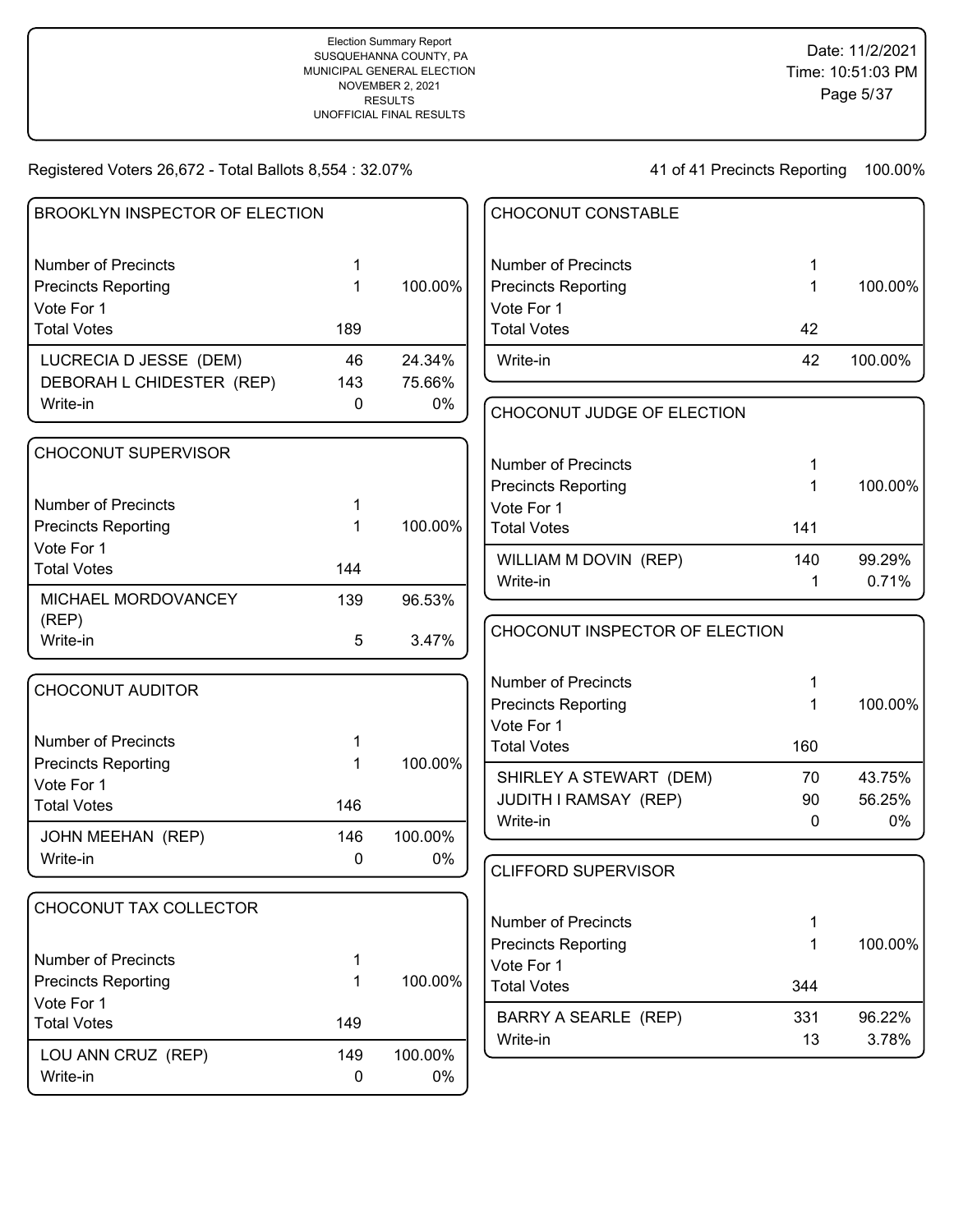| BROOKLYN INSPECTOR OF ELECTION   |           |         | CHOCONUT CONSTABLE               |     |         |
|----------------------------------|-----------|---------|----------------------------------|-----|---------|
| <b>Number of Precincts</b>       | 1         |         | <b>Number of Precincts</b>       | 1   |         |
| <b>Precincts Reporting</b>       | 1         | 100.00% | <b>Precincts Reporting</b>       | 1   | 100.00% |
| Vote For 1                       |           |         | Vote For 1                       |     |         |
| <b>Total Votes</b>               | 189       |         | <b>Total Votes</b>               | 42  |         |
| LUCRECIA D JESSE (DEM)           | 46        | 24.34%  | Write-in                         | 42  | 100.00% |
| DEBORAH L CHIDESTER (REP)        | 143       | 75.66%  |                                  |     |         |
| Write-in                         | 0         | 0%      | CHOCONUT JUDGE OF ELECTION       |     |         |
| CHOCONUT SUPERVISOR              |           |         |                                  |     |         |
|                                  |           |         | <b>Number of Precincts</b>       |     |         |
| <b>Number of Precincts</b>       |           |         | <b>Precincts Reporting</b>       | 1   | 100.00% |
| <b>Precincts Reporting</b>       | 1         | 100.00% | Vote For 1<br><b>Total Votes</b> | 141 |         |
| Vote For 1                       |           |         |                                  |     |         |
| <b>Total Votes</b>               | 144       |         | WILLIAM M DOVIN (REP)            | 140 | 99.29%  |
|                                  |           |         | Write-in                         | 1   | 0.71%   |
| MICHAEL MORDOVANCEY              | 139       | 96.53%  |                                  |     |         |
| (REP)<br>Write-in                | 5         | 3.47%   | CHOCONUT INSPECTOR OF ELECTION   |     |         |
|                                  |           |         | Number of Precincts              | 1   |         |
| <b>CHOCONUT AUDITOR</b>          |           |         | <b>Precincts Reporting</b>       | 1   | 100.00% |
|                                  |           |         | Vote For 1                       |     |         |
| <b>Number of Precincts</b>       |           |         | <b>Total Votes</b>               | 160 |         |
| <b>Precincts Reporting</b>       | 1         | 100.00% | SHIRLEY A STEWART (DEM)          | 70  | 43.75%  |
| Vote For 1                       |           |         | JUDITH I RAMSAY (REP)            | 90  | 56.25%  |
| <b>Total Votes</b>               | 146       |         | Write-in                         | 0   | 0%      |
| JOHN MEEHAN (REP)                | 146       | 100.00% |                                  |     |         |
| Write-in                         | 0         | 0%      | <b>CLIFFORD SUPERVISOR</b>       |     |         |
| CHOCONUT TAX COLLECTOR           |           |         |                                  |     |         |
|                                  |           |         | <b>Number of Precincts</b>       |     |         |
|                                  |           |         | <b>Precincts Reporting</b>       | 1   | 100.00% |
| <b>Number of Precincts</b>       | 1         |         | Vote For 1                       |     |         |
| <b>Precincts Reporting</b>       | 1         | 100.00% | <b>Total Votes</b>               | 344 |         |
| Vote For 1<br><b>Total Votes</b> |           |         | <b>BARRY A SEARLE (REP)</b>      | 331 | 96.22%  |
|                                  | 149       |         | Write-in                         | 13  | 3.78%   |
| LOU ANN CRUZ (REP)               | 149       | 100.00% |                                  |     |         |
| Write-in                         | $\pmb{0}$ | $0\%$   |                                  |     |         |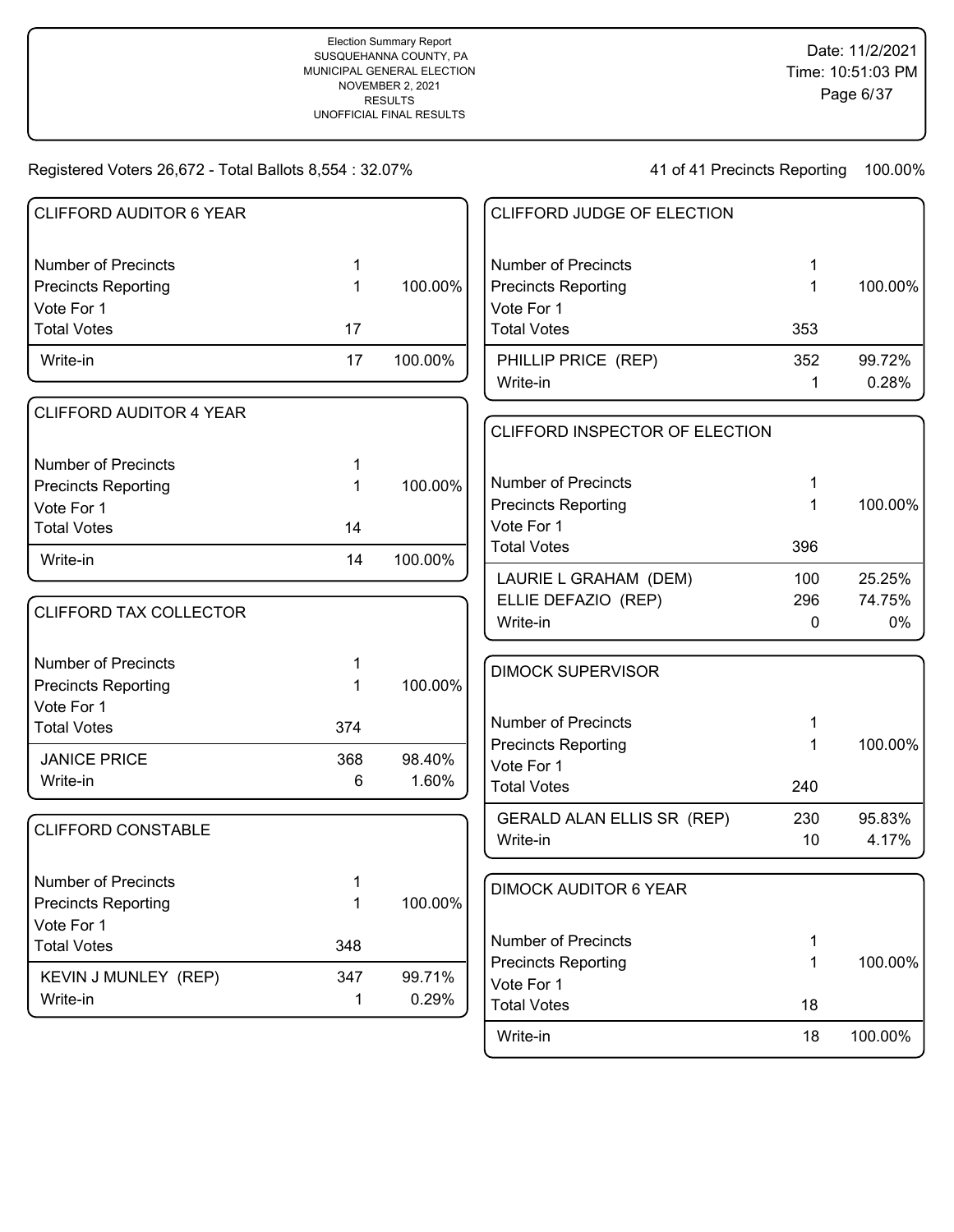| <b>CLIFFORD AUDITOR 6 YEAR</b> |     |         | CLIFFORD JUDGE OF ELECTION       |     |         |
|--------------------------------|-----|---------|----------------------------------|-----|---------|
| <b>Number of Precincts</b>     | 1   |         | <b>Number of Precincts</b>       | 1   |         |
| <b>Precincts Reporting</b>     | 1   | 100.00% | <b>Precincts Reporting</b>       | 1   | 100.00% |
| Vote For 1                     |     |         | Vote For 1                       |     |         |
| <b>Total Votes</b>             | 17  |         | <b>Total Votes</b>               | 353 |         |
| Write-in                       | 17  | 100.00% | PHILLIP PRICE (REP)              | 352 | 99.72%  |
|                                |     |         | Write-in                         | 1   | 0.28%   |
| <b>CLIFFORD AUDITOR 4 YEAR</b> |     |         |                                  |     |         |
|                                |     |         | CLIFFORD INSPECTOR OF ELECTION   |     |         |
| <b>Number of Precincts</b>     | 1   |         |                                  |     |         |
| <b>Precincts Reporting</b>     | 1   | 100.00% | <b>Number of Precincts</b>       | 1   |         |
| Vote For 1                     |     |         | <b>Precincts Reporting</b>       | 1   | 100.00% |
| <b>Total Votes</b>             | 14  |         | Vote For 1                       |     |         |
| Write-in                       | 14  | 100.00% | <b>Total Votes</b>               | 396 |         |
|                                |     |         | LAURIE L GRAHAM (DEM)            | 100 | 25.25%  |
|                                |     |         | ELLIE DEFAZIO (REP)              | 296 | 74.75%  |
| CLIFFORD TAX COLLECTOR         |     |         | Write-in                         | 0   | 0%      |
| <b>Number of Precincts</b>     | 1   |         | <b>DIMOCK SUPERVISOR</b>         |     |         |
| <b>Precincts Reporting</b>     | 1   | 100.00% |                                  |     |         |
| Vote For 1                     |     |         |                                  |     |         |
| <b>Total Votes</b>             | 374 |         | <b>Number of Precincts</b>       | 1   |         |
| <b>JANICE PRICE</b>            | 368 | 98.40%  | <b>Precincts Reporting</b>       | 1   | 100.00% |
| Write-in                       | 6   | 1.60%   | Vote For 1<br><b>Total Votes</b> | 240 |         |
|                                |     |         |                                  |     |         |
| <b>CLIFFORD CONSTABLE</b>      |     |         | GERALD ALAN ELLIS SR (REP)       | 230 | 95.83%  |
|                                |     |         | Write-in                         | 10  | 4.17%   |
| <b>Number of Precincts</b>     | 1   |         |                                  |     |         |
| <b>Precincts Reporting</b>     | 1   | 100.00% | <b>DIMOCK AUDITOR 6 YEAR</b>     |     |         |
| Vote For 1                     |     |         |                                  |     |         |
| <b>Total Votes</b>             | 348 |         | <b>Number of Precincts</b>       | 1   |         |
| KEVIN J MUNLEY (REP)           | 347 | 99.71%  | <b>Precincts Reporting</b>       | 1   | 100.00% |
| Write-in                       | 1   | 0.29%   | Vote For 1                       |     |         |
|                                |     |         | <b>Total Votes</b>               | 18  |         |
|                                |     |         | Write-in                         | 18  | 100.00% |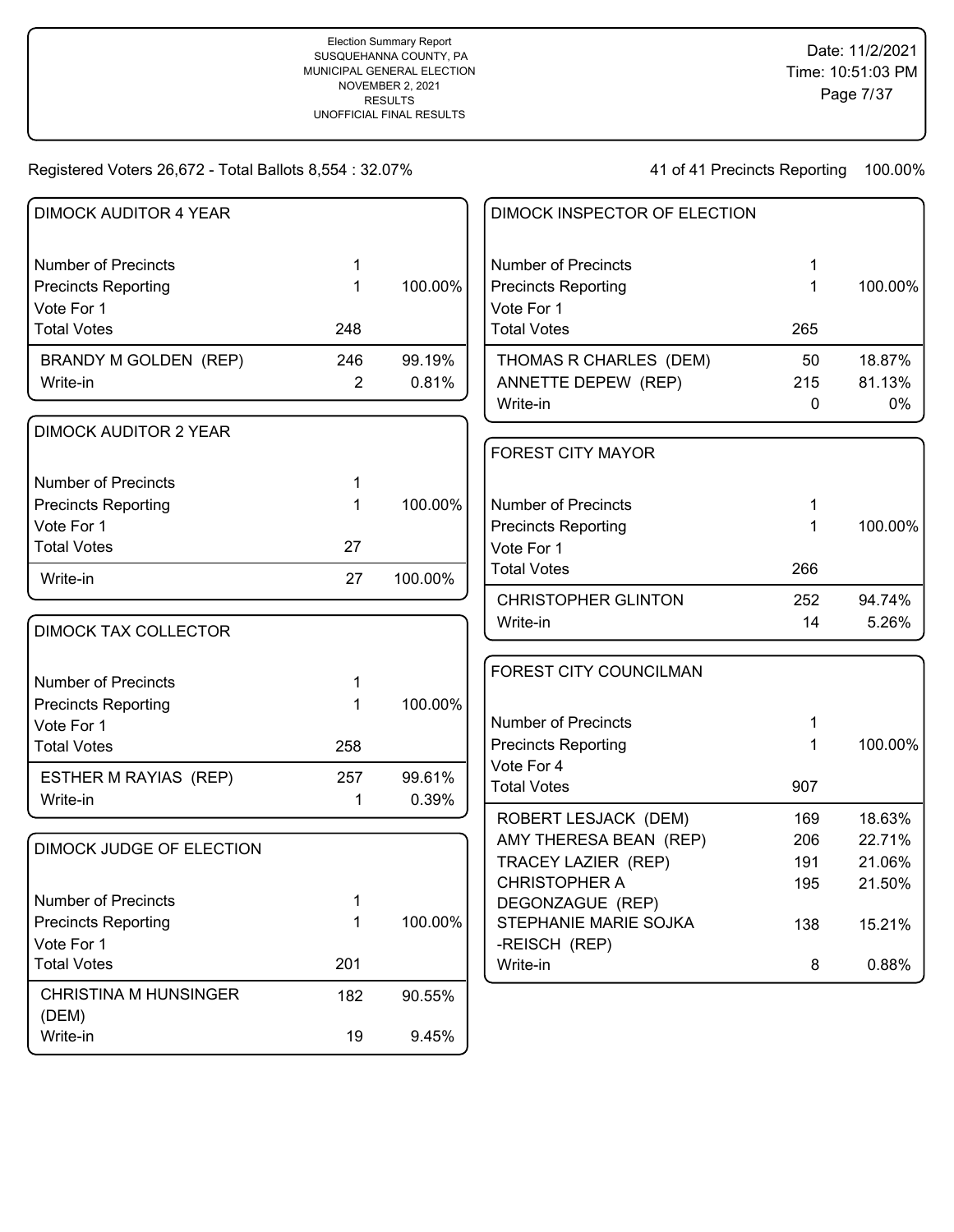| <b>DIMOCK AUDITOR 4 YEAR</b> |                |         | DIMOCK INSPECTOR OF ELECTION              |     |         |
|------------------------------|----------------|---------|-------------------------------------------|-----|---------|
| <b>Number of Precincts</b>   | 1              |         | <b>Number of Precincts</b>                | 1   |         |
| <b>Precincts Reporting</b>   | 1              | 100.00% | <b>Precincts Reporting</b>                | 1   | 100.00% |
| Vote For 1                   |                |         | Vote For 1                                |     |         |
| <b>Total Votes</b>           | 248            |         | <b>Total Votes</b>                        | 265 |         |
| BRANDY M GOLDEN (REP)        | 246            | 99.19%  | THOMAS R CHARLES (DEM)                    | 50  | 18.87%  |
| Write-in                     | $\overline{2}$ | 0.81%   | ANNETTE DEPEW (REP)                       | 215 | 81.13%  |
|                              |                |         | Write-in                                  | 0   | $0\%$   |
| <b>DIMOCK AUDITOR 2 YEAR</b> |                |         |                                           |     |         |
|                              |                |         | <b>FOREST CITY MAYOR</b>                  |     |         |
| <b>Number of Precincts</b>   | 1              |         |                                           |     |         |
| <b>Precincts Reporting</b>   | 1              | 100.00% | <b>Number of Precincts</b>                | 1   |         |
| Vote For 1                   |                |         | <b>Precincts Reporting</b>                | 1   | 100.00% |
| <b>Total Votes</b>           | 27             |         | Vote For 1                                |     |         |
| Write-in                     | 27             | 100.00% | <b>Total Votes</b>                        | 266 |         |
|                              |                |         | <b>CHRISTOPHER GLINTON</b>                | 252 | 94.74%  |
|                              |                |         | Write-in                                  | 14  | 5.26%   |
| <b>DIMOCK TAX COLLECTOR</b>  |                |         |                                           |     |         |
|                              |                |         | FOREST CITY COUNCILMAN                    |     |         |
| <b>Number of Precincts</b>   | 1              |         |                                           |     |         |
| <b>Precincts Reporting</b>   | 1              | 100.00% |                                           |     |         |
| Vote For 1                   |                |         | <b>Number of Precincts</b>                | 1   |         |
| <b>Total Votes</b>           | 258            |         | <b>Precincts Reporting</b><br>Vote For 4  | 1   | 100.00% |
| ESTHER M RAYIAS (REP)        | 257            | 99.61%  | <b>Total Votes</b>                        | 907 |         |
| Write-in                     | 1              | 0.39%   |                                           |     |         |
|                              |                |         | ROBERT LESJACK (DEM)                      | 169 | 18.63%  |
| DIMOCK JUDGE OF ELECTION     |                |         | AMY THERESA BEAN (REP)                    | 206 | 22.71%  |
|                              |                |         | <b>TRACEY LAZIER (REP)</b>                | 191 | 21.06%  |
| <b>Number of Precincts</b>   |                |         | <b>CHRISTOPHER A</b>                      | 195 | 21.50%  |
| <b>Precincts Reporting</b>   | 1<br>1         | 100.00% | DEGONZAGUE (REP)<br>STEPHANIE MARIE SOJKA |     |         |
| Vote For 1                   |                |         | -REISCH (REP)                             | 138 | 15.21%  |
| <b>Total Votes</b>           | 201            |         | Write-in                                  | 8   | 0.88%   |
|                              |                |         |                                           |     |         |
| <b>CHRISTINA M HUNSINGER</b> | 182            | 90.55%  |                                           |     |         |
| (DEM)                        |                | 9.45%   |                                           |     |         |
| Write-in                     | 19             |         |                                           |     |         |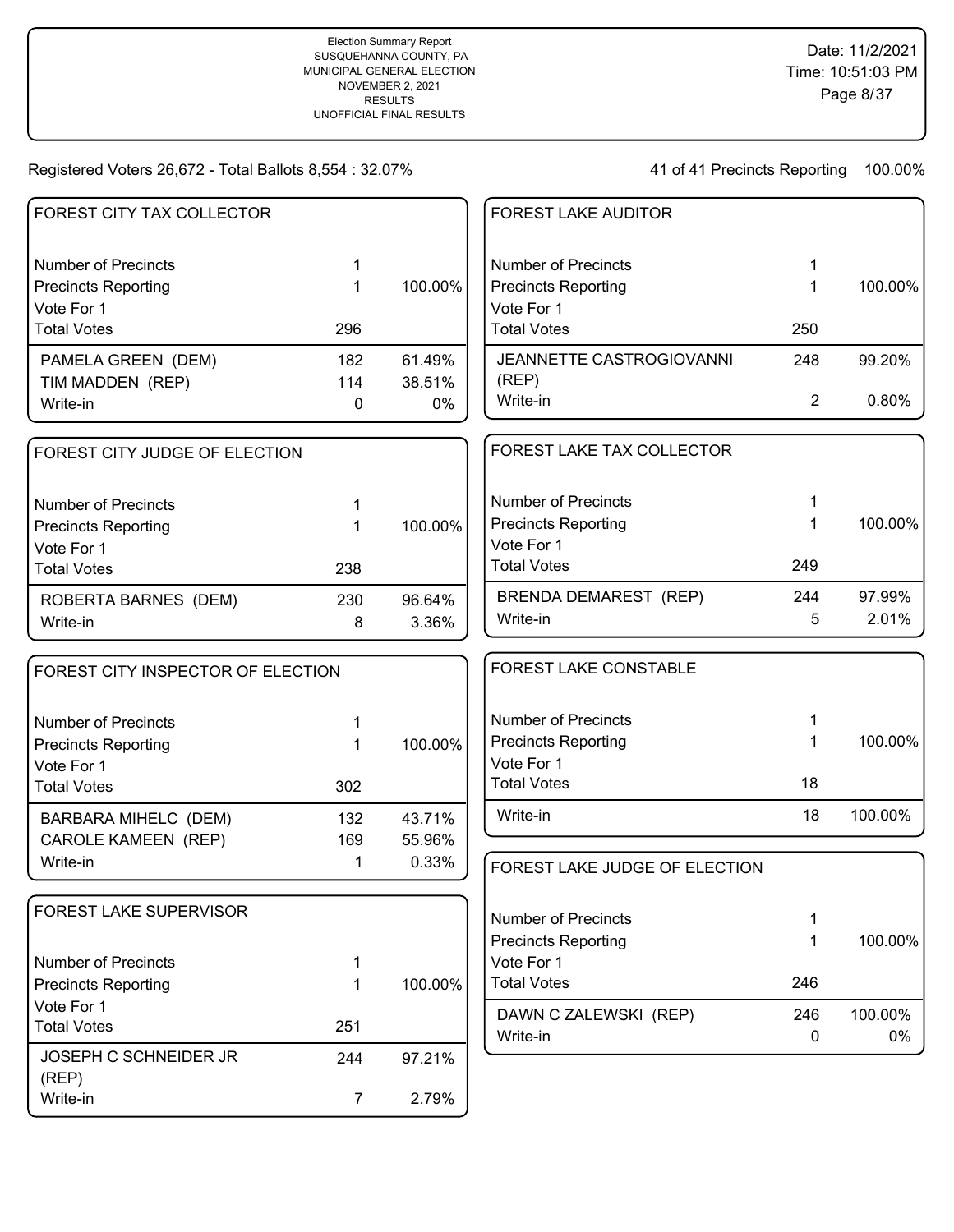| <b>FOREST CITY TAX COLLECTOR</b>  |                |         | <b>FOREST LAKE AUDITOR</b>        |                |         |
|-----------------------------------|----------------|---------|-----------------------------------|----------------|---------|
| <b>Number of Precincts</b>        | 1              |         | <b>Number of Precincts</b>        | 1              |         |
| <b>Precincts Reporting</b>        | 1              | 100.00% | <b>Precincts Reporting</b>        | 1              | 100.00% |
| Vote For 1                        |                |         | Vote For 1                        |                |         |
| <b>Total Votes</b>                | 296            |         | <b>Total Votes</b>                | 250            |         |
| PAMELA GREEN (DEM)                | 182            | 61.49%  | JEANNETTE CASTROGIOVANNI          | 248            | 99.20%  |
| TIM MADDEN (REP)                  | 114            | 38.51%  | (REP)<br>Write-in                 | $\overline{2}$ | 0.80%   |
| Write-in                          | 0              | 0%      |                                   |                |         |
| FOREST CITY JUDGE OF ELECTION     |                |         | FOREST LAKE TAX COLLECTOR         |                |         |
| <b>Number of Precincts</b>        | 1              |         | <b>Number of Precincts</b>        |                |         |
| <b>Precincts Reporting</b>        | $\mathbf 1$    | 100.00% | <b>Precincts Reporting</b>        | 1              | 100.00% |
| Vote For 1                        |                |         | Vote For 1                        |                |         |
| <b>Total Votes</b>                | 238            |         | <b>Total Votes</b>                | 249            |         |
| ROBERTA BARNES (DEM)              | 230            | 96.64%  | <b>BRENDA DEMAREST (REP)</b>      | 244            | 97.99%  |
| Write-in                          | 8              | 3.36%   | Write-in                          | 5              | 2.01%   |
| FOREST CITY INSPECTOR OF ELECTION |                |         | FOREST LAKE CONSTABLE             |                |         |
| <b>Number of Precincts</b>        | 1              |         | <b>Number of Precincts</b>        | 1              |         |
| <b>Precincts Reporting</b>        | 1              | 100.00% | <b>Precincts Reporting</b>        | 1              | 100.00% |
| Vote For 1                        |                |         | Vote For 1                        |                |         |
| <b>Total Votes</b>                | 302            |         | <b>Total Votes</b>                | 18             |         |
| <b>BARBARA MIHELC (DEM)</b>       | 132            | 43.71%  | Write-in                          | 18             | 100.00% |
| <b>CAROLE KAMEEN (REP)</b>        | 169            | 55.96%  |                                   |                |         |
| Write-in                          | 1              | 0.33%   | FOREST LAKE JUDGE OF ELECTION     |                |         |
| FOREST LAKE SUPERVISOR            |                |         | <b>Number of Precincts</b>        | 1              |         |
|                                   |                |         | <b>Precincts Reporting</b>        | 1              | 100.00% |
| <b>Number of Precincts</b>        | 1              |         | Vote For 1                        |                |         |
| <b>Precincts Reporting</b>        | 1              | 100.00% | <b>Total Votes</b>                | 246            |         |
| Vote For 1                        |                |         |                                   | 246            | 100.00% |
| <b>Total Votes</b>                | 251            |         | DAWN C ZALEWSKI (REP)<br>Write-in | 0              | 0%      |
| JOSEPH C SCHNEIDER JR<br>(REP)    | 244            | 97.21%  |                                   |                |         |
| Write-in                          | $\overline{7}$ | 2.79%   |                                   |                |         |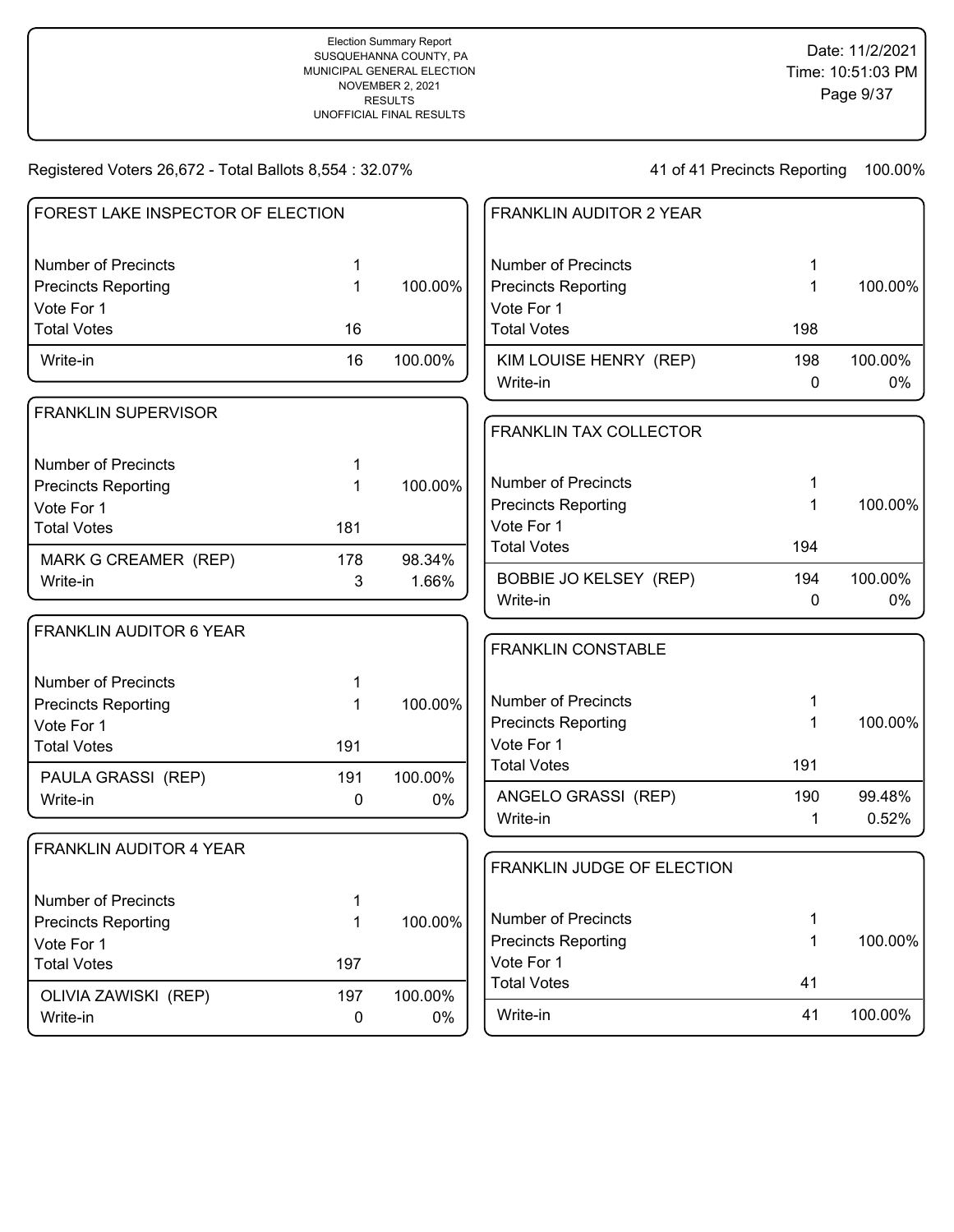| FOREST LAKE INSPECTOR OF ELECTION |     |         | <b>FRANKLIN AUDITOR 2 YEAR</b>     |          |               |
|-----------------------------------|-----|---------|------------------------------------|----------|---------------|
| <b>Number of Precincts</b>        | 1   |         | <b>Number of Precincts</b>         |          |               |
| <b>Precincts Reporting</b>        | 1   | 100.00% | <b>Precincts Reporting</b>         | 1        | 100.00%       |
| Vote For 1                        |     |         | Vote For 1                         |          |               |
| <b>Total Votes</b>                | 16  |         | <b>Total Votes</b>                 | 198      |               |
| Write-in                          | 16  | 100.00% | KIM LOUISE HENRY (REP)<br>Write-in | 198<br>0 | 100.00%<br>0% |
| <b>FRANKLIN SUPERVISOR</b>        |     |         |                                    |          |               |
|                                   |     |         | FRANKLIN TAX COLLECTOR             |          |               |
| <b>Number of Precincts</b>        |     |         |                                    |          |               |
| <b>Precincts Reporting</b>        |     | 100.00% | <b>Number of Precincts</b>         |          |               |
| Vote For 1                        |     |         | <b>Precincts Reporting</b>         |          | 100.00%       |
| <b>Total Votes</b>                | 181 |         | Vote For 1                         |          |               |
| MARK G CREAMER (REP)              | 178 | 98.34%  | <b>Total Votes</b>                 | 194      |               |
| Write-in                          | 3   | 1.66%   | <b>BOBBIE JO KELSEY (REP)</b>      | 194      | 100.00%       |
|                                   |     |         | Write-in                           | 0        | 0%            |
| <b>FRANKLIN AUDITOR 6 YEAR</b>    |     |         |                                    |          |               |
|                                   |     |         | <b>FRANKLIN CONSTABLE</b>          |          |               |
| <b>Number of Precincts</b>        | 1   |         |                                    |          |               |
| <b>Precincts Reporting</b>        |     | 100.00% | <b>Number of Precincts</b>         |          |               |
| Vote For 1                        |     |         | <b>Precincts Reporting</b>         | 1        | 100.00%       |
| <b>Total Votes</b>                | 191 |         | Vote For 1                         |          |               |
| PAULA GRASSI (REP)                | 191 | 100.00% | <b>Total Votes</b>                 | 191      |               |
| Write-in                          | 0   | 0%      | ANGELO GRASSI (REP)                | 190      | 99.48%        |
|                                   |     |         | Write-in                           | 1        | 0.52%         |
| <b>FRANKLIN AUDITOR 4 YEAR</b>    |     |         |                                    |          |               |
|                                   |     |         | FRANKLIN JUDGE OF ELECTION         |          |               |
| Number of Precincts               | 1   |         |                                    |          |               |
| <b>Precincts Reporting</b>        | 1   | 100.00% | <b>Number of Precincts</b>         | 1        |               |
| Vote For 1                        |     |         | <b>Precincts Reporting</b>         | 1        | 100.00%       |
| <b>Total Votes</b>                | 197 |         | Vote For 1                         |          |               |
| OLIVIA ZAWISKI (REP)              | 197 | 100.00% | <b>Total Votes</b>                 | 41       |               |
| Write-in                          | 0   | 0%      | Write-in                           | 41       | 100.00%       |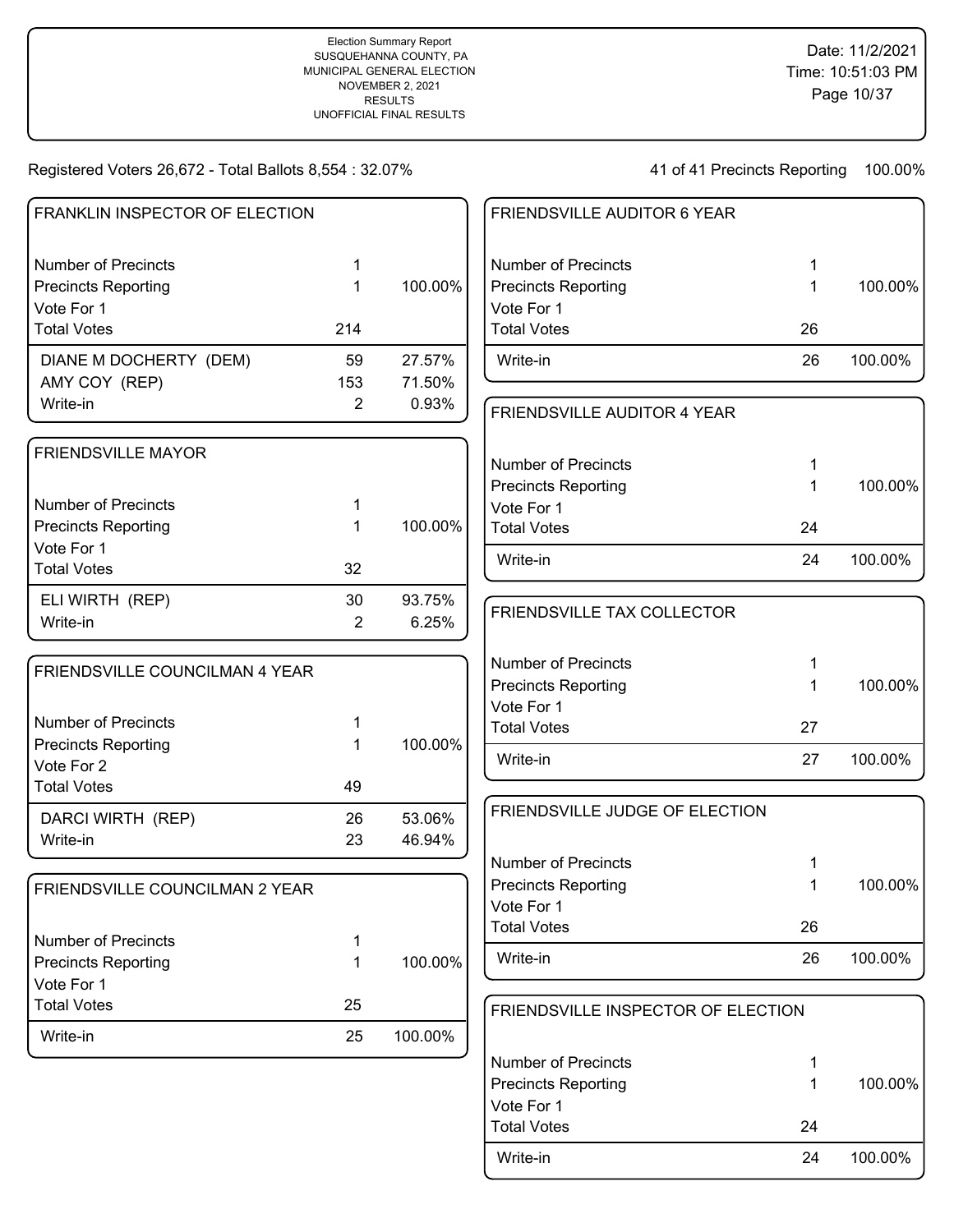100.00%

100.00%

100.00%

100.00%

100.00%

#### Registered Voters 26,672 - Total Ballots 8,554 : 32.07%

41 of 41 Precincts Reporting 100.00%

| FRANKLIN INSPECTOR OF ELECTION           |                |         | FRIENDSVILLE AUDITOR 6 YEAR        |             |         |
|------------------------------------------|----------------|---------|------------------------------------|-------------|---------|
| <b>Number of Precincts</b>               | 1              |         | <b>Number of Precincts</b>         | 1           |         |
| <b>Precincts Reporting</b>               | 1              | 100.00% | <b>Precincts Reporting</b>         | $\mathbf 1$ | 100.00% |
| Vote For 1                               |                |         | Vote For 1                         |             |         |
| <b>Total Votes</b>                       | 214            |         | <b>Total Votes</b>                 | 26          |         |
| DIANE M DOCHERTY (DEM)                   | 59             | 27.57%  | Write-in                           | 26          | 100.00% |
| AMY COY (REP)                            | 153            | 71.50%  |                                    |             |         |
| Write-in                                 | $\overline{2}$ | 0.93%   | FRIENDSVILLE AUDITOR 4 YEAR        |             |         |
| <b>FRIENDSVILLE MAYOR</b>                |                |         |                                    |             |         |
|                                          |                |         | <b>Number of Precincts</b>         | 1           |         |
| <b>Number of Precincts</b>               |                |         | <b>Precincts Reporting</b>         | 1           | 100.00% |
| <b>Precincts Reporting</b>               | 1              | 100.00% | Vote For 1<br><b>Total Votes</b>   | 24          |         |
| Vote For 1                               |                |         |                                    |             |         |
| <b>Total Votes</b>                       | 32             |         | Write-in                           | 24          | 100.00% |
| ELI WIRTH (REP)                          | 30             | 93.75%  | FRIENDSVILLE TAX COLLECTOR         |             |         |
| Write-in                                 | $\overline{2}$ | 6.25%   |                                    |             |         |
| FRIENDSVILLE COUNCILMAN 4 YEAR           |                |         | <b>Number of Precincts</b>         | 1           |         |
|                                          |                |         | <b>Precincts Reporting</b>         | 1           | 100.00% |
|                                          |                |         | Vote For 1                         |             |         |
| <b>Number of Precincts</b>               |                |         | <b>Total Votes</b>                 | 27          |         |
| <b>Precincts Reporting</b><br>Vote For 2 |                | 100.00% | Write-in                           | 27          | 100.00% |
| <b>Total Votes</b>                       | 49             |         |                                    |             |         |
| DARCI WIRTH (REP)                        | 26             | 53.06%  | FRIENDSVILLE JUDGE OF ELECTION     |             |         |
| Write-in                                 | 23             | 46.94%  |                                    |             |         |
|                                          |                |         | <b>Number of Precincts</b>         | 1           |         |
|                                          |                |         | <b>Precincts Reporting</b>         | 1           | 100.00% |
| FRIENDSVILLE COUNCILMAN 2 YEAR           |                |         | Vote For 1                         |             |         |
|                                          |                |         | <b>Total Votes</b>                 | 26          |         |
| <b>Number of Precincts</b>               |                |         |                                    |             |         |
| <b>Precincts Reporting</b>               |                | 100.00% | Write-in                           | 26          | 100.00% |
| Vote For 1                               |                |         |                                    |             |         |
| <b>Total Votes</b>                       | 25             |         | FRIENDSVILLE INSPECTOR OF ELECTION |             |         |
| Write-in                                 | 25             | 100.00% |                                    |             |         |
|                                          |                |         | <b>Number of Precincts</b>         | 1           |         |
|                                          |                |         | <b>Precincts Reporting</b>         | 1           | 100.00% |

Vote For 1

Write-in 24 100.00%

Total Votes 24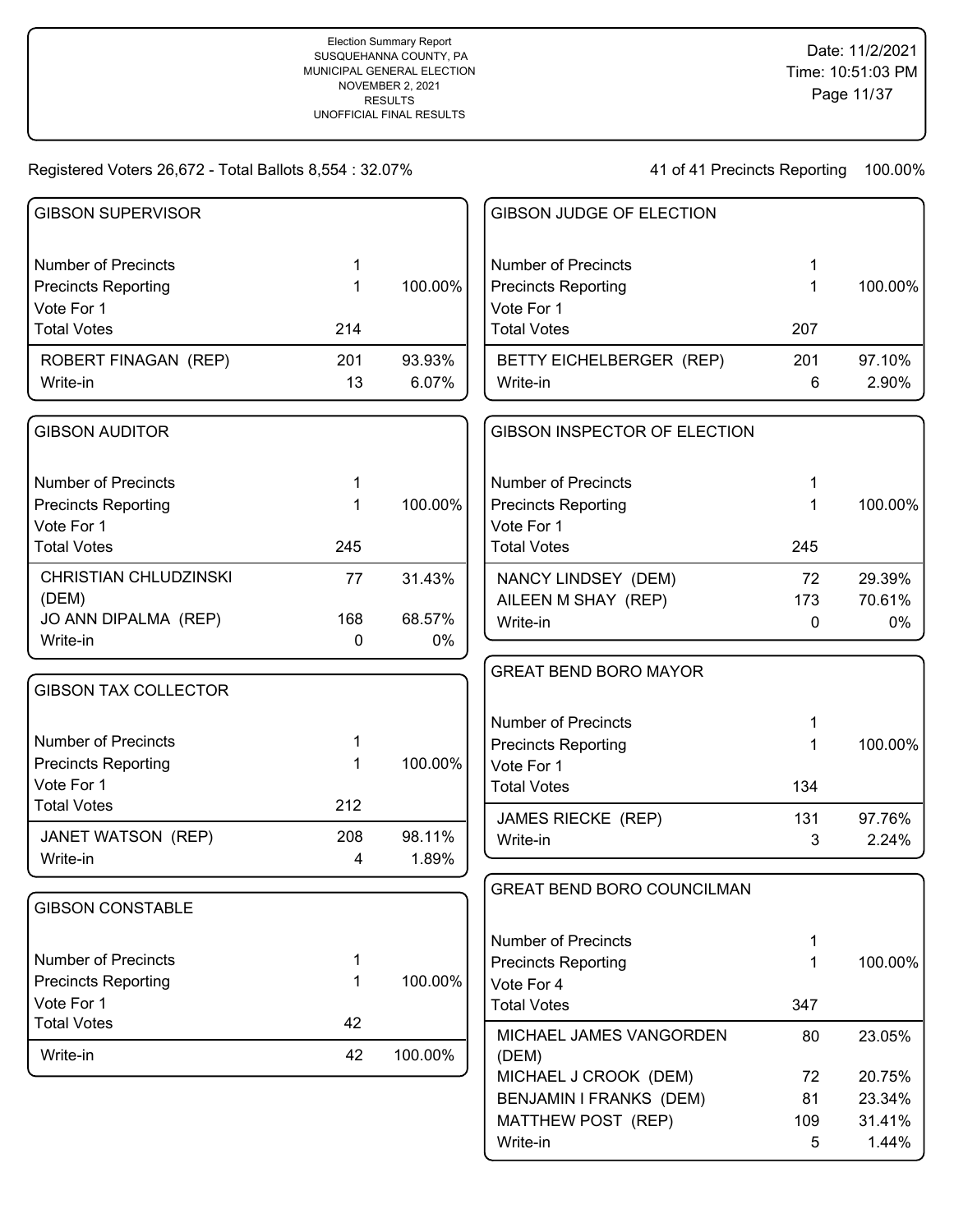| <b>GIBSON SUPERVISOR</b>                                 |                  |         | <b>GIBSON JUDGE OF ELECTION</b>                          |          |                 |
|----------------------------------------------------------|------------------|---------|----------------------------------------------------------|----------|-----------------|
| <b>Number of Precincts</b><br><b>Precincts Reporting</b> | 1<br>1           | 100.00% | <b>Number of Precincts</b><br><b>Precincts Reporting</b> | 1<br>1   | 100.00%         |
| Vote For 1<br><b>Total Votes</b>                         | 214              |         | Vote For 1<br><b>Total Votes</b>                         | 207      |                 |
| ROBERT FINAGAN (REP)                                     | 201              | 93.93%  | BETTY EICHELBERGER (REP)                                 | 201      | 97.10%          |
| Write-in                                                 | 13               | 6.07%   | Write-in                                                 | 6        | 2.90%           |
| <b>GIBSON AUDITOR</b>                                    |                  |         | GIBSON INSPECTOR OF ELECTION                             |          |                 |
| <b>Number of Precincts</b>                               | 1                |         | <b>Number of Precincts</b>                               | 1        |                 |
| <b>Precincts Reporting</b>                               | 1                | 100.00% | <b>Precincts Reporting</b><br>Vote For 1                 | 1        | 100.00%         |
| Vote For 1<br><b>Total Votes</b>                         | 245              |         | <b>Total Votes</b>                                       | 245      |                 |
| <b>CHRISTIAN CHLUDZINSKI</b>                             | 77               | 31.43%  | NANCY LINDSEY (DEM)                                      | 72       | 29.39%          |
| (DEM)<br>JO ANN DIPALMA (REP)                            | 168              | 68.57%  | AILEEN M SHAY (REP)                                      | 173      | 70.61%          |
| Write-in                                                 | 0                | 0%      | Write-in                                                 | 0        | $0\%$           |
|                                                          |                  |         | <b>GREAT BEND BORO MAYOR</b>                             |          |                 |
| <b>GIBSON TAX COLLECTOR</b>                              |                  |         |                                                          |          |                 |
|                                                          |                  |         | <b>Number of Precincts</b>                               |          |                 |
| <b>Number of Precincts</b>                               | 1                | 100.00% | <b>Precincts Reporting</b>                               | 1        | 100.00%         |
| <b>Precincts Reporting</b><br>Vote For 1                 | 1                |         | Vote For 1<br><b>Total Votes</b>                         | 134      |                 |
| <b>Total Votes</b>                                       | 212              |         |                                                          |          |                 |
| JANET WATSON (REP)                                       | 208              | 98.11%  | JAMES RIECKE (REP)<br>Write-in                           | 131<br>3 | 97.76%<br>2.24% |
| Write-in                                                 | 4                | 1.89%   |                                                          |          |                 |
|                                                          |                  |         | GREAT BEND BORO COUNCILMAN                               |          |                 |
| <b>GIBSON CONSTABLE</b>                                  |                  |         |                                                          |          |                 |
|                                                          |                  |         | <b>Number of Precincts</b>                               | 1        |                 |
| <b>Number of Precincts</b><br><b>Precincts Reporting</b> | 1<br>$\mathbf 1$ | 100.00% | <b>Precincts Reporting</b>                               | 1        | 100.00%         |
| Vote For 1                                               |                  |         | Vote For 4<br><b>Total Votes</b>                         | 347      |                 |
| <b>Total Votes</b>                                       | 42               |         | MICHAEL JAMES VANGORDEN                                  | 80       | 23.05%          |
| Write-in                                                 | 42               | 100.00% | (DEM)                                                    |          |                 |
|                                                          |                  |         | MICHAEL J CROOK (DEM)                                    | 72       | 20.75%          |
|                                                          |                  |         | BENJAMIN I FRANKS (DEM)                                  | 81       | 23.34%          |
|                                                          |                  |         | MATTHEW POST (REP)<br>Write-in                           | 109<br>5 | 31.41%<br>1.44% |
|                                                          |                  |         |                                                          |          |                 |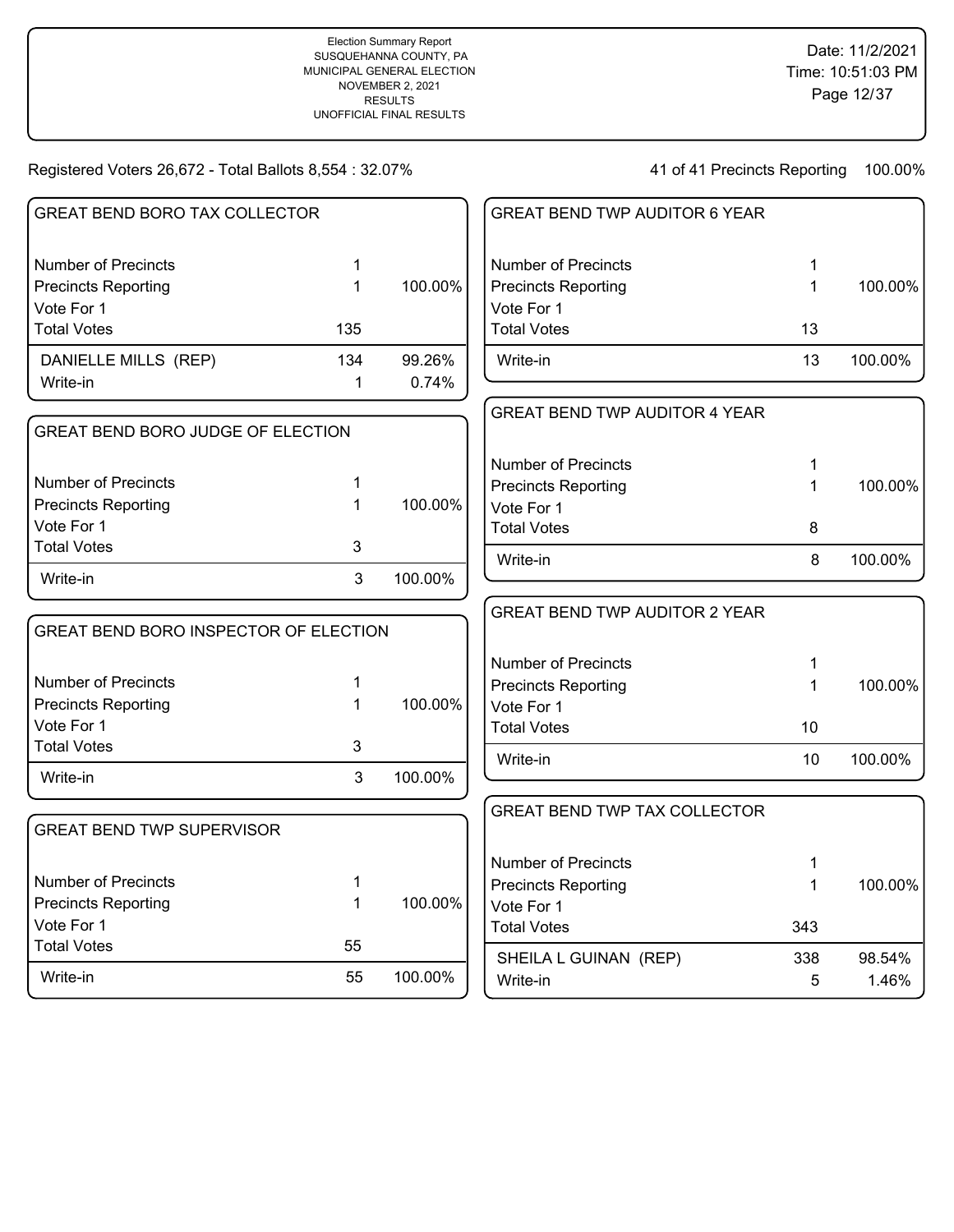| <b>GREAT BEND BORO TAX COLLECTOR</b>     |              |         | <b>GREAT BEND TWP AUDITOR 6 YEAR</b> |              |         |
|------------------------------------------|--------------|---------|--------------------------------------|--------------|---------|
|                                          |              |         |                                      |              |         |
| <b>Number of Precincts</b>               | $\mathbf 1$  |         | <b>Number of Precincts</b>           | 1            |         |
| <b>Precincts Reporting</b>               | $\mathbf{1}$ | 100.00% | <b>Precincts Reporting</b>           | $\mathbf{1}$ | 100.00% |
| Vote For 1                               |              |         | Vote For 1                           |              |         |
| <b>Total Votes</b>                       | 135          |         | <b>Total Votes</b>                   | 13           |         |
| DANIELLE MILLS (REP)                     | 134          | 99.26%  | Write-in                             | 13           | 100.00% |
| Write-in                                 | $\mathbf 1$  | 0.74%   |                                      |              |         |
|                                          |              |         | <b>GREAT BEND TWP AUDITOR 4 YEAR</b> |              |         |
| <b>GREAT BEND BORO JUDGE OF ELECTION</b> |              |         |                                      |              |         |
|                                          |              |         | <b>Number of Precincts</b>           | 1            |         |
| <b>Number of Precincts</b>               | 1            |         | <b>Precincts Reporting</b>           | 1            | 100.00% |
| <b>Precincts Reporting</b>               | 1            | 100.00% | Vote For 1                           |              |         |
| Vote For 1                               |              |         | <b>Total Votes</b>                   | 8            |         |
| <b>Total Votes</b>                       | 3            |         | Write-in                             | 8            | 100.00% |
| Write-in                                 | 3            | 100.00% |                                      |              |         |
|                                          |              |         | <b>GREAT BEND TWP AUDITOR 2 YEAR</b> |              |         |
| GREAT BEND BORO INSPECTOR OF ELECTION    |              |         |                                      |              |         |
|                                          |              |         | <b>Number of Precincts</b>           | 1            |         |
| <b>Number of Precincts</b>               | 1            |         | <b>Precincts Reporting</b>           | 1            | 100.00% |
| <b>Precincts Reporting</b>               | $\mathbf{1}$ | 100.00% | Vote For 1                           |              |         |
| Vote For 1                               |              |         | <b>Total Votes</b>                   | 10           |         |
| <b>Total Votes</b>                       | 3            |         | Write-in                             | 10           | 100.00% |
| Write-in                                 | 3            | 100.00% |                                      |              |         |
|                                          |              |         | <b>GREAT BEND TWP TAX COLLECTOR</b>  |              |         |
| <b>GREAT BEND TWP SUPERVISOR</b>         |              |         |                                      |              |         |
|                                          |              |         | <b>Number of Precincts</b>           | 1            |         |
| <b>Number of Precincts</b>               | 1            |         | <b>Precincts Reporting</b>           | 1            | 100.00% |
| <b>Precincts Reporting</b>               | 1            | 100.00% | Vote For 1                           |              |         |
| Vote For 1                               |              |         | <b>Total Votes</b>                   | 343          |         |
| <b>Total Votes</b>                       | 55           |         |                                      |              |         |
| Write-in                                 | 55           | 100.00% | SHEILA L GUINAN (REP)                | 338          | 98.54%  |
|                                          |              |         | Write-in                             | 5            | 1.46%   |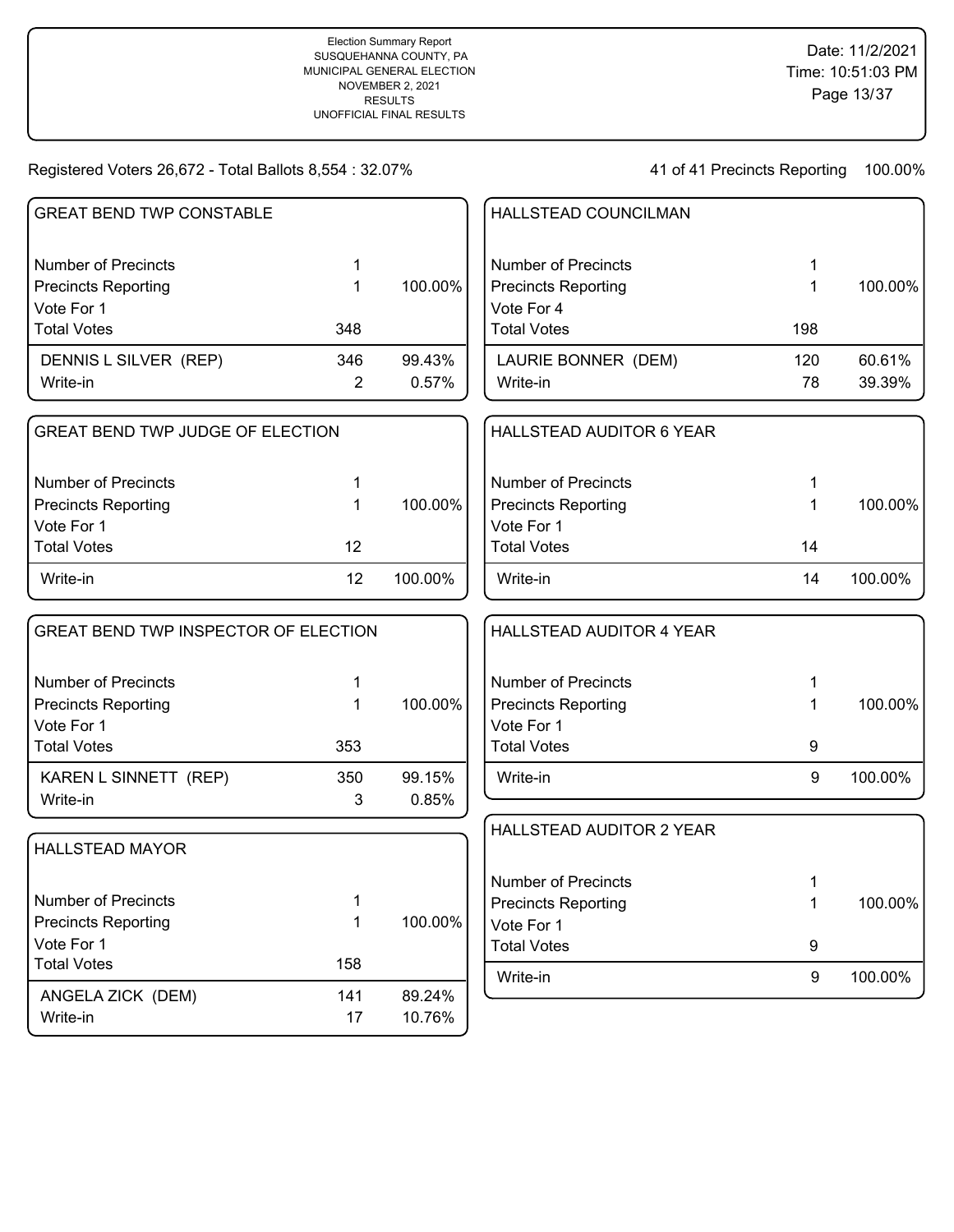| <b>GREAT BEND TWP CONSTABLE</b>         |                |         | HALLSTEAD COUNCILMAN                     |              |         |
|-----------------------------------------|----------------|---------|------------------------------------------|--------------|---------|
| <b>Number of Precincts</b>              | 1              |         | <b>Number of Precincts</b>               | 1            |         |
| <b>Precincts Reporting</b>              | 1              | 100.00% | <b>Precincts Reporting</b>               | 1            | 100.00% |
| Vote For 1                              |                |         | Vote For 4                               |              |         |
| <b>Total Votes</b>                      | 348            |         | <b>Total Votes</b>                       | 198          |         |
| DENNIS L SILVER (REP)                   | 346            | 99.43%  | LAURIE BONNER (DEM)                      | 120          | 60.61%  |
| Write-in                                | $\overline{2}$ | 0.57%   | Write-in                                 | 78           | 39.39%  |
| <b>GREAT BEND TWP JUDGE OF ELECTION</b> |                |         | <b>HALLSTEAD AUDITOR 6 YEAR</b>          |              |         |
|                                         |                |         |                                          |              |         |
| <b>Number of Precincts</b>              | 1              |         | <b>Number of Precincts</b>               | 1            |         |
| <b>Precincts Reporting</b>              | 1              | 100.00% | <b>Precincts Reporting</b>               | 1            | 100.00% |
| Vote For 1                              |                |         | Vote For 1                               |              |         |
| <b>Total Votes</b>                      | 12             |         | <b>Total Votes</b>                       | 14           |         |
| Write-in                                | 12             | 100.00% | Write-in                                 | 14           | 100.00% |
| GREAT BEND TWP INSPECTOR OF ELECTION    |                |         | <b>HALLSTEAD AUDITOR 4 YEAR</b>          |              |         |
| <b>Number of Precincts</b>              | 1              |         | <b>Number of Precincts</b>               | 1            |         |
| <b>Precincts Reporting</b>              | 1              | 100.00% | <b>Precincts Reporting</b>               | 1            | 100.00% |
| Vote For 1                              |                |         | Vote For 1                               |              |         |
| <b>Total Votes</b>                      | 353            |         | <b>Total Votes</b>                       | 9            |         |
| KAREN L SINNETT (REP)                   | 350            | 99.15%  | Write-in                                 | 9            | 100.00% |
| Write-in                                | 3              | 0.85%   |                                          |              |         |
| <b>HALLSTEAD MAYOR</b>                  |                |         | HALLSTEAD AUDITOR 2 YEAR                 |              |         |
|                                         |                |         |                                          |              |         |
| Number of Precincts                     | 1              |         | <b>Number of Precincts</b>               | 1            |         |
| <b>Precincts Reporting</b>              | 1              | 100.00% | <b>Precincts Reporting</b><br>Vote For 1 | $\mathbf{1}$ | 100.00% |
| Vote For 1                              |                |         | <b>Total Votes</b>                       | 9            |         |
| <b>Total Votes</b>                      | 158            |         |                                          |              |         |
| ANGELA ZICK (DEM)                       | 141            | 89.24%  | Write-in                                 | 9            | 100.00% |
| Write-in                                | 17             | 10.76%  |                                          |              |         |
|                                         |                |         |                                          |              |         |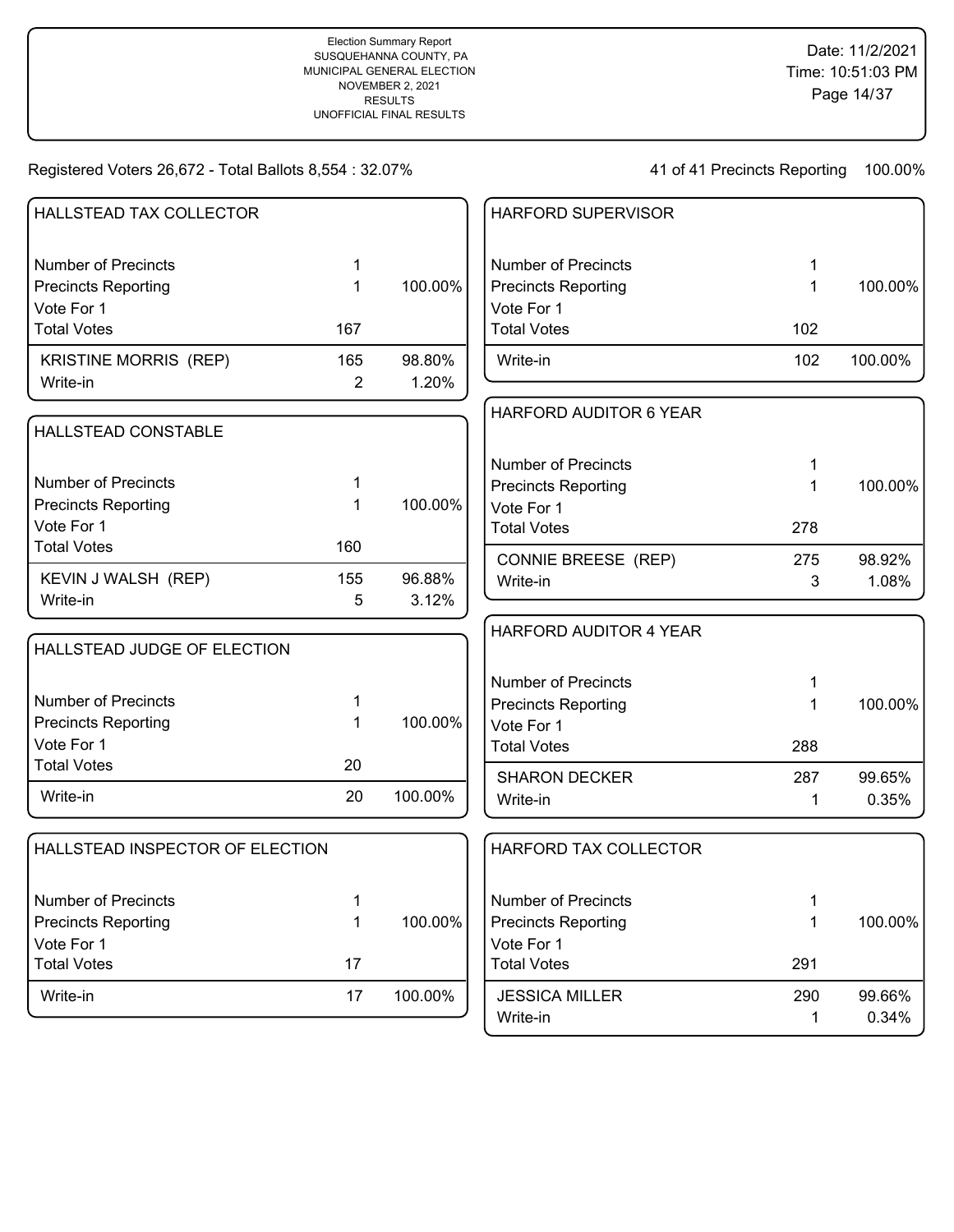| HALLSTEAD TAX COLLECTOR         |                |         | HARFORD SUPERVISOR         |             |         |
|---------------------------------|----------------|---------|----------------------------|-------------|---------|
|                                 |                |         |                            |             |         |
| <b>Number of Precincts</b>      | 1              |         | <b>Number of Precincts</b> | 1           |         |
| <b>Precincts Reporting</b>      | 1              | 100.00% | <b>Precincts Reporting</b> | 1           | 100.00% |
| Vote For 1                      |                |         | Vote For 1                 |             |         |
| <b>Total Votes</b>              | 167            |         | <b>Total Votes</b>         | 102         |         |
| <b>KRISTINE MORRIS (REP)</b>    | 165            | 98.80%  | Write-in                   | 102         | 100.00% |
| Write-in                        | $\overline{2}$ | 1.20%   |                            |             |         |
|                                 |                |         | HARFORD AUDITOR 6 YEAR     |             |         |
| HALLSTEAD CONSTABLE             |                |         |                            |             |         |
|                                 |                |         | <b>Number of Precincts</b> |             |         |
| <b>Number of Precincts</b>      |                |         | <b>Precincts Reporting</b> | 1           | 100.00% |
| <b>Precincts Reporting</b>      | 1              | 100.00% | Vote For 1                 |             |         |
| Vote For 1                      |                |         | <b>Total Votes</b>         | 278         |         |
| <b>Total Votes</b>              | 160            |         | CONNIE BREESE (REP)        | 275         | 98.92%  |
| KEVIN J WALSH (REP)             | 155            | 96.88%  | Write-in                   | 3           | 1.08%   |
| Write-in                        | 5              | 3.12%   |                            |             |         |
|                                 |                |         | HARFORD AUDITOR 4 YEAR     |             |         |
| HALLSTEAD JUDGE OF ELECTION     |                |         |                            |             |         |
|                                 |                |         | <b>Number of Precincts</b> | 1           |         |
| <b>Number of Precincts</b>      | 1              |         | <b>Precincts Reporting</b> | 1           | 100.00% |
| <b>Precincts Reporting</b>      | 1              | 100.00% | Vote For 1                 |             |         |
| Vote For 1                      |                |         | <b>Total Votes</b>         | 288         |         |
| <b>Total Votes</b>              | 20             |         |                            |             |         |
| Write-in                        | 20             | 100.00% | <b>SHARON DECKER</b>       | 287         | 99.65%  |
|                                 |                |         | Write-in                   | 1           | 0.35%   |
| HALLSTEAD INSPECTOR OF ELECTION |                |         | HARFORD TAX COLLECTOR      |             |         |
|                                 |                |         |                            |             |         |
| Number of Precincts             | 1              |         | <b>Number of Precincts</b> | 1           |         |
| <b>Precincts Reporting</b>      | 1              | 100.00% | <b>Precincts Reporting</b> | 1           | 100.00% |
| Vote For 1                      |                |         | Vote For 1                 |             |         |
| <b>Total Votes</b>              | 17             |         | <b>Total Votes</b>         | 291         |         |
| Write-in                        | 17             | 100.00% | <b>JESSICA MILLER</b>      | 290         | 99.66%  |
|                                 |                |         | Write-in                   | $\mathbf 1$ | 0.34%   |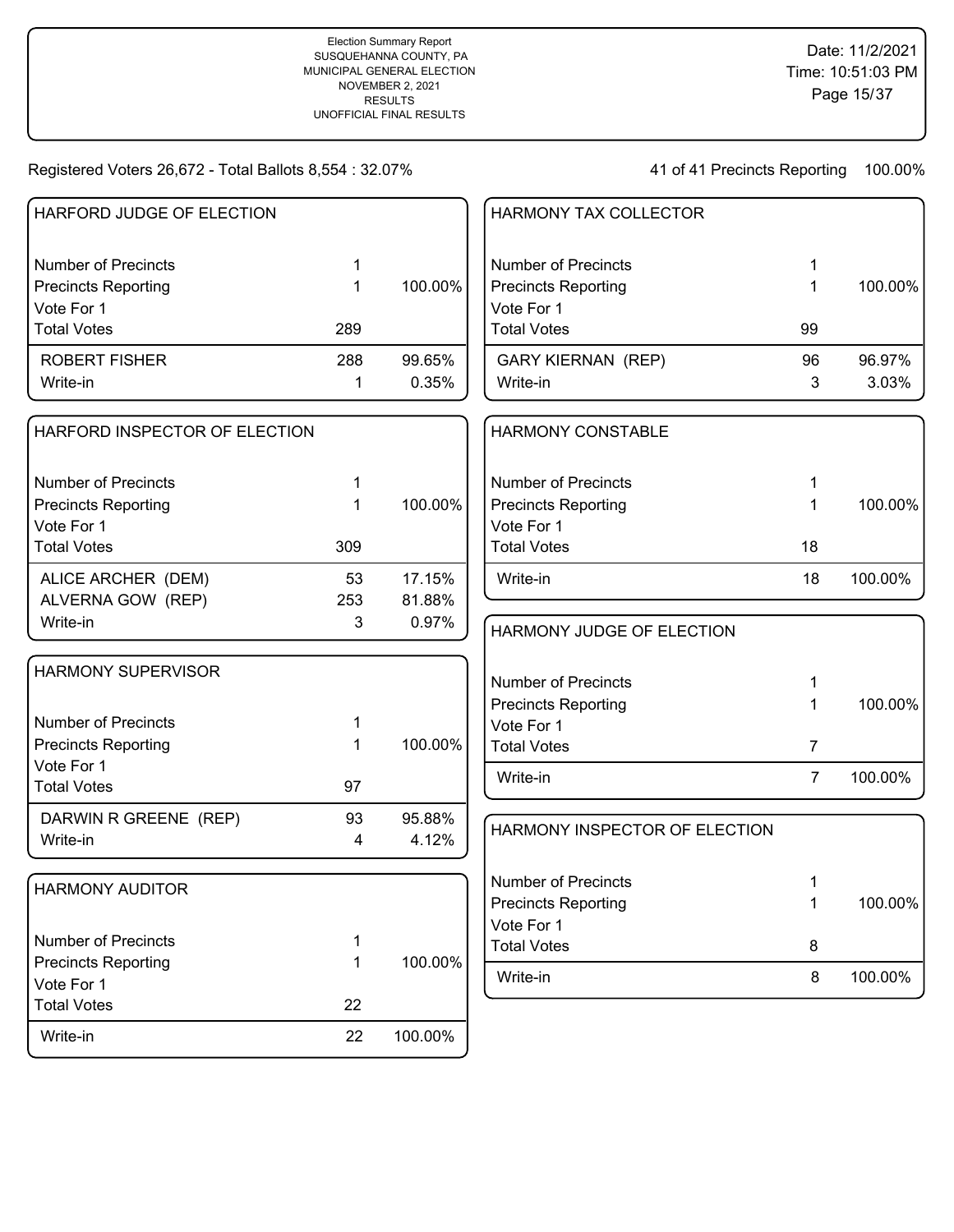| HARFORD JUDGE OF ELECTION     |     |         | <b>HARMONY TAX COLLECTOR</b>  |                |         |
|-------------------------------|-----|---------|-------------------------------|----------------|---------|
| <b>Number of Precincts</b>    | 1   |         | <b>Number of Precincts</b>    | 1              |         |
| <b>Precincts Reporting</b>    | 1   | 100.00% | <b>Precincts Reporting</b>    | 1              | 100.00% |
| Vote For 1                    |     |         | Vote For 1                    |                |         |
| <b>Total Votes</b>            | 289 |         | <b>Total Votes</b>            | 99             |         |
| <b>ROBERT FISHER</b>          | 288 | 99.65%  | <b>GARY KIERNAN (REP)</b>     | 96             | 96.97%  |
| Write-in                      | 1   | 0.35%   | Write-in                      | 3              | 3.03%   |
| HARFORD INSPECTOR OF ELECTION |     |         | <b>HARMONY CONSTABLE</b>      |                |         |
| <b>Number of Precincts</b>    | 1   |         | <b>Number of Precincts</b>    | 1              |         |
| <b>Precincts Reporting</b>    | 1   | 100.00% | <b>Precincts Reporting</b>    | 1              | 100.00% |
| Vote For 1                    |     |         | Vote For 1                    |                |         |
| <b>Total Votes</b>            | 309 |         | <b>Total Votes</b>            | 18             |         |
| ALICE ARCHER (DEM)            | 53  | 17.15%  | Write-in                      | 18             | 100.00% |
| ALVERNA GOW (REP)             | 253 | 81.88%  |                               |                |         |
| Write-in                      | 3   | 0.97%   | HARMONY JUDGE OF ELECTION     |                |         |
| <b>HARMONY SUPERVISOR</b>     |     |         | <b>Number of Precincts</b>    | 1              |         |
|                               |     |         | <b>Precincts Reporting</b>    | 1              | 100.00% |
| <b>Number of Precincts</b>    | 1   |         | Vote For 1                    |                |         |
| <b>Precincts Reporting</b>    | 1   | 100.00% | <b>Total Votes</b>            | 7              |         |
| Vote For 1                    |     |         |                               |                |         |
| <b>Total Votes</b>            | 97  |         | Write-in                      | $\overline{7}$ | 100.00% |
| DARWIN R GREENE (REP)         | 93  | 95.88%  |                               |                |         |
| Write-in                      | 4   | 4.12%   | HARMONY INSPECTOR OF ELECTION |                |         |
| <b>HARMONY AUDITOR</b>        |     |         | <b>Number of Precincts</b>    | 1              |         |
|                               |     |         | <b>Precincts Reporting</b>    | 1              | 100.00% |
|                               |     |         | Vote For 1                    |                |         |
| <b>Number of Precincts</b>    | 1   |         | <b>Total Votes</b>            | 8              |         |
| <b>Precincts Reporting</b>    | 1   | 100.00% | Write-in                      | 8              | 100.00% |
| Vote For 1                    |     |         |                               |                |         |
| <b>Total Votes</b>            | 22  |         |                               |                |         |
| Write-in                      | 22  | 100.00% |                               |                |         |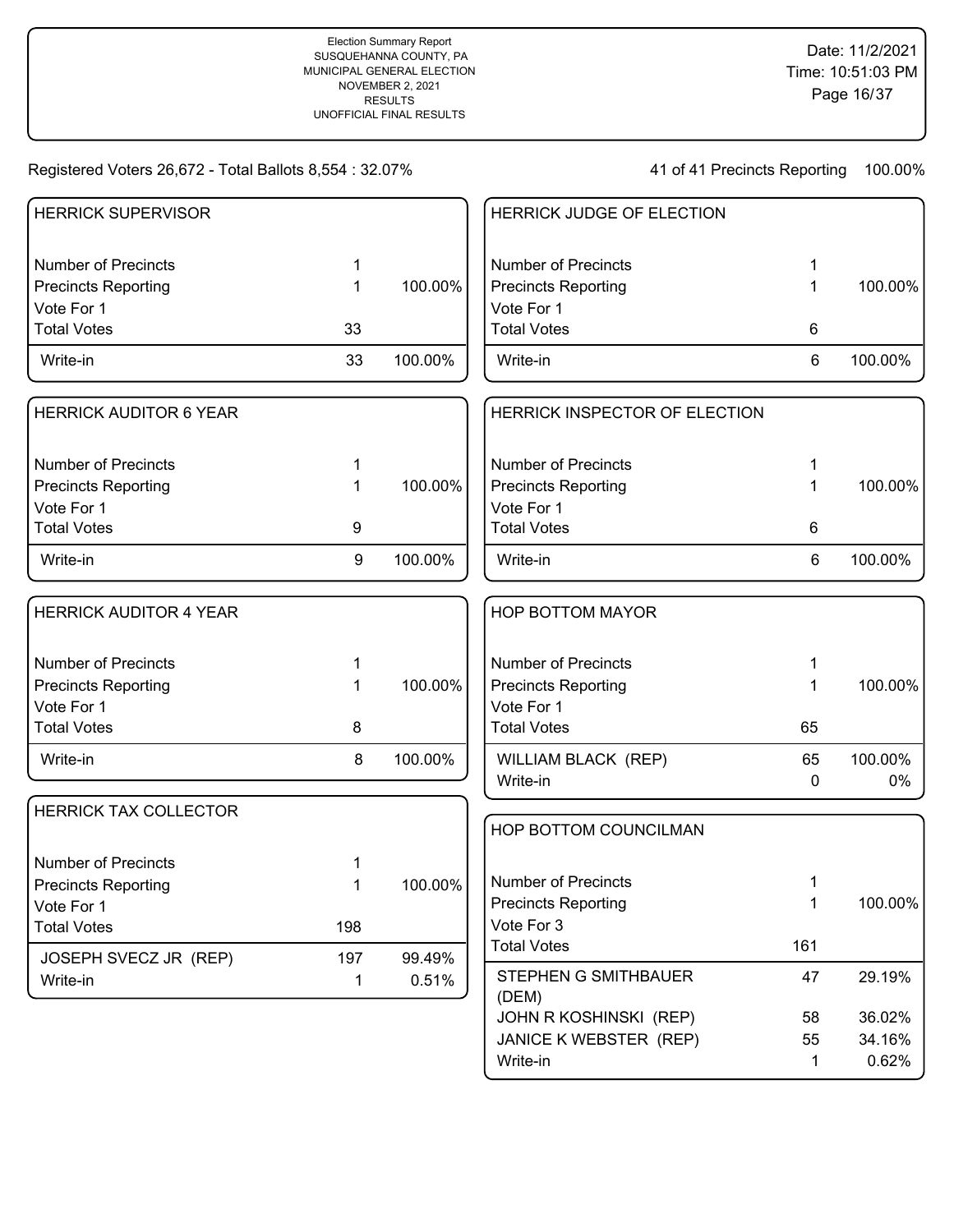| <b>HERRICK SUPERVISOR</b>         |     |         | HERRICK JUDGE OF ELECTION     |     |            |
|-----------------------------------|-----|---------|-------------------------------|-----|------------|
| <b>Number of Precincts</b>        |     |         | <b>Number of Precincts</b>    | 1   |            |
| Precincts Reporting               | 1   | 100.00% | <b>Precincts Reporting</b>    | 1   | 100.00%    |
| Vote For 1                        |     |         | Vote For 1                    |     |            |
| <b>Total Votes</b>                | 33  |         | <b>Total Votes</b>            | 6   |            |
| Write-in                          | 33  | 100.00% | Write-in                      | 6   | 100.00%    |
| <b>HERRICK AUDITOR 6 YEAR</b>     |     |         | HERRICK INSPECTOR OF ELECTION |     |            |
| <b>Number of Precincts</b>        |     |         | <b>Number of Precincts</b>    | 1   |            |
| <b>Precincts Reporting</b>        |     | 100.00% | <b>Precincts Reporting</b>    | 1   | 100.00%    |
| Vote For 1                        |     |         | Vote For 1                    |     |            |
| <b>Total Votes</b>                | 9   |         | <b>Total Votes</b>            | 6   |            |
| Write-in                          | 9   | 100.00% | Write-in                      | 6   | 100.00%    |
| <b>HERRICK AUDITOR 4 YEAR</b>     |     |         | <b>HOP BOTTOM MAYOR</b>       |     |            |
| <b>Number of Precincts</b>        |     |         | <b>Number of Precincts</b>    | 1   |            |
| <b>Precincts Reporting</b>        |     | 100.00% | <b>Precincts Reporting</b>    | 1   | 100.00%    |
| Vote For 1                        |     |         | Vote For 1                    |     |            |
| <b>Total Votes</b>                | 8   |         | <b>Total Votes</b>            | 65  |            |
| Write-in                          | 8   | 100.00% | WILLIAM BLACK (REP)           | 65  | 100.00%    |
|                                   |     |         | Write-in                      | 0   | $0\%$      |
| <b>HERRICK TAX COLLECTOR</b>      |     |         | HOP BOTTOM COUNCILMAN         |     |            |
| <b>Number of Precincts</b>        |     |         |                               |     |            |
| <b>Precincts Reporting</b>        |     | 100.00% | <b>Number of Precincts</b>    | 1   |            |
| Vote For 1                        |     |         | <b>Precincts Reporting</b>    | 1   | $100.00\%$ |
| <b>Total Votes</b>                | 198 |         | Vote For 3                    |     |            |
|                                   | 197 | 99.49%  | <b>Total Votes</b>            | 161 |            |
| JOSEPH SVECZ JR (REP)<br>Write-in | 1   | 0.51%   | STEPHEN G SMITHBAUER<br>(DEM) | 47  | 29.19%     |
|                                   |     |         | JOHN R KOSHINSKI (REP)        | 58  | 36.02%     |
|                                   |     |         | JANICE K WEBSTER (REP)        | 55  | 34.16%     |
|                                   |     |         | Write-in                      | 1   | 0.62%      |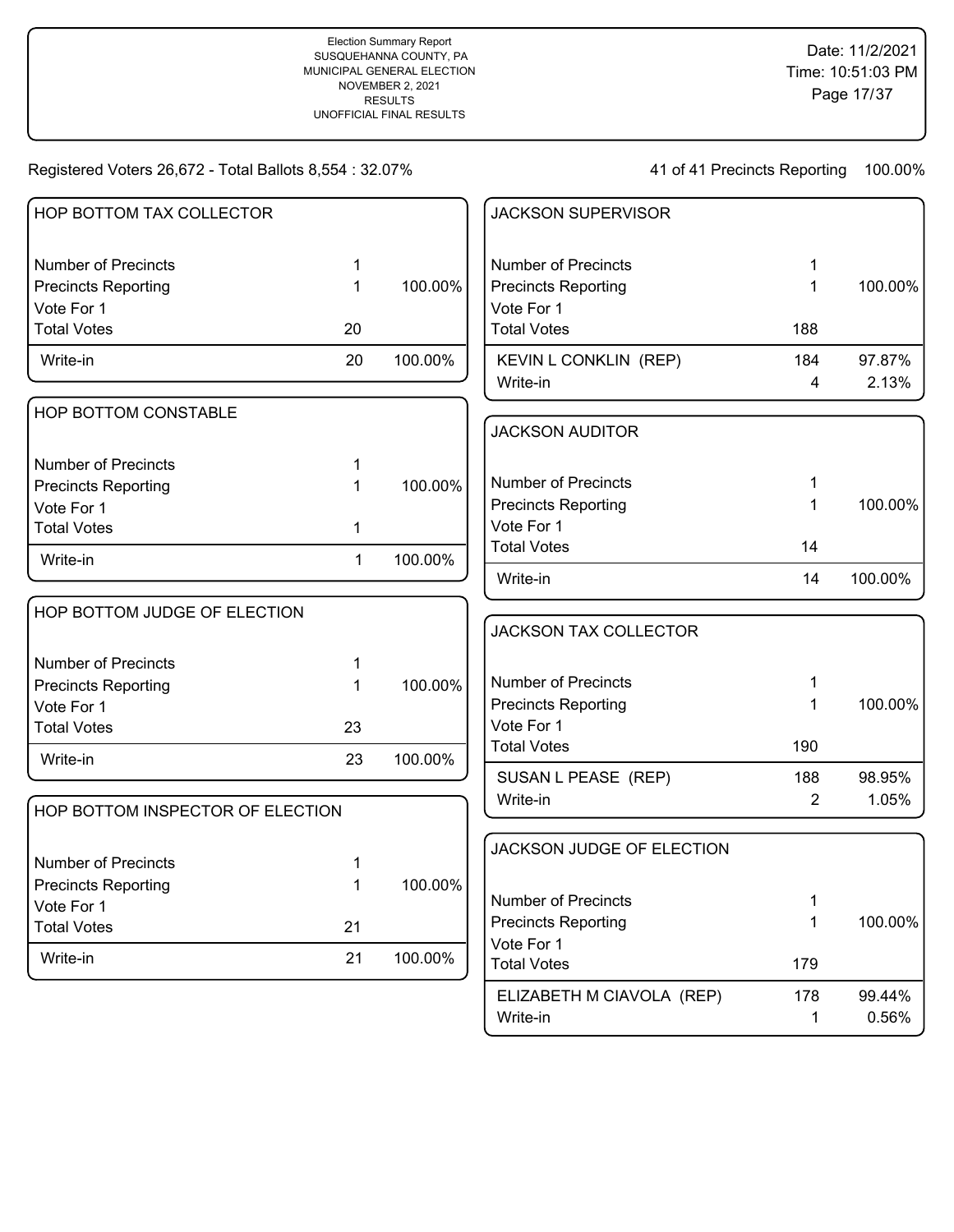41 of 41 Precincts Reporting 100.00%

Write-in 20.56%

| HOP BOTTOM TAX COLLECTOR         |              |         | <b>JACKSON SUPERVISOR</b>        |                |         |
|----------------------------------|--------------|---------|----------------------------------|----------------|---------|
| <b>Number of Precincts</b>       | 1.           |         | <b>Number of Precincts</b>       | 1              |         |
| <b>Precincts Reporting</b>       | 1            | 100.00% | <b>Precincts Reporting</b>       | $\mathbf{1}$   | 100.00% |
| Vote For 1                       |              |         | Vote For 1                       |                |         |
| <b>Total Votes</b>               | 20           |         | <b>Total Votes</b>               | 188            |         |
| Write-in                         | 20           | 100.00% | KEVIN L CONKLIN (REP)            | 184            | 97.87%  |
|                                  |              |         | Write-in                         | 4              | 2.13%   |
| HOP BOTTOM CONSTABLE             |              |         |                                  |                |         |
|                                  |              |         | <b>JACKSON AUDITOR</b>           |                |         |
| <b>Number of Precincts</b>       | 1            |         |                                  |                |         |
| <b>Precincts Reporting</b>       | 1            | 100.00% | <b>Number of Precincts</b>       | 1              |         |
| Vote For 1                       |              |         | <b>Precincts Reporting</b>       | $\mathbf 1$    | 100.00% |
| <b>Total Votes</b>               | 1            |         | Vote For 1                       |                |         |
| Write-in                         | $\mathbf{1}$ | 100.00% | <b>Total Votes</b>               | 14             |         |
|                                  |              |         | Write-in                         | 14             | 100.00% |
| HOP BOTTOM JUDGE OF ELECTION     |              |         |                                  |                |         |
|                                  |              |         | <b>JACKSON TAX COLLECTOR</b>     |                |         |
| <b>Number of Precincts</b>       | 1            |         |                                  |                |         |
| <b>Precincts Reporting</b>       | 1            | 100.00% | <b>Number of Precincts</b>       | 1              |         |
| Vote For 1                       |              |         | <b>Precincts Reporting</b>       | 1              | 100.00% |
| <b>Total Votes</b>               | 23           |         | Vote For 1                       |                |         |
| Write-in                         | 23           | 100.00% | <b>Total Votes</b>               | 190            |         |
|                                  |              |         | SUSAN L PEASE (REP)              | 188            | 98.95%  |
| HOP BOTTOM INSPECTOR OF ELECTION |              |         | Write-in                         | $\overline{2}$ | 1.05%   |
|                                  |              |         |                                  |                |         |
| <b>Number of Precincts</b>       | 1            |         | JACKSON JUDGE OF ELECTION        |                |         |
| <b>Precincts Reporting</b>       | 1            | 100.00% |                                  |                |         |
| Vote For 1                       |              |         | <b>Number of Precincts</b>       | 1              |         |
| <b>Total Votes</b>               | 21           |         | <b>Precincts Reporting</b>       | 1              | 100.00% |
| Write-in                         | 21           | 100.00% | Vote For 1<br><b>Total Votes</b> | 179            |         |
|                                  |              |         |                                  |                |         |
|                                  |              |         | ELIZABETH M CIAVOLA (REP)        | 178            | 99.44%  |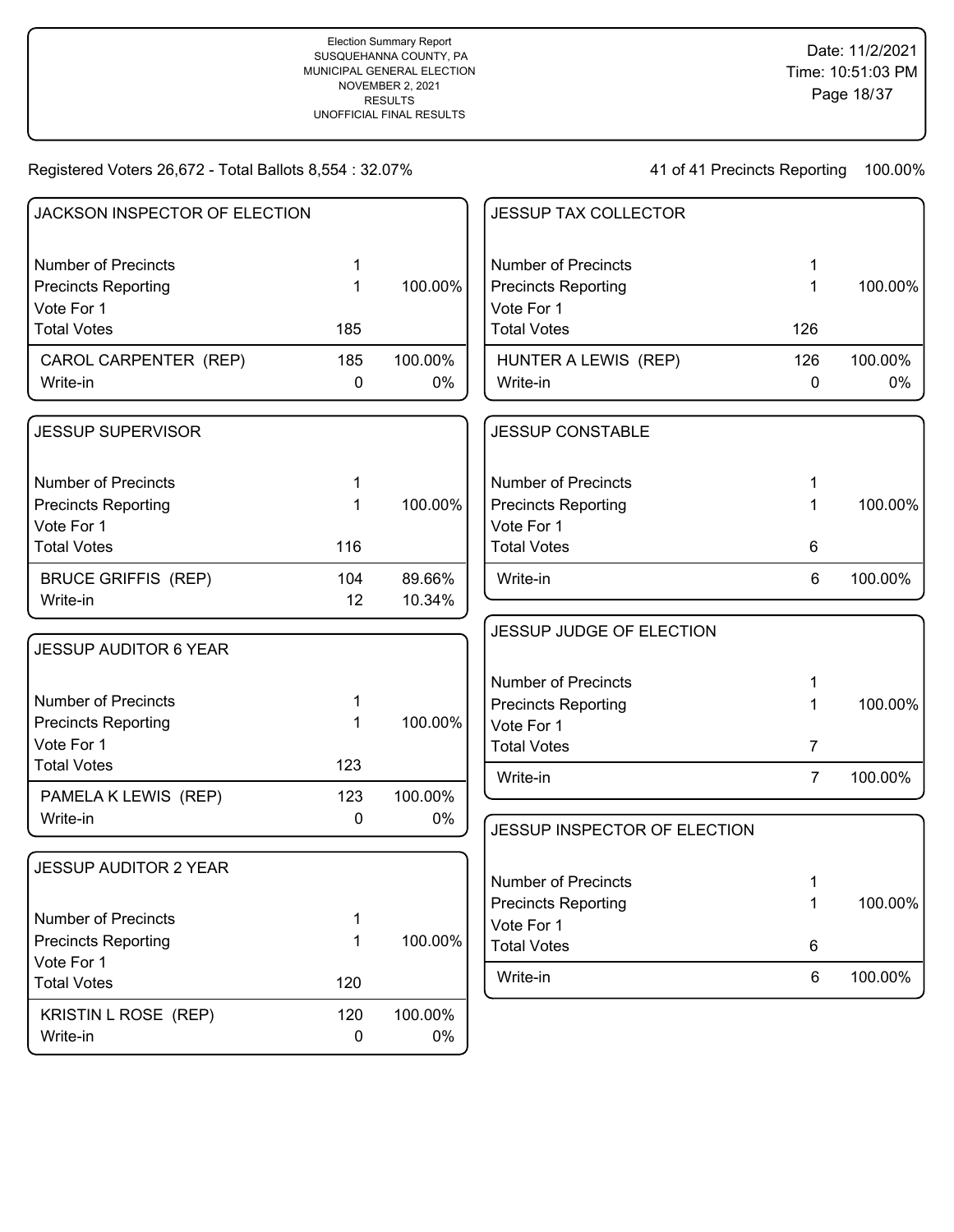| JACKSON INSPECTOR OF ELECTION            |        |         | <b>JESSUP TAX COLLECTOR</b>  |                |         |
|------------------------------------------|--------|---------|------------------------------|----------------|---------|
| <b>Number of Precincts</b>               | 1      |         | <b>Number of Precincts</b>   | 1              |         |
| <b>Precincts Reporting</b>               | 1      | 100.00% | <b>Precincts Reporting</b>   | 1              | 100.00% |
| Vote For 1                               |        |         | Vote For 1                   |                |         |
| <b>Total Votes</b>                       | 185    |         | <b>Total Votes</b>           | 126            |         |
| CAROL CARPENTER (REP)                    | 185    | 100.00% | HUNTER A LEWIS (REP)         | 126            | 100.00% |
| Write-in                                 | 0      | $0\%$   | Write-in                     | 0              | 0%      |
| <b>JESSUP SUPERVISOR</b>                 |        |         | <b>JESSUP CONSTABLE</b>      |                |         |
| <b>Number of Precincts</b>               | 1      |         | <b>Number of Precincts</b>   | 1              |         |
| <b>Precincts Reporting</b>               | 1      | 100.00% | <b>Precincts Reporting</b>   | 1              | 100.00% |
| Vote For 1                               |        |         | Vote For 1                   |                |         |
| <b>Total Votes</b>                       | 116    |         | <b>Total Votes</b>           | 6              |         |
| <b>BRUCE GRIFFIS (REP)</b>               | 104    | 89.66%  | Write-in                     | 6              | 100.00% |
| Write-in                                 | 12     | 10.34%  |                              |                |         |
|                                          |        |         | JESSUP JUDGE OF ELECTION     |                |         |
| <b>JESSUP AUDITOR 6 YEAR</b>             |        |         |                              |                |         |
|                                          |        |         | <b>Number of Precincts</b>   | 1              |         |
| <b>Number of Precincts</b>               | 1      |         | <b>Precincts Reporting</b>   | 1              | 100.00% |
| <b>Precincts Reporting</b>               | 1      | 100.00% | Vote For 1                   |                |         |
| Vote For 1                               |        |         | <b>Total Votes</b>           | $\overline{7}$ |         |
| <b>Total Votes</b>                       | 123    |         | Write-in                     | $\overline{7}$ | 100.00% |
| PAMELA K LEWIS (REP)                     | 123    | 100.00% |                              |                |         |
| Write-in                                 | 0      | $0\%$   | JESSUP INSPECTOR OF ELECTION |                |         |
| <b>JESSUP AUDITOR 2 YEAR</b>             |        |         |                              |                |         |
|                                          |        |         | <b>Number of Precincts</b>   | 1              |         |
| <b>Number of Precincts</b>               |        |         | <b>Precincts Reporting</b>   | 1              | 100.00% |
|                                          | 1<br>1 | 100.00% | Vote For 1                   |                |         |
| <b>Precincts Reporting</b><br>Vote For 1 |        |         | <b>Total Votes</b>           | 6              |         |
| <b>Total Votes</b>                       | 120    |         | Write-in                     | 6              | 100.00% |
| KRISTIN L ROSE (REP)                     | 120    | 100.00% |                              |                |         |
| Write-in                                 | 0      | $0\%$   |                              |                |         |
|                                          |        |         |                              |                |         |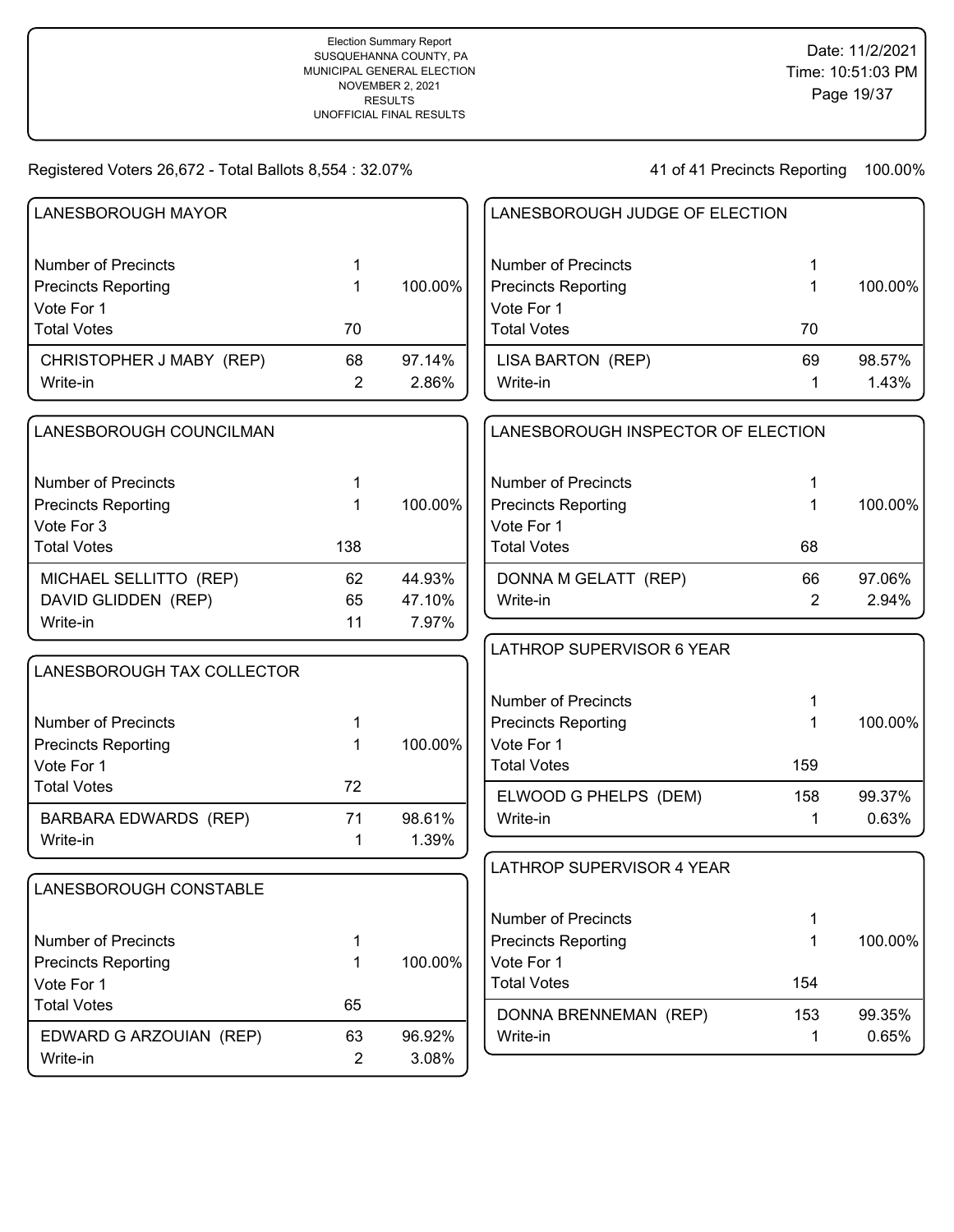| LANESBOROUGH MAYOR           |                |         | LANESBOROUGH JUDGE OF ELECTION     |                |         |
|------------------------------|----------------|---------|------------------------------------|----------------|---------|
| <b>Number of Precincts</b>   | 1              |         | <b>Number of Precincts</b>         | 1              |         |
| <b>Precincts Reporting</b>   | 1              | 100.00% | <b>Precincts Reporting</b>         | 1              | 100.00% |
| Vote For 1                   |                |         | Vote For 1                         |                |         |
| <b>Total Votes</b>           | 70             |         | <b>Total Votes</b>                 | 70             |         |
| CHRISTOPHER J MABY (REP)     | 68             | 97.14%  | LISA BARTON (REP)                  | 69             | 98.57%  |
| Write-in                     | $\overline{2}$ | 2.86%   | Write-in                           | 1              | 1.43%   |
| LANESBOROUGH COUNCILMAN      |                |         | LANESBOROUGH INSPECTOR OF ELECTION |                |         |
| <b>Number of Precincts</b>   | 1              |         | <b>Number of Precincts</b>         | 1              |         |
| <b>Precincts Reporting</b>   | 1              | 100.00% | <b>Precincts Reporting</b>         | 1              | 100.00% |
| Vote For 3                   |                |         | Vote For 1                         |                |         |
| <b>Total Votes</b>           | 138            |         | <b>Total Votes</b>                 | 68             |         |
| MICHAEL SELLITTO (REP)       | 62             | 44.93%  | DONNA M GELATT (REP)               | 66             | 97.06%  |
| DAVID GLIDDEN (REP)          | 65             | 47.10%  | Write-in                           | $\overline{2}$ | 2.94%   |
| Write-in                     | 11             | 7.97%   |                                    |                |         |
|                              |                |         | LATHROP SUPERVISOR 6 YEAR          |                |         |
| LANESBOROUGH TAX COLLECTOR   |                |         |                                    |                |         |
|                              |                |         | <b>Number of Precincts</b>         | 1              |         |
| <b>Number of Precincts</b>   | 1              |         | <b>Precincts Reporting</b>         | 1              | 100.00% |
| <b>Precincts Reporting</b>   | 1              | 100.00% | Vote For 1                         |                |         |
| Vote For 1                   |                |         | <b>Total Votes</b>                 | 159            |         |
| <b>Total Votes</b>           | 72             |         | ELWOOD G PHELPS (DEM)              | 158            | 99.37%  |
| <b>BARBARA EDWARDS (REP)</b> | 71             | 98.61%  | Write-in                           | 1              | 0.63%   |
| Write-in                     | 1              | 1.39%   |                                    |                |         |
|                              |                |         | LATHROP SUPERVISOR 4 YEAR          |                |         |
| LANESBOROUGH CONSTABLE       |                |         |                                    |                |         |
|                              |                |         | <b>Number of Precincts</b>         | 1              |         |
| <b>Number of Precincts</b>   | 1              |         | <b>Precincts Reporting</b>         | 1              | 100.00% |
| <b>Precincts Reporting</b>   | 1              | 100.00% | Vote For 1                         |                |         |
| Vote For 1                   |                |         | <b>Total Votes</b>                 | 154            |         |
| <b>Total Votes</b>           | 65             |         | DONNA BRENNEMAN (REP)              | 153            | 99.35%  |
| EDWARD G ARZOUIAN (REP)      | 63             | 96.92%  | Write-in                           | 1              | 0.65%   |
| Write-in                     | 2              | 3.08%   |                                    |                |         |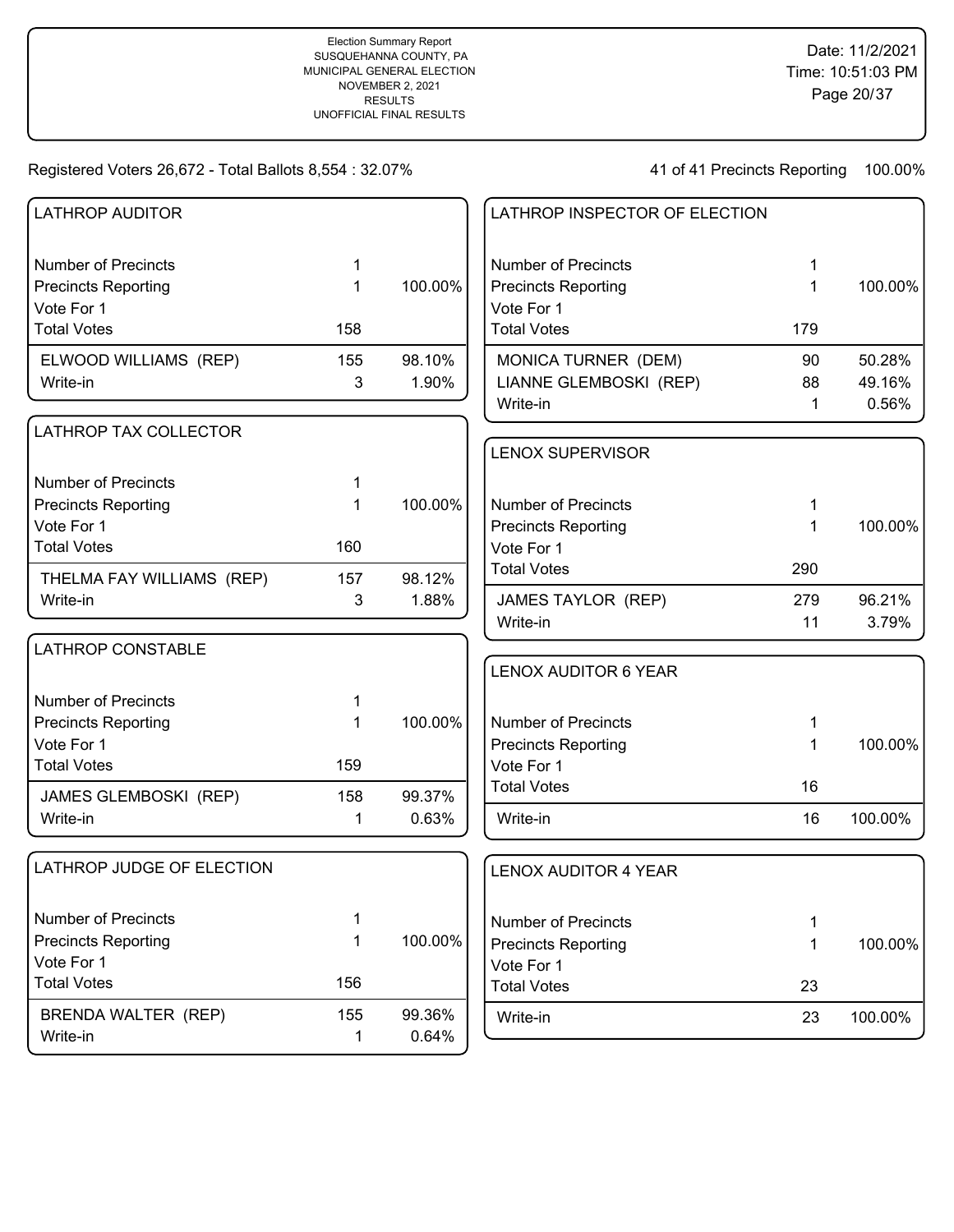| <b>LATHROP AUDITOR</b>           |     |         | LATHROP INSPECTOR OF ELECTION    |     |         |
|----------------------------------|-----|---------|----------------------------------|-----|---------|
| <b>Number of Precincts</b>       | 1   |         | <b>Number of Precincts</b>       | 1   |         |
| <b>Precincts Reporting</b>       | 1   | 100.00% | <b>Precincts Reporting</b>       | 1   | 100.00% |
| Vote For 1<br><b>Total Votes</b> |     |         | Vote For 1<br><b>Total Votes</b> |     |         |
|                                  | 158 |         |                                  | 179 |         |
| ELWOOD WILLIAMS (REP)            | 155 | 98.10%  | MONICA TURNER (DEM)              | 90  | 50.28%  |
| Write-in                         | 3   | 1.90%   | LIANNE GLEMBOSKI (REP)           | 88  | 49.16%  |
|                                  |     |         | Write-in                         | 1   | 0.56%   |
| LATHROP TAX COLLECTOR            |     |         |                                  |     |         |
|                                  |     |         | <b>LENOX SUPERVISOR</b>          |     |         |
| <b>Number of Precincts</b>       | 1   |         |                                  |     |         |
| <b>Precincts Reporting</b>       |     | 100.00% | <b>Number of Precincts</b>       | 1   |         |
| Vote For 1                       |     |         | <b>Precincts Reporting</b>       | 1   | 100.00% |
| <b>Total Votes</b>               | 160 |         | Vote For 1                       |     |         |
| THELMA FAY WILLIAMS (REP)        | 157 | 98.12%  | <b>Total Votes</b>               | 290 |         |
| Write-in                         | 3   | 1.88%   | <b>JAMES TAYLOR (REP)</b>        | 279 | 96.21%  |
|                                  |     |         | Write-in                         | 11  | 3.79%   |
| <b>LATHROP CONSTABLE</b>         |     |         |                                  |     |         |
|                                  |     |         | <b>LENOX AUDITOR 6 YEAR</b>      |     |         |
| <b>Number of Precincts</b>       |     |         |                                  |     |         |
| <b>Precincts Reporting</b>       | 1   | 100.00% | <b>Number of Precincts</b>       | 1   |         |
| Vote For 1                       |     |         | <b>Precincts Reporting</b>       | 1   | 100.00% |
| <b>Total Votes</b>               | 159 |         | Vote For 1                       |     |         |
| JAMES GLEMBOSKI (REP)            | 158 | 99.37%  | <b>Total Votes</b>               | 16  |         |
| Write-in                         | 1   | 0.63%   | Write-in                         | 16  | 100.00% |
| LATHROP JUDGE OF ELECTION        |     |         | <b>LENOX AUDITOR 4 YEAR</b>      |     |         |
|                                  |     |         |                                  |     |         |
| <b>Number of Precincts</b>       | 1   |         | <b>Number of Precincts</b>       | 1   |         |
| <b>Precincts Reporting</b>       | 1   | 100.00% | <b>Precincts Reporting</b>       | 1   | 100.00% |
| Vote For 1<br><b>Total Votes</b> | 156 |         | Vote For 1                       |     |         |
|                                  |     |         | <b>Total Votes</b>               | 23  |         |
| BRENDA WALTER (REP)              | 155 | 99.36%  | Write-in                         | 23  | 100.00% |
| Write-in                         | 1   | 0.64%   |                                  |     |         |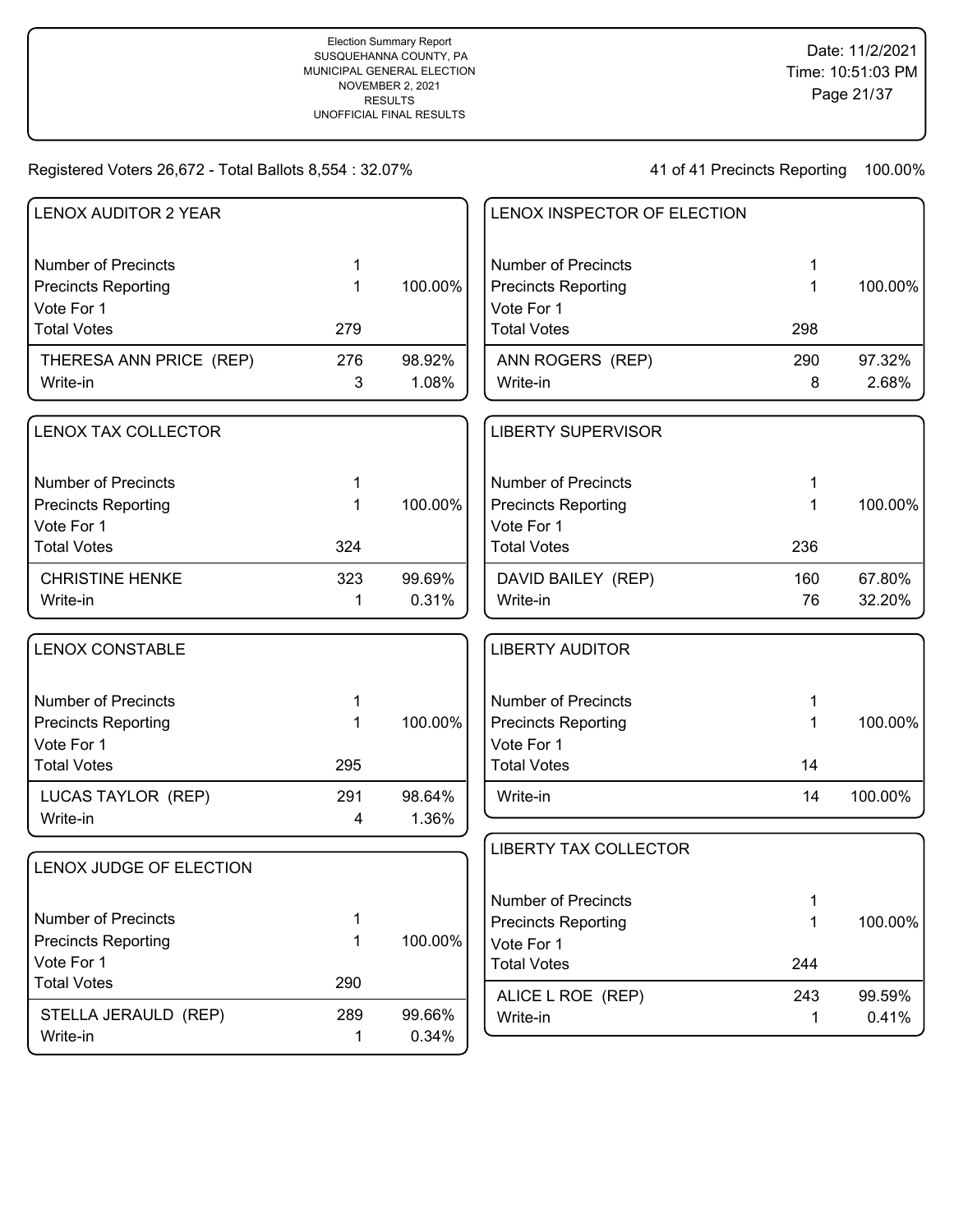| <b>LENOX AUDITOR 2 YEAR</b> |     |         | LENOX INSPECTOR OF ELECTION              |     |         |
|-----------------------------|-----|---------|------------------------------------------|-----|---------|
| <b>Number of Precincts</b>  | 1   |         | <b>Number of Precincts</b>               | 1   |         |
| <b>Precincts Reporting</b>  | 1   | 100.00% | <b>Precincts Reporting</b>               | 1   | 100.00% |
| Vote For 1                  |     |         | Vote For 1                               |     |         |
| <b>Total Votes</b>          | 279 |         | <b>Total Votes</b>                       | 298 |         |
| THERESA ANN PRICE (REP)     | 276 | 98.92%  | ANN ROGERS (REP)                         | 290 | 97.32%  |
| Write-in                    | 3   | 1.08%   | Write-in                                 | 8   | 2.68%   |
| LENOX TAX COLLECTOR         |     |         | <b>LIBERTY SUPERVISOR</b>                |     |         |
| <b>Number of Precincts</b>  | 1   |         | <b>Number of Precincts</b>               | 1   |         |
| <b>Precincts Reporting</b>  | 1   | 100.00% | <b>Precincts Reporting</b>               | 1   | 100.00% |
| Vote For 1                  |     |         | Vote For 1                               |     |         |
| <b>Total Votes</b>          | 324 |         | <b>Total Votes</b>                       | 236 |         |
| <b>CHRISTINE HENKE</b>      | 323 | 99.69%  | DAVID BAILEY (REP)                       | 160 | 67.80%  |
| Write-in                    | 1   | 0.31%   | Write-in                                 | 76  | 32.20%  |
| <b>LENOX CONSTABLE</b>      |     |         | <b>LIBERTY AUDITOR</b>                   |     |         |
| <b>Number of Precincts</b>  | 1   |         | <b>Number of Precincts</b>               | 1   |         |
| <b>Precincts Reporting</b>  | 1   | 100.00% | <b>Precincts Reporting</b>               | 1   | 100.00% |
| Vote For 1                  |     |         | Vote For 1                               |     |         |
| <b>Total Votes</b>          | 295 |         | <b>Total Votes</b>                       | 14  |         |
| LUCAS TAYLOR (REP)          | 291 | 98.64%  | Write-in                                 | 14  | 100.00% |
| Write-in                    | 4   | 1.36%   |                                          |     |         |
| LENOX JUDGE OF ELECTION     |     |         | <b>LIBERTY TAX COLLECTOR</b>             |     |         |
|                             |     |         |                                          |     |         |
| <b>Number of Precincts</b>  | 1   |         | <b>Number of Precincts</b>               | 1   |         |
| <b>Precincts Reporting</b>  | 1   | 100.00% | <b>Precincts Reporting</b><br>Vote For 1 | 1   | 100.00% |
| Vote For 1                  |     |         | <b>Total Votes</b>                       | 244 |         |
| <b>Total Votes</b>          | 290 |         |                                          |     |         |
|                             |     |         | ALICE L ROE (REP)                        | 243 | 99.59%  |
| STELLA JERAULD (REP)        | 289 | 99.66%  | Write-in                                 | 1   | 0.41%   |
| Write-in                    | 1   | 0.34%   |                                          |     |         |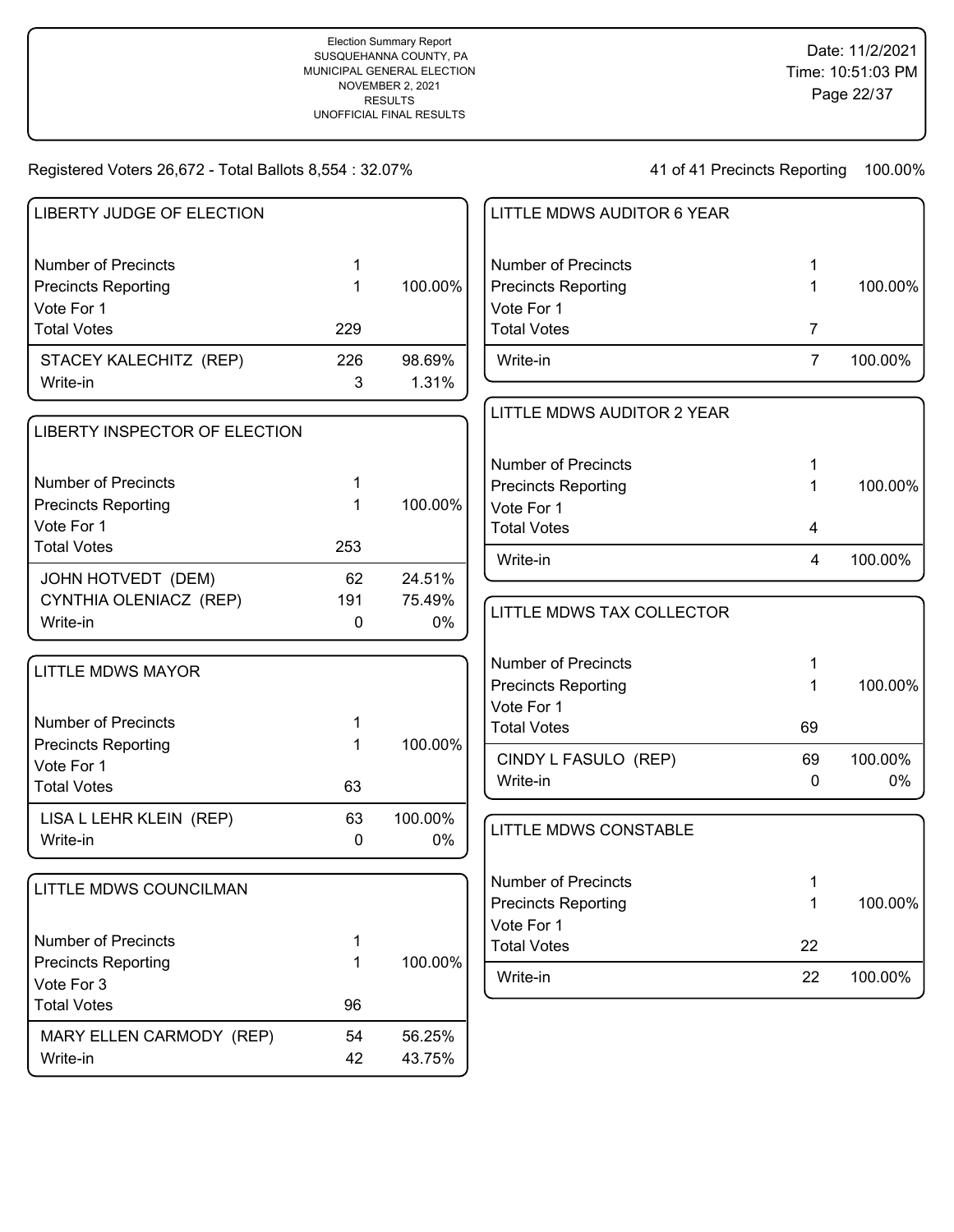| LIBERTY JUDGE OF ELECTION                                                                    |                |                        | <b>LITTLE N</b>                                                   |
|----------------------------------------------------------------------------------------------|----------------|------------------------|-------------------------------------------------------------------|
| <b>Number of Precincts</b><br><b>Precincts Reporting</b>                                     | 1<br>1         | 100.00%                | Number o<br>Precincts                                             |
| Vote For 1<br><b>Total Votes</b>                                                             | 229            |                        | Vote For<br><b>Total Vot</b>                                      |
| STACEY KALECHITZ (REP)<br>Write-in                                                           | 226<br>3       | 98.69%<br>1.31%        | Write-in                                                          |
| LIBERTY INSPECTOR OF ELECTION                                                                |                |                        | <b>LITTLE N</b>                                                   |
| <b>Number of Precincts</b><br><b>Precincts Reporting</b><br>Vote For 1<br><b>Total Votes</b> | 1<br>1<br>253  | 100.00%                | Number o<br>Precincts<br>Vote For<br><b>Total Vot</b><br>Write-in |
| JOHN HOTVEDT (DEM)<br>CYNTHIA OLENIACZ (REP)<br>Write-in                                     | 62<br>191<br>0 | 24.51%<br>75.49%<br>0% | <b>LITTLE N</b>                                                   |
| <b>LITTLE MDWS MAYOR</b>                                                                     |                |                        | Number o<br>Precincts<br>Vote For                                 |
| <b>Number of Precincts</b><br><b>Precincts Reporting</b><br>Vote For 1                       | 1<br>1         | 100.00%                | <b>Total Vot</b><br><b>CINDY I</b>                                |
| <b>Total Votes</b>                                                                           | 63             |                        | Write-in                                                          |
| LISA L LEHR KLEIN (REP)<br>Write-in                                                          | 63<br>0        | 100.00%<br>0%          | <b>LITTLE N</b>                                                   |
| LITTLE MDWS COUNCILMAN                                                                       |                |                        | Number o<br>Precincts<br>Vote For                                 |
| <b>Number of Precincts</b>                                                                   | 1              |                        | <b>Total Vot</b>                                                  |
| <b>Precincts Reporting</b><br>Vote For 3                                                     | 1              | 100.00%                | Write-in                                                          |
| <b>Total Votes</b>                                                                           | 96             |                        |                                                                   |
| MARY ELLEN CARMODY (REP)<br>Write-in                                                         | 54<br>42       | 56.25%<br>43.75%       |                                                                   |

| LITTLE MDWS AUDITOR 6 YEAR |   |         |
|----------------------------|---|---------|
| Number of Precincts        | 1 |         |
| <b>Precincts Reporting</b> | 1 | 100.00% |
| Vote For 1                 |   |         |
| <b>Total Votes</b>         | 7 |         |
| Write-in                   | 7 | 100.00% |
|                            |   |         |
|                            |   |         |
| LITTLE MDWS AUDITOR 2 YEAR |   |         |
|                            |   |         |
| <b>Number of Precincts</b> | 1 |         |
| <b>Precincts Reporting</b> | 1 | 100.00% |
| Vote For 1                 |   |         |
| Total Votes                | 4 |         |

| LITTLE MDWS TAX COLLECTOR        |         |               |
|----------------------------------|---------|---------------|
| Number of Precincts              | 1       |               |
| <b>Precincts Reporting</b>       | 1       | 100.00%       |
| Vote For 1                       |         |               |
| <b>Total Votes</b>               | 69      |               |
| CINDY L FASULO (REP)<br>Write-in | 69<br>0 | 100.00%<br>0% |

| LITTLE MDWS CONSTABLE      |    |         |
|----------------------------|----|---------|
| Number of Precincts        | 1  |         |
| <b>Precincts Reporting</b> | 1  | 100.00% |
| Vote For 1                 |    |         |
| <b>Total Votes</b>         | 22 |         |
| Write-in                   | 22 | 100.00% |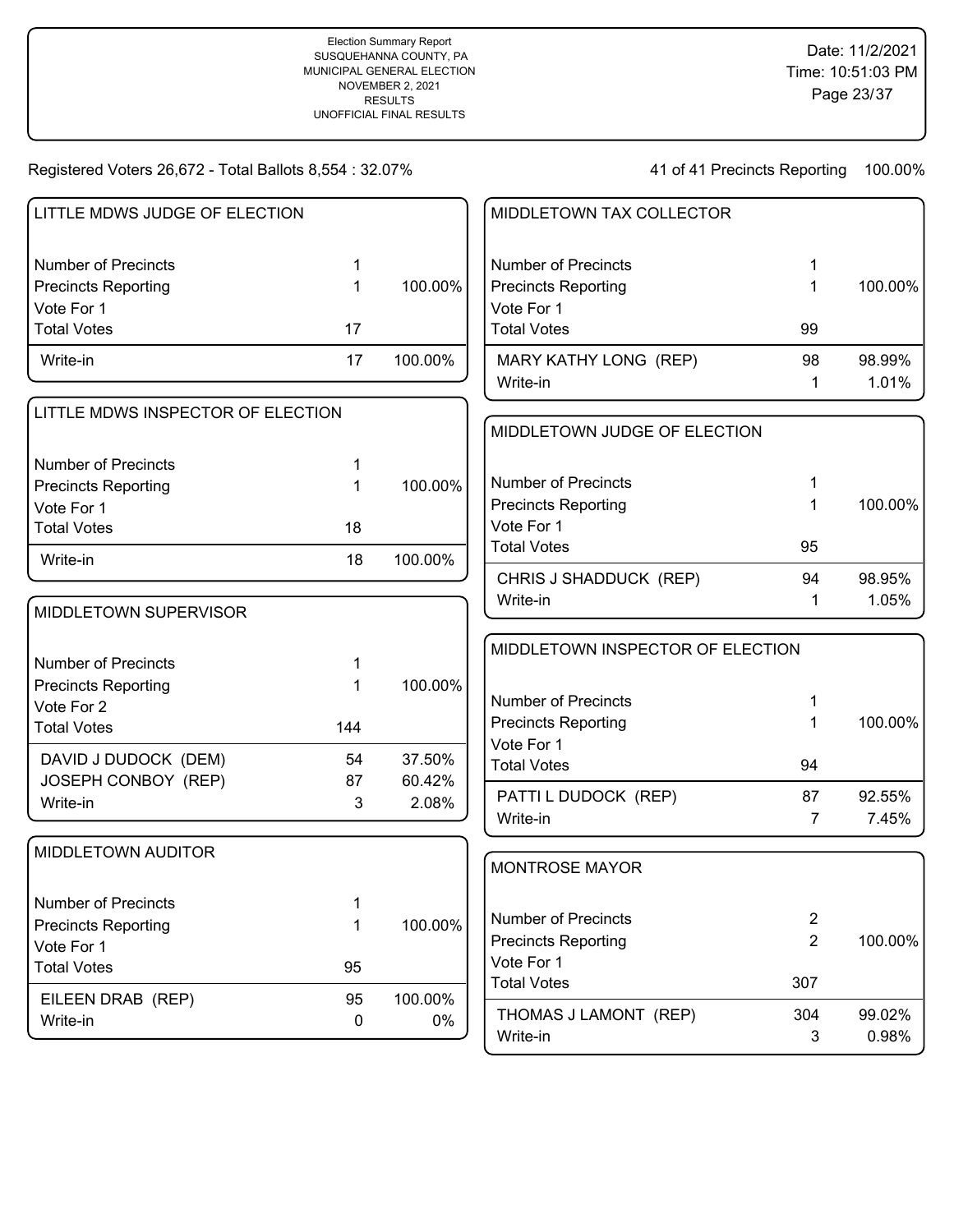| LITTLE MDWS JUDGE OF ELECTION     |                  |         | MIDDLETOWN TAX COLLECTOR                 |                |         |
|-----------------------------------|------------------|---------|------------------------------------------|----------------|---------|
| <b>Number of Precincts</b>        | 1                |         | <b>Number of Precincts</b>               | 1              |         |
| <b>Precincts Reporting</b>        | $\mathbf 1$      | 100.00% | <b>Precincts Reporting</b>               | 1              | 100.00% |
| Vote For 1                        |                  |         | Vote For 1                               |                |         |
| <b>Total Votes</b>                | 17               |         | <b>Total Votes</b>                       | 99             |         |
| Write-in                          | 17               | 100.00% | MARY KATHY LONG (REP)                    | 98             | 98.99%  |
|                                   |                  |         | Write-in                                 | 1              | 1.01%   |
| LITTLE MDWS INSPECTOR OF ELECTION |                  |         |                                          |                |         |
|                                   |                  |         | MIDDLETOWN JUDGE OF ELECTION             |                |         |
| <b>Number of Precincts</b>        | 1                |         |                                          |                |         |
| <b>Precincts Reporting</b>        | 1                | 100.00% | <b>Number of Precincts</b>               |                |         |
| Vote For 1                        |                  |         | <b>Precincts Reporting</b>               |                | 100.00% |
| <b>Total Votes</b>                | 18               |         | Vote For 1                               |                |         |
| Write-in                          | 18               | 100.00% | <b>Total Votes</b>                       | 95             |         |
|                                   |                  |         | CHRIS J SHADDUCK (REP)                   | 94             | 98.95%  |
| MIDDLETOWN SUPERVISOR             |                  |         | Write-in                                 | 1              | 1.05%   |
|                                   |                  |         | MIDDLETOWN INSPECTOR OF ELECTION         |                |         |
| <b>Number of Precincts</b>        | 1                |         |                                          |                |         |
| <b>Precincts Reporting</b>        | 1                | 100.00% |                                          |                |         |
| Vote For 2                        |                  |         | <b>Number of Precincts</b>               | 1              |         |
| <b>Total Votes</b>                | 144              |         | <b>Precincts Reporting</b><br>Vote For 1 | 1              | 100.00% |
| DAVID J DUDOCK (DEM)              | 54               | 37.50%  | <b>Total Votes</b>                       | 94             |         |
| JOSEPH CONBOY (REP)               | 87               | 60.42%  |                                          |                |         |
| Write-in                          | 3                | 2.08%   | PATTI L DUDOCK (REP)                     | 87             | 92.55%  |
|                                   |                  |         | Write-in                                 | 7              | 7.45%   |
| MIDDLETOWN AUDITOR                |                  |         |                                          |                |         |
|                                   |                  |         | <b>MONTROSE MAYOR</b>                    |                |         |
| Number of Precincts               | 1                |         |                                          |                |         |
| <b>Precincts Reporting</b>        | 1                | 100.00% | <b>Number of Precincts</b>               | $\overline{2}$ |         |
| Vote For 1                        |                  |         | <b>Precincts Reporting</b>               | $\overline{2}$ | 100.00% |
| <b>Total Votes</b>                | 95               |         | Vote For 1                               |                |         |
| EILEEN DRAB (REP)                 | 95               | 100.00% | <b>Total Votes</b>                       | 307            |         |
| Write-in                          | $\boldsymbol{0}$ | $0\%$   | THOMAS J LAMONT (REP)                    | 304            | 99.02%  |
|                                   |                  |         | Write-in                                 | 3              | 0.98%   |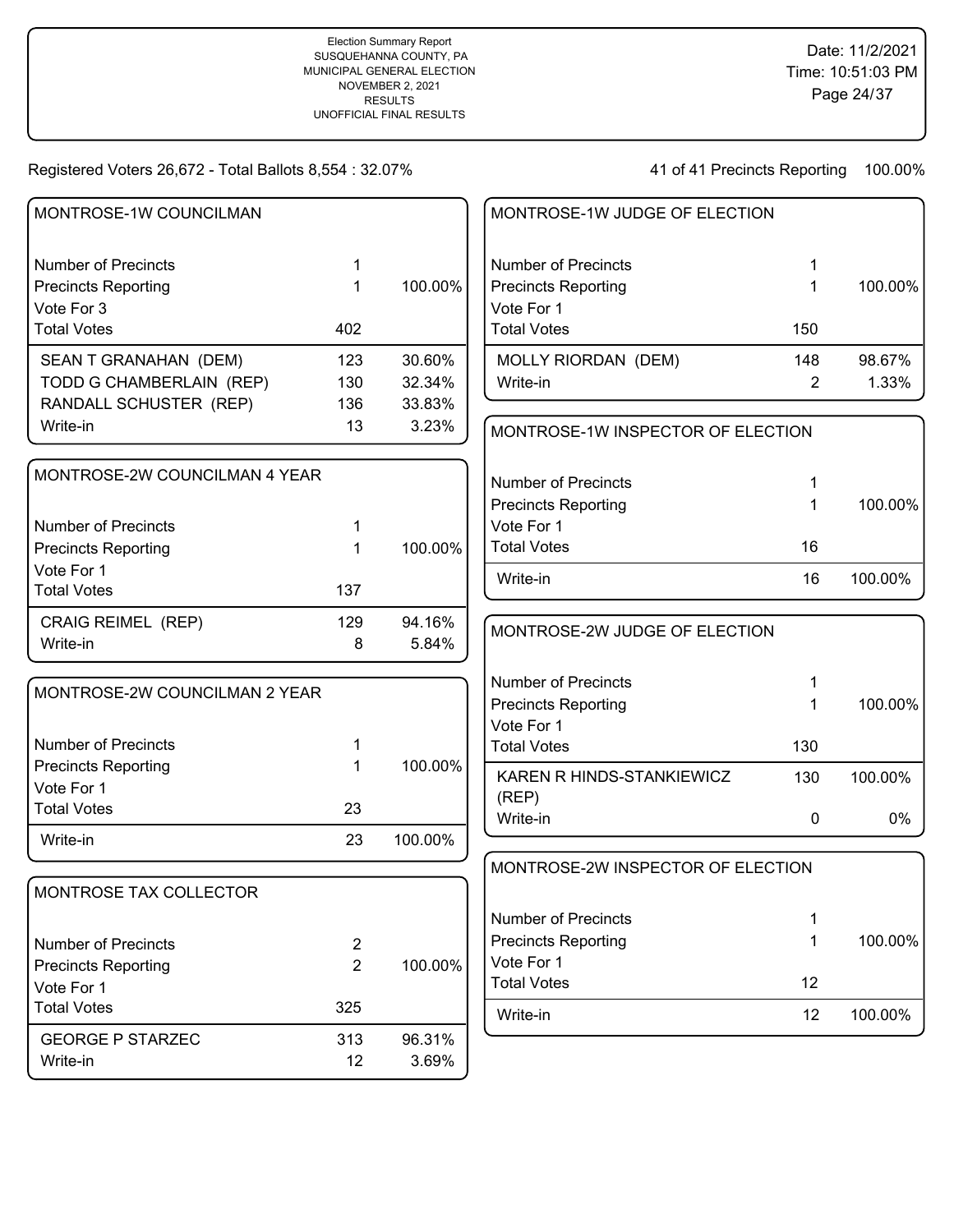| MONTROSE-1W COUNCILMAN        |                |         | MONTROSE-1W JUDGE OF ELECTION     |     |         |
|-------------------------------|----------------|---------|-----------------------------------|-----|---------|
| <b>Number of Precincts</b>    | 1              |         | <b>Number of Precincts</b>        | 1   |         |
| <b>Precincts Reporting</b>    | 1              | 100.00% | <b>Precincts Reporting</b>        | 1   | 100.00% |
| Vote For 3                    |                |         | Vote For 1                        |     |         |
| <b>Total Votes</b>            | 402            |         | <b>Total Votes</b>                | 150 |         |
| SEAN T GRANAHAN (DEM)         | 123            | 30.60%  | MOLLY RIORDAN (DEM)               | 148 | 98.67%  |
| TODD G CHAMBERLAIN (REP)      | 130            | 32.34%  | Write-in                          | 2   | 1.33%   |
| RANDALL SCHUSTER (REP)        | 136            | 33.83%  |                                   |     |         |
| Write-in                      | 13             | 3.23%   | MONTROSE-1W INSPECTOR OF ELECTION |     |         |
| MONTROSE-2W COUNCILMAN 4 YEAR |                |         | <b>Number of Precincts</b>        | 1   |         |
|                               |                |         | <b>Precincts Reporting</b>        | 1   | 100.00% |
| <b>Number of Precincts</b>    | 1              |         | Vote For 1                        |     |         |
| <b>Precincts Reporting</b>    | 1              | 100.00% | <b>Total Votes</b>                | 16  |         |
| Vote For 1                    |                |         |                                   |     |         |
| <b>Total Votes</b>            | 137            |         | Write-in                          | 16  | 100.00% |
| <b>CRAIG REIMEL (REP)</b>     | 129            | 94.16%  | MONTROSE-2W JUDGE OF ELECTION     |     |         |
| Write-in                      | 8              | 5.84%   |                                   |     |         |
| MONTROSE-2W COUNCILMAN 2 YEAR |                |         | <b>Number of Precincts</b>        | 1   |         |
|                               |                |         | <b>Precincts Reporting</b>        | 1   | 100.00% |
|                               |                |         | Vote For 1                        |     |         |
| <b>Number of Precincts</b>    |                |         | <b>Total Votes</b>                | 130 |         |
| <b>Precincts Reporting</b>    | 1              | 100.00% | KAREN R HINDS-STANKIEWICZ         | 130 | 100.00% |
| Vote For 1                    |                |         | (REP)                             |     |         |
| <b>Total Votes</b>            | 23             |         | Write-in                          | 0   | 0%      |
| Write-in                      | 23             | 100.00% |                                   |     |         |
|                               |                |         | MONTROSE-2W INSPECTOR OF ELECTION |     |         |
| MONTROSE TAX COLLECTOR        |                |         |                                   |     |         |
|                               |                |         | <b>Number of Precincts</b>        | 1   |         |
| <b>Number of Precincts</b>    | $\overline{c}$ |         | <b>Precincts Reporting</b>        | 1   | 100.00% |
| <b>Precincts Reporting</b>    | $\overline{2}$ | 100.00% | Vote For 1                        |     |         |
| Vote For 1                    |                |         | <b>Total Votes</b>                | 12  |         |
| <b>Total Votes</b>            | 325            |         | Write-in                          | 12  | 100.00% |
| <b>GEORGE P STARZEC</b>       | 313            | 96.31%  |                                   |     |         |
| Write-in                      | 12             | 3.69%   |                                   |     |         |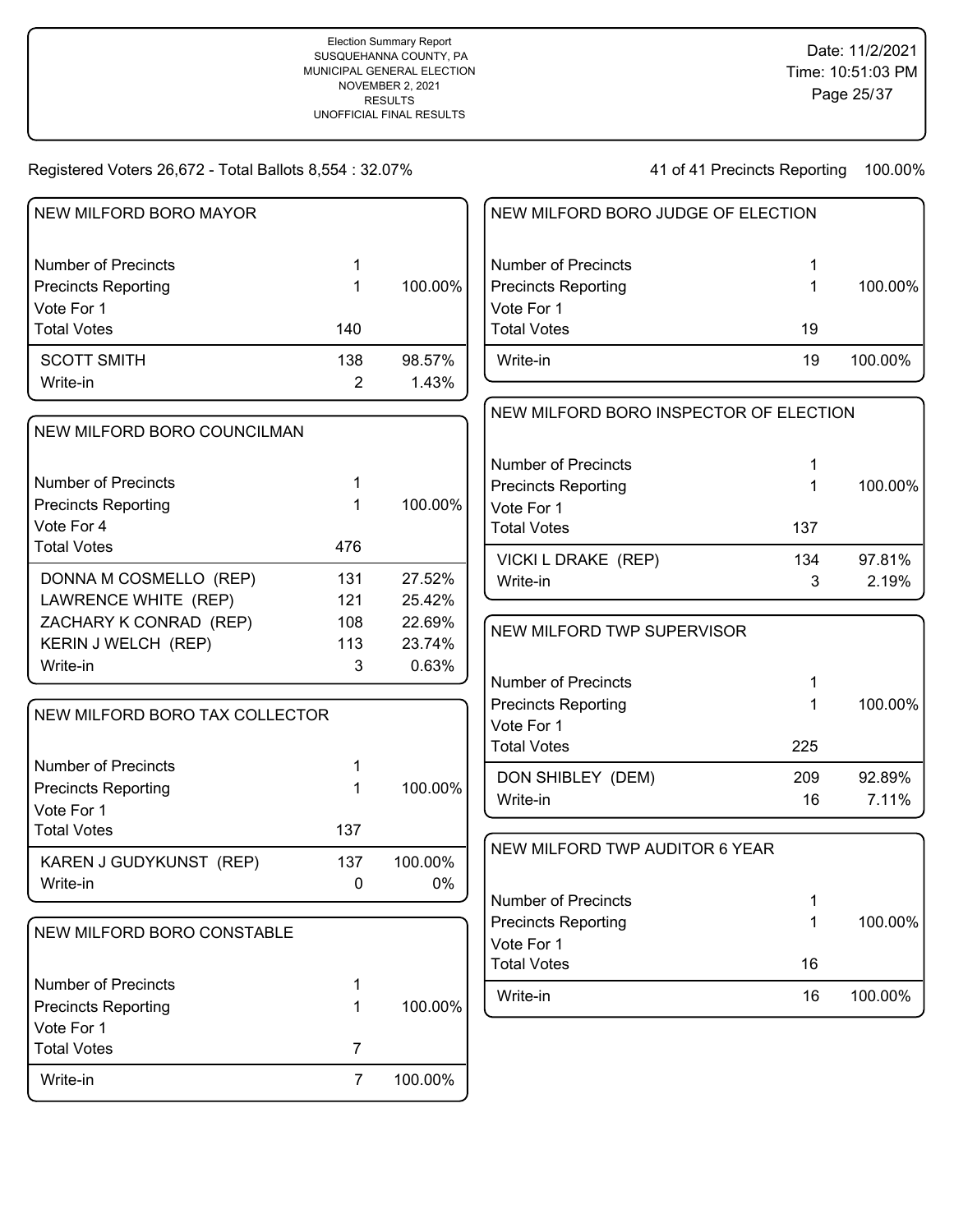41 of 41 Precincts Reporting 100.00%

| <b>NEW MILFORD BORO MAYOR</b>    |     |         | <b>NEW</b>      |
|----------------------------------|-----|---------|-----------------|
| <b>Number of Precincts</b>       | 1   |         | Numb            |
| <b>Precincts Reporting</b>       | 1   | 100.00% | Precir          |
| Vote For 1<br><b>Total Votes</b> | 140 |         | Vote I<br>Total |
|                                  |     |         |                 |
| <b>SCOTT SMITH</b>               | 138 | 98.57%  | Write           |
| Write-in                         | 2   | 1.43%   |                 |
| NEW MILFORD BORO COUNCILMAN      |     |         | <b>NEW</b>      |
|                                  |     |         | Numb            |
| <b>Number of Precincts</b>       | 1   |         | Precir          |
| <b>Precincts Reporting</b>       | 1   | 100.00% | Vote I          |
| Vote For 4<br><b>Total Votes</b> | 476 |         | Total           |
|                                  |     |         | <b>VICK</b>     |
| DONNA M COSMELLO (REP)           | 131 | 27.52%  | Write           |
| LAWRENCE WHITE (REP)             | 121 | 25.42%  |                 |
| ZACHARY K CONRAD (REP)           | 108 | 22.69%  | <b>NEW</b>      |
| KERIN J WELCH (REP)              | 113 | 23.74%  |                 |
| Write-in                         | 3   | 0.63%   | Numb            |
| NEW MILFORD BORO TAX COLLECTOR   |     |         | Precir          |
|                                  |     |         | Vote I          |
| <b>Number of Precincts</b>       | 1   |         | Total           |
| <b>Precincts Reporting</b>       | 1   | 100.00% | <b>DON</b>      |
| Vote For 1                       |     |         | Write           |
| <b>Total Votes</b>               | 137 |         |                 |
| KAREN J GUDYKUNST (REP)          | 137 | 100.00% | <b>NEW</b>      |
| Write-in                         | 0   | 0%      |                 |
|                                  |     |         | Numb<br>Precir  |
| NEW MILFORD BORO CONSTABLE       |     |         | Vote I          |
|                                  |     |         | Total           |
| <b>Number of Precincts</b>       | 1   |         | Write           |
| <b>Precincts Reporting</b>       | 1   | 100.00% |                 |
| Vote For 1                       |     |         |                 |

Write-in 7 100.00%

Total Votes 7

| NEW MILFORD BORO JUDGE OF ELECTION |    |         |
|------------------------------------|----|---------|
| Number of Precincts                | 1  |         |
| <b>Precincts Reporting</b>         | 1  | 100.00% |
| Vote For 1                         |    |         |
| <b>Total Votes</b>                 | 19 |         |
| Write-in                           | 19 | 100.00% |
|                                    |    |         |

| NEW MILFORD BORO INSPECTOR OF ELECTION            |          |                 |
|---------------------------------------------------|----------|-----------------|
| Number of Precincts<br><b>Precincts Reporting</b> | 1<br>1   | 100.00%         |
| Vote For 1<br><b>Total Votes</b>                  | 137      |                 |
| VICKI L DRAKE (REP)<br>Write-in                   | 134<br>3 | 97.81%<br>2.19% |

| NEW MILFORD TWP SUPERVISOR |     |         |
|----------------------------|-----|---------|
| Number of Precincts        | 1   |         |
| <b>Precincts Reporting</b> | 1   | 100.00% |
| Vote For 1                 |     |         |
| <b>Total Votes</b>         | 225 |         |
| DON SHIBLEY (DEM)          | 209 | 92.89%  |
| Write-in                   | 16  | 7.11%   |

| NEW MILFORD TWP AUDITOR 6 YEAR |    |         |
|--------------------------------|----|---------|
| Number of Precincts            |    |         |
| <b>Precincts Reporting</b>     |    | 100.00% |
| Vote For 1                     |    |         |
| <b>Total Votes</b>             | 16 |         |
| Write-in                       | 16 | 100.00% |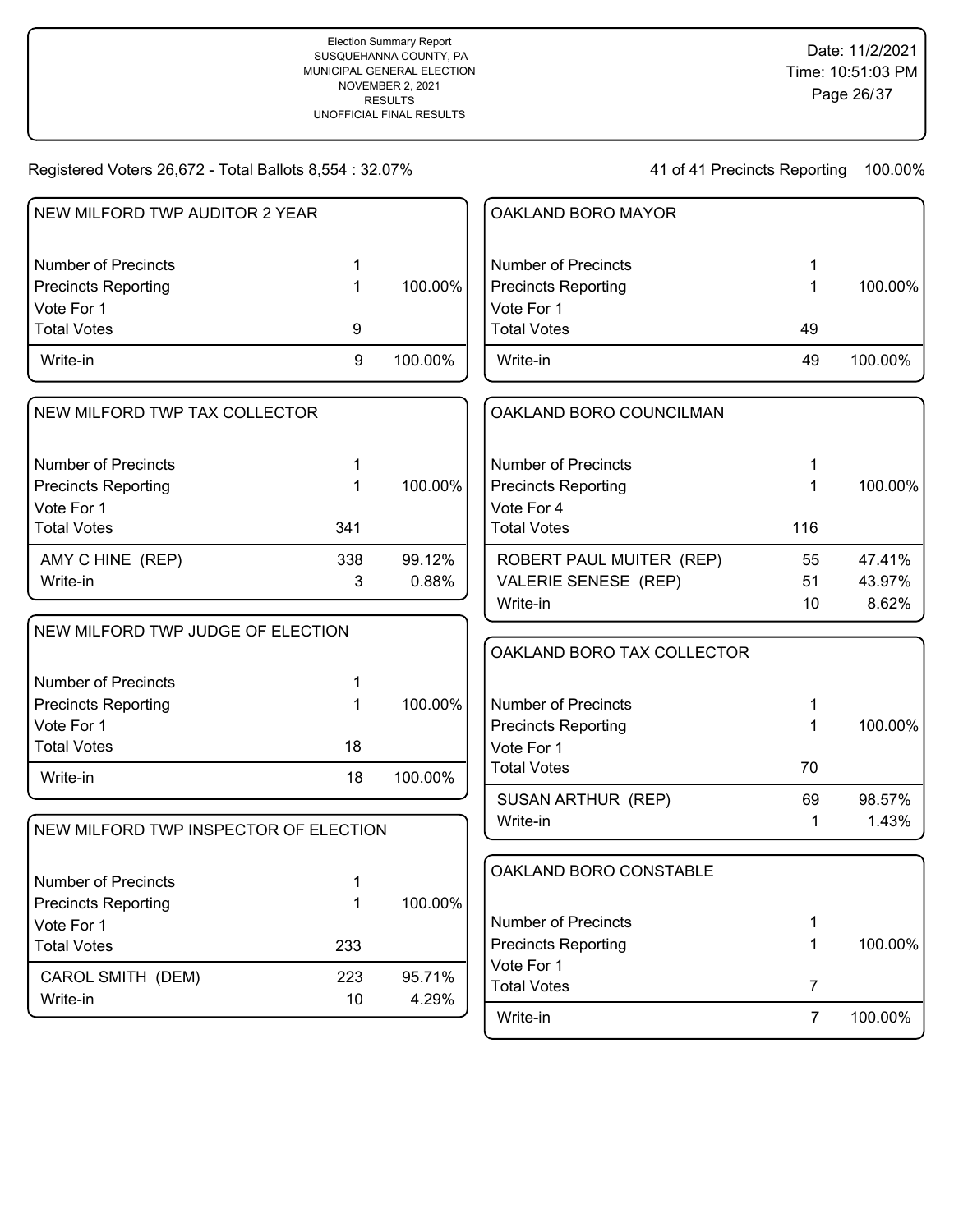100.00%

100.00%

100.00%

Registered Voters 26,672 - Total Ballots 8,554 : 32.07%

CAROL SMITH (DEM) 223 95.71% Write-in 29%

Total Votes 233

Vote For 1

| NEW MILFORD TWP AUDITOR 2 YEAR        |     |         | OAKLAND BORO MAYOR         |     |         |
|---------------------------------------|-----|---------|----------------------------|-----|---------|
| <b>Number of Precincts</b>            | 1   |         | <b>Number of Precincts</b> | 1   |         |
| <b>Precincts Reporting</b>            | 1   | 100.00% | <b>Precincts Reporting</b> | 1   | 100.00% |
| Vote For 1                            |     |         | Vote For 1                 |     |         |
| <b>Total Votes</b>                    | 9   |         | <b>Total Votes</b>         | 49  |         |
| Write-in                              | 9   | 100.00% | Write-in                   | 49  | 100.00% |
| NEW MILFORD TWP TAX COLLECTOR         |     |         | OAKLAND BORO COUNCILMAN    |     |         |
| <b>Number of Precincts</b>            | 1   |         | <b>Number of Precincts</b> | 1   |         |
| <b>Precincts Reporting</b>            | 1   | 100.00% | <b>Precincts Reporting</b> | 1   | 100.00% |
| Vote For 1                            |     |         | Vote For 4                 |     |         |
| <b>Total Votes</b>                    | 341 |         | <b>Total Votes</b>         | 116 |         |
| AMY C HINE (REP)                      | 338 | 99.12%  | ROBERT PAUL MUITER (REP)   | 55  | 47.41%  |
| Write-in                              | 3   | 0.88%   | VALERIE SENESE (REP)       | 51  | 43.97%  |
|                                       |     |         | Write-in                   | 10  | 8.62%   |
| NEW MILFORD TWP JUDGE OF ELECTION     |     |         |                            |     |         |
|                                       |     |         | OAKLAND BORO TAX COLLECTOR |     |         |
| <b>Number of Precincts</b>            | 1   |         |                            |     |         |
| <b>Precincts Reporting</b>            | 1   | 100.00% | <b>Number of Precincts</b> | 1   |         |
| Vote For 1                            |     |         | <b>Precincts Reporting</b> | 1   | 100.00% |
| <b>Total Votes</b>                    | 18  |         | Vote For 1                 |     |         |
| Write-in                              | 18  | 100.00% | <b>Total Votes</b>         | 70  |         |
|                                       |     |         | SUSAN ARTHUR (REP)         | 69  | 98.57%  |
| NEW MILFORD TWP INSPECTOR OF ELECTION |     |         | Write-in                   | 1   | 1.43%   |
| <b>Number of Precincts</b>            |     |         | OAKLAND BORO CONSTABLE     |     |         |
| <b>Precincts Reporting</b>            | 1   | 100.00% |                            |     |         |

| Number of Precincts        |    |         |
|----------------------------|----|---------|
| <b>Precincts Reporting</b> | 1. | 100.00% |
| Vote For 1                 |    |         |
| <b>Total Votes</b>         |    |         |
| Write-in                   | 7  | 100.00% |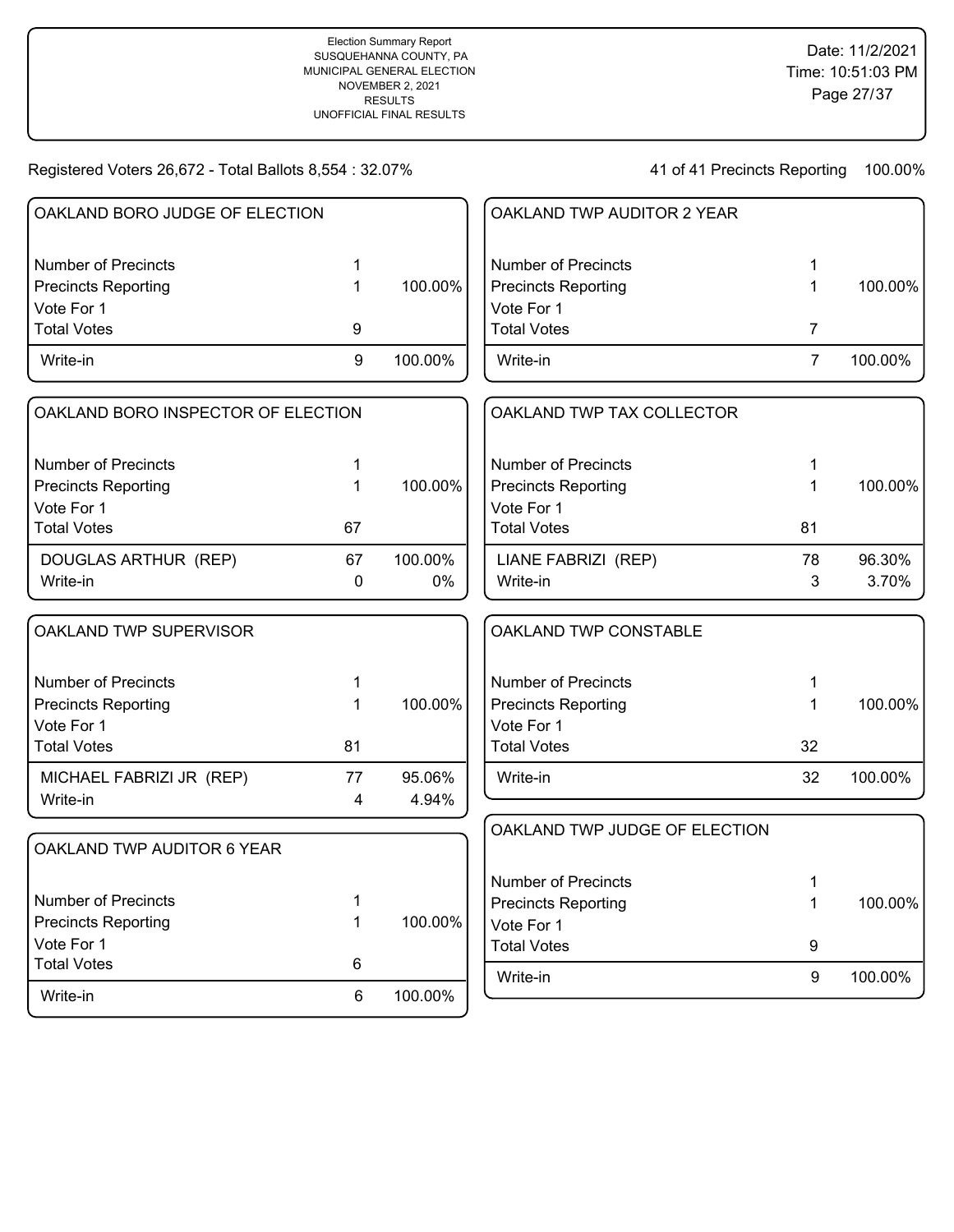Write-in 6 100.00%

Total Votes 6

41 of 41 Precincts Reporting 100.00%

Write-in 9 100.00%

| OAKLAND BORO JUDGE OF ELECTION     |             |         | OAKLAND TWP AUDITOR 2 YEAR    |                |         |
|------------------------------------|-------------|---------|-------------------------------|----------------|---------|
| <b>Number of Precincts</b>         | 1           |         | <b>Number of Precincts</b>    | 1              |         |
| <b>Precincts Reporting</b>         | 1           | 100.00% | <b>Precincts Reporting</b>    | 1              | 100.00% |
| Vote For 1                         |             |         | Vote For 1                    |                |         |
| <b>Total Votes</b>                 | 9           |         | <b>Total Votes</b>            | $\overline{7}$ |         |
| Write-in                           | 9           | 100.00% | Write-in                      | $\overline{7}$ | 100.00% |
| OAKLAND BORO INSPECTOR OF ELECTION |             |         | OAKLAND TWP TAX COLLECTOR     |                |         |
| <b>Number of Precincts</b>         | 1           |         | <b>Number of Precincts</b>    | 1              |         |
| <b>Precincts Reporting</b>         | $\mathbf 1$ | 100.00% | <b>Precincts Reporting</b>    | 1              | 100.00% |
| Vote For 1                         |             |         | Vote For 1                    |                |         |
| <b>Total Votes</b>                 | 67          |         | <b>Total Votes</b>            | 81             |         |
| DOUGLAS ARTHUR (REP)               | 67          | 100.00% | LIANE FABRIZI (REP)           | 78             | 96.30%  |
| Write-in                           | $\mathbf 0$ | $0\%$   | Write-in                      | 3              | 3.70%   |
| OAKLAND TWP SUPERVISOR             |             |         | OAKLAND TWP CONSTABLE         |                |         |
| <b>Number of Precincts</b>         | 1           |         | <b>Number of Precincts</b>    | 1              |         |
| <b>Precincts Reporting</b>         | 1           | 100.00% | <b>Precincts Reporting</b>    | 1              | 100.00% |
| Vote For 1                         |             |         | Vote For 1                    |                |         |
| <b>Total Votes</b>                 | 81          |         | <b>Total Votes</b>            | 32             |         |
| MICHAEL FABRIZI JR (REP)           | 77          | 95.06%  | Write-in                      | 32             | 100.00% |
| Write-in                           | 4           | 4.94%   |                               |                |         |
| OAKLAND TWP AUDITOR 6 YEAR         |             |         | OAKLAND TWP JUDGE OF ELECTION |                |         |
|                                    |             |         | <b>Number of Precincts</b>    |                |         |
| <b>Number of Precincts</b>         | 1           |         | <b>Precincts Reporting</b>    | 1<br>1         | 100.00% |
| <b>Precincts Reporting</b>         | 1           | 100.00% | Vote For 1                    |                |         |
| Vote For 1                         |             |         | <b>Total Votes</b>            | 9              |         |
|                                    |             |         |                               |                |         |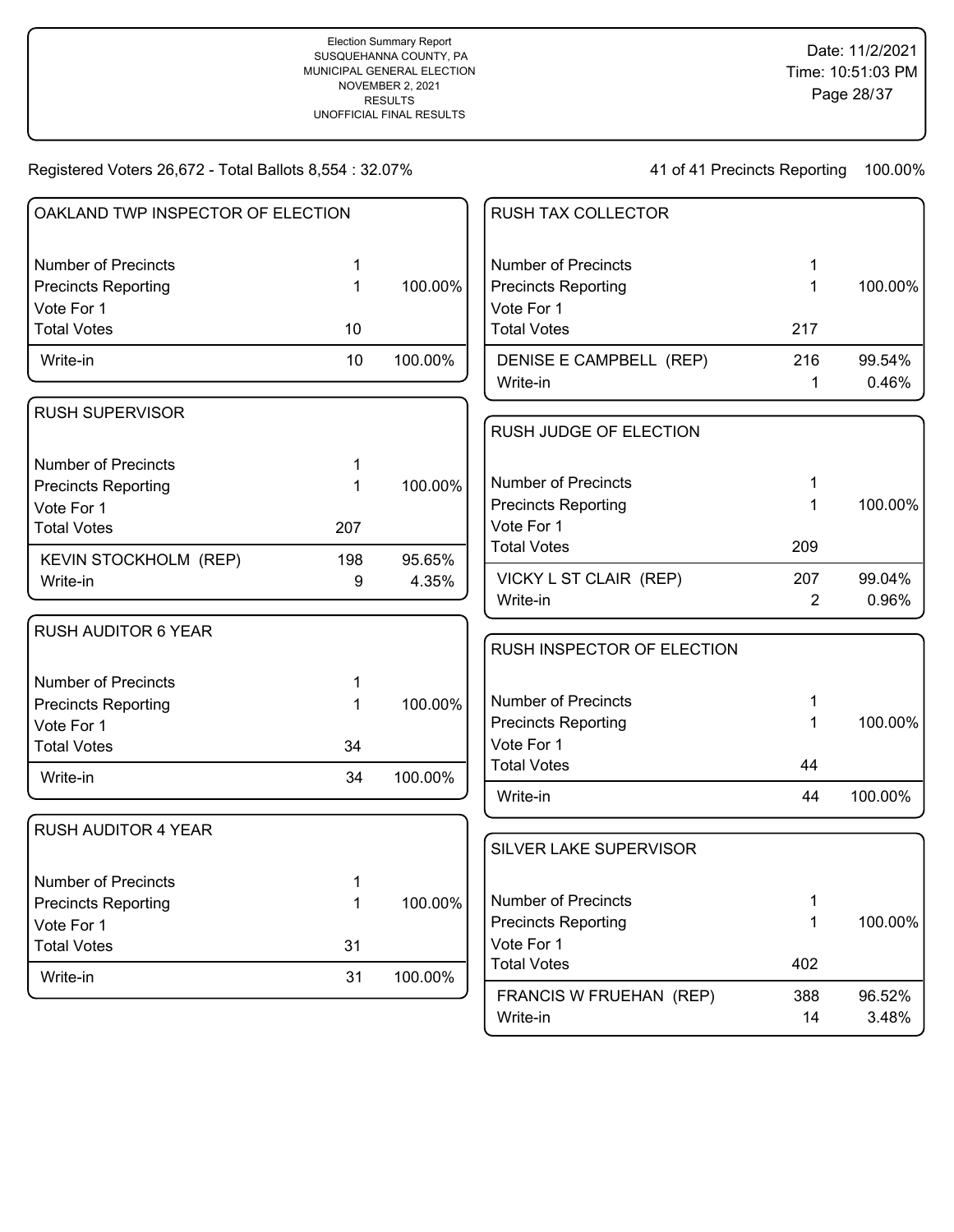41 of 41 Precincts Reporting 100.00%

Write-in 2.48%

| OAKLAND TWP INSPECTOR OF ELECTION |              |         | RUSH TAX COLLECTOR         |              |         |
|-----------------------------------|--------------|---------|----------------------------|--------------|---------|
| <b>Number of Precincts</b>        | 1            |         | <b>Number of Precincts</b> | 1            |         |
| <b>Precincts Reporting</b>        | $\mathbf{1}$ | 100.00% | <b>Precincts Reporting</b> | $\mathbf{1}$ | 100.00% |
| Vote For 1                        |              |         | Vote For 1                 |              |         |
| <b>Total Votes</b>                | 10           |         | <b>Total Votes</b>         | 217          |         |
| Write-in                          | 10           | 100.00% | DENISE E CAMPBELL (REP)    | 216          | 99.54%  |
|                                   |              |         | Write-in                   | $\mathbf{1}$ | 0.46%   |
| <b>RUSH SUPERVISOR</b>            |              |         |                            |              |         |
|                                   |              |         | RUSH JUDGE OF ELECTION     |              |         |
| <b>Number of Precincts</b>        | 1            |         |                            |              |         |
| <b>Precincts Reporting</b>        | 1            | 100.00% | <b>Number of Precincts</b> | 1            |         |
| Vote For 1                        |              |         | <b>Precincts Reporting</b> | 1            | 100.00% |
| <b>Total Votes</b>                | 207          |         | Vote For 1                 |              |         |
| KEVIN STOCKHOLM (REP)             | 198          | 95.65%  | <b>Total Votes</b>         | 209          |         |
| Write-in                          | 9            | 4.35%   | VICKY L ST CLAIR (REP)     | 207          | 99.04%  |
|                                   |              |         | Write-in                   | 2            | 0.96%   |
| <b>RUSH AUDITOR 6 YEAR</b>        |              |         |                            |              |         |
|                                   |              |         | RUSH INSPECTOR OF ELECTION |              |         |
| <b>Number of Precincts</b>        | 1            |         |                            |              |         |
| <b>Precincts Reporting</b>        | $\mathbf 1$  | 100.00% | <b>Number of Precincts</b> | 1            |         |
| Vote For 1                        |              |         | <b>Precincts Reporting</b> | 1            | 100.00% |
| <b>Total Votes</b>                | 34           |         | Vote For 1                 |              |         |
| Write-in                          | 34           | 100.00% | <b>Total Votes</b>         | 44           |         |
|                                   |              |         | Write-in                   | 44           | 100.00% |
| <b>RUSH AUDITOR 4 YEAR</b>        |              |         |                            |              |         |
|                                   |              |         | SILVER LAKE SUPERVISOR     |              |         |
| <b>Number of Precincts</b>        | 1            |         |                            |              |         |
| <b>Precincts Reporting</b>        | $\mathbf 1$  | 100.00% | <b>Number of Precincts</b> | 1            |         |
| Vote For 1                        |              |         | <b>Precincts Reporting</b> | 1            | 100.00% |
| <b>Total Votes</b>                | 31           |         | Vote For 1                 |              |         |
| Write-in                          | 31           | 100.00% | <b>Total Votes</b>         | 402          |         |
|                                   |              |         | FRANCIS W FRUEHAN (REP)    | 388          | 96.52%  |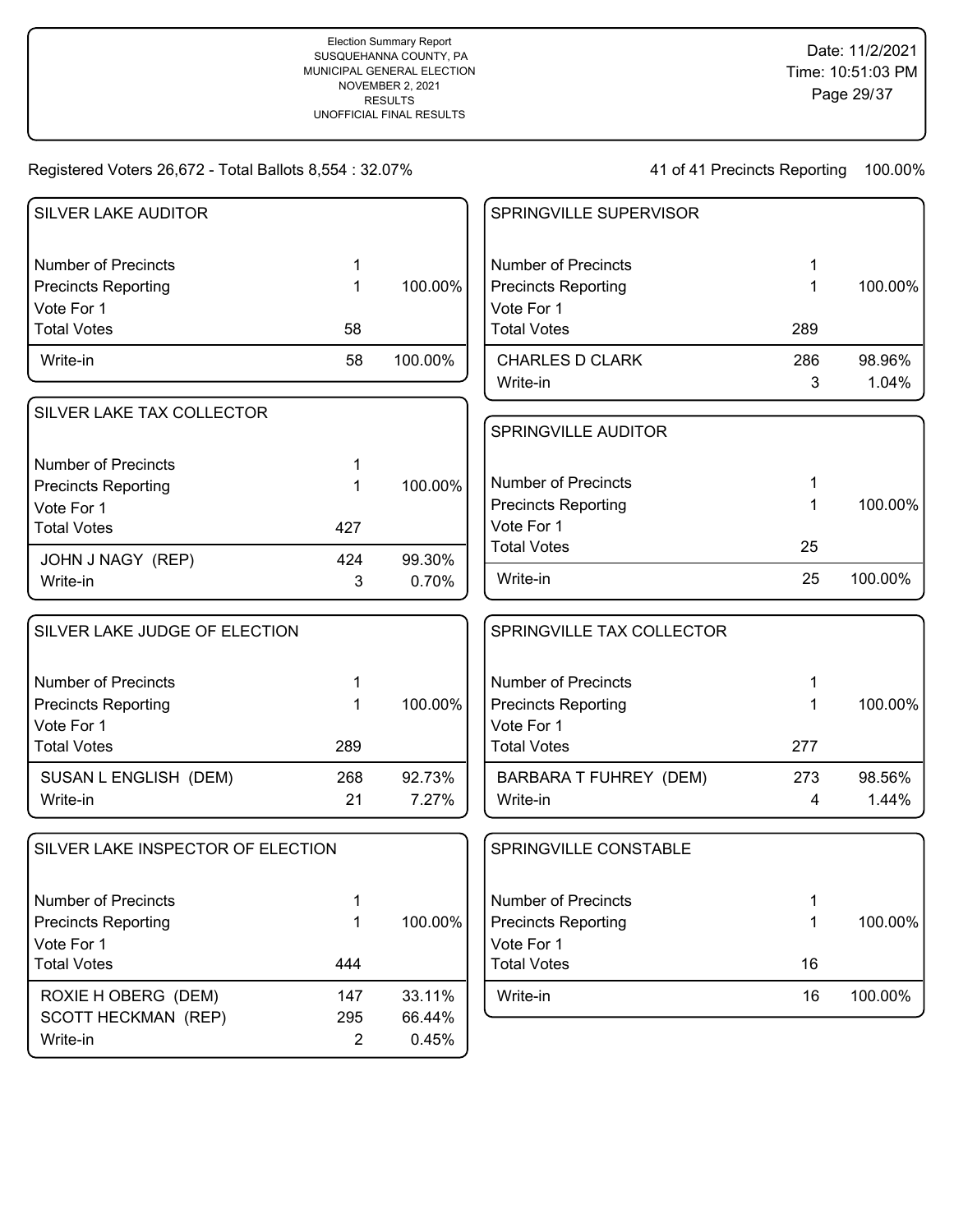| <b>SILVER LAKE AUDITOR</b>        |                |         | SPRINGVILLE SUPERVISOR        |     |         |
|-----------------------------------|----------------|---------|-------------------------------|-----|---------|
| <b>Number of Precincts</b>        | 1              |         | <b>Number of Precincts</b>    |     |         |
| <b>Precincts Reporting</b>        | 1              | 100.00% | <b>Precincts Reporting</b>    | 1   | 100.00% |
| Vote For 1                        |                |         | Vote For 1                    |     |         |
| <b>Total Votes</b>                | 58             |         | <b>Total Votes</b>            | 289 |         |
| Write-in                          | 58             | 100.00% | <b>CHARLES D CLARK</b>        | 286 | 98.96%  |
|                                   |                |         | Write-in                      | 3   | 1.04%   |
| SILVER LAKE TAX COLLECTOR         |                |         |                               |     |         |
|                                   |                |         | <b>SPRINGVILLE AUDITOR</b>    |     |         |
| <b>Number of Precincts</b>        |                |         |                               |     |         |
| <b>Precincts Reporting</b>        | 1              | 100.00% | <b>Number of Precincts</b>    |     |         |
| Vote For 1                        |                |         | <b>Precincts Reporting</b>    |     | 100.00% |
| <b>Total Votes</b>                | 427            |         | Vote For 1                    |     |         |
| JOHN J NAGY (REP)                 | 424            | 99.30%  | <b>Total Votes</b>            | 25  |         |
| Write-in                          | 3              | 0.70%   | Write-in                      | 25  | 100.00% |
|                                   |                |         |                               |     |         |
| SILVER LAKE JUDGE OF ELECTION     |                |         | SPRINGVILLE TAX COLLECTOR     |     |         |
| <b>Number of Precincts</b>        | 1              |         | <b>Number of Precincts</b>    |     |         |
| <b>Precincts Reporting</b>        | 1              | 100.00% | <b>Precincts Reporting</b>    |     | 100.00% |
| Vote For 1                        |                |         | Vote For 1                    |     |         |
| <b>Total Votes</b>                | 289            |         | <b>Total Votes</b>            | 277 |         |
| SUSAN L ENGLISH (DEM)             | 268            | 92.73%  | <b>BARBARA T FUHREY (DEM)</b> | 273 | 98.56%  |
| Write-in                          | 21             | 7.27%   | Write-in                      | 4   | 1.44%   |
| SILVER LAKE INSPECTOR OF ELECTION |                |         | SPRINGVILLE CONSTABLE         |     |         |
|                                   |                |         |                               |     |         |
| <b>Number of Precincts</b>        | 1              |         | <b>Number of Precincts</b>    | 1   |         |
| <b>Precincts Reporting</b>        | 1              | 100.00% | <b>Precincts Reporting</b>    |     | 100.00% |
| Vote For 1                        |                |         | Vote For 1                    |     |         |
| <b>Total Votes</b>                | 444            |         | <b>Total Votes</b>            | 16  |         |
| ROXIE H OBERG (DEM)               | 147            | 33.11%  | Write-in                      | 16  | 100.00% |
| SCOTT HECKMAN (REP)               | 295            | 66.44%  |                               |     |         |
| Write-in                          | $\overline{2}$ | 0.45%   |                               |     |         |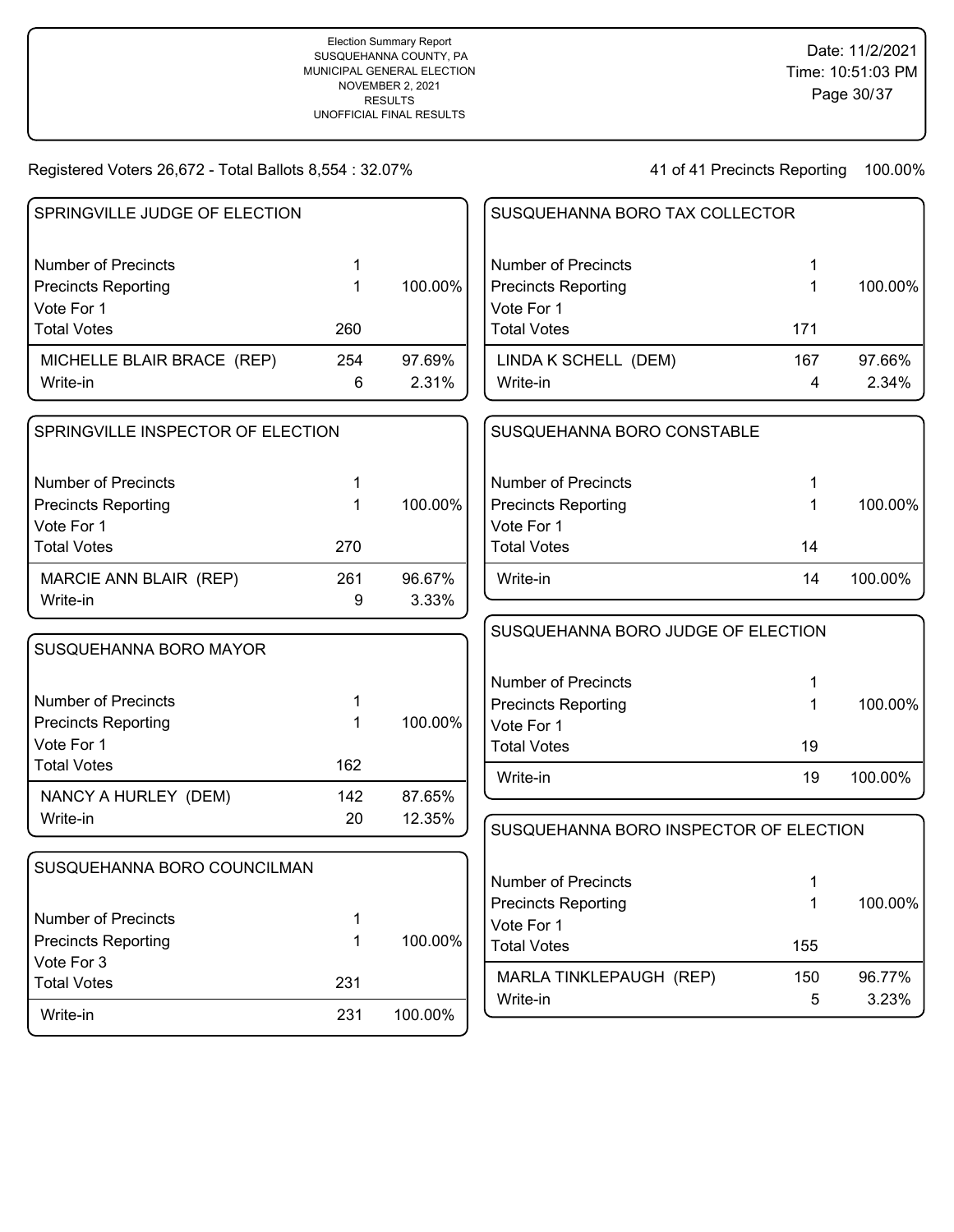| SPRINGVILLE JUDGE OF ELECTION     |     |         | SUSQUEHANNA BORO TAX COLLECTOR         |             |                 |
|-----------------------------------|-----|---------|----------------------------------------|-------------|-----------------|
|                                   |     |         |                                        |             |                 |
| <b>Number of Precincts</b>        | 1   |         | <b>Number of Precincts</b>             | 1           |                 |
| <b>Precincts Reporting</b>        | 1   | 100.00% | <b>Precincts Reporting</b>             | 1           | 100.00%         |
| Vote For 1                        |     |         | Vote For 1                             |             |                 |
| <b>Total Votes</b>                | 260 |         | <b>Total Votes</b>                     | 171         |                 |
| MICHELLE BLAIR BRACE (REP)        | 254 | 97.69%  | LINDA K SCHELL (DEM)                   | 167         | 97.66%          |
| Write-in                          | 6   | 2.31%   | Write-in                               | 4           | 2.34%           |
| SPRINGVILLE INSPECTOR OF ELECTION |     |         | SUSQUEHANNA BORO CONSTABLE             |             |                 |
| <b>Number of Precincts</b>        |     |         | <b>Number of Precincts</b>             |             |                 |
| <b>Precincts Reporting</b>        |     | 100.00% | <b>Precincts Reporting</b>             | 1           | 100.00%         |
| Vote For 1                        |     |         | Vote For 1                             |             |                 |
| <b>Total Votes</b>                | 270 |         | <b>Total Votes</b>                     | 14          |                 |
| MARCIE ANN BLAIR (REP)            | 261 | 96.67%  | Write-in                               | 14          | 100.00%         |
| Write-in                          | 9   | 3.33%   |                                        |             |                 |
|                                   |     |         | SUSQUEHANNA BORO JUDGE OF ELECTION     |             |                 |
| SUSQUEHANNA BORO MAYOR            |     |         |                                        |             |                 |
|                                   |     |         | <b>Number of Precincts</b>             | 1           |                 |
| <b>Number of Precincts</b>        | 1   |         | <b>Precincts Reporting</b>             | 1           | 100.00%         |
| <b>Precincts Reporting</b>        | 1   | 100.00% | Vote For 1                             |             |                 |
| Vote For 1                        |     |         | <b>Total Votes</b>                     | 19          |                 |
| <b>Total Votes</b>                | 162 |         | Write-in                               | 19          | 100.00%         |
| NANCY A HURLEY (DEM)              | 142 | 87.65%  |                                        |             |                 |
| Write-in                          | 20  | 12.35%  | SUSQUEHANNA BORO INSPECTOR OF ELECTION |             |                 |
|                                   |     |         |                                        |             |                 |
| SUSQUEHANNA BORO COUNCILMAN       |     |         | <b>Number of Precincts</b>             | 1           |                 |
|                                   |     |         | <b>Precincts Reporting</b>             | $\mathbf 1$ | 100.00%         |
| <b>Number of Precincts</b>        | 1   |         | Vote For 1                             |             |                 |
| <b>Precincts Reporting</b>        | 1   | 100.00% | <b>Total Votes</b>                     | 155         |                 |
| Vote For 3                        |     |         |                                        |             |                 |
| <b>Total Votes</b>                | 231 |         | MARLA TINKLEPAUGH (REP)<br>Write-in    | 150<br>5    | 96.77%<br>3.23% |
| Write-in                          | 231 | 100.00% |                                        |             |                 |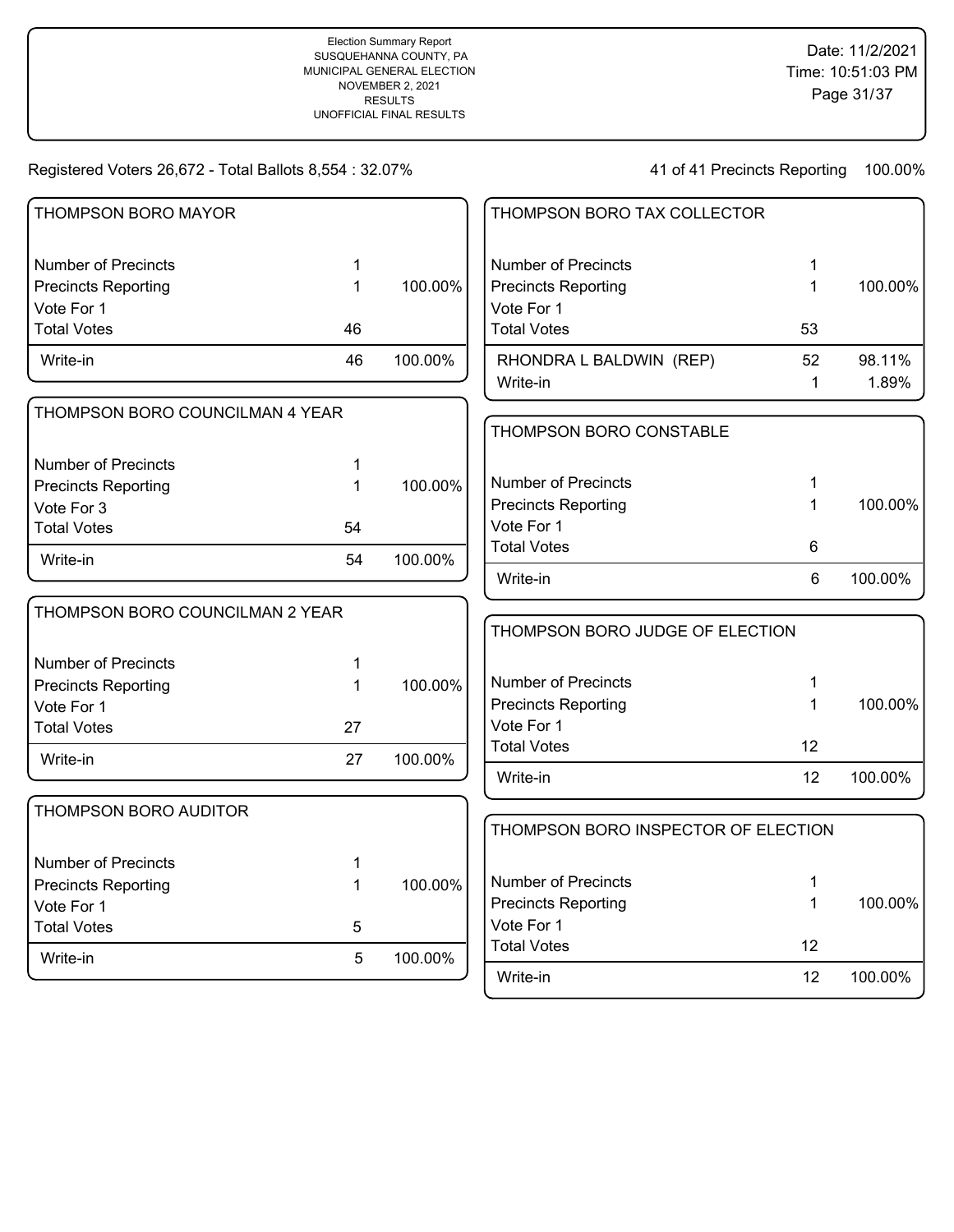| THOMPSON BORO MAYOR             |    |         | THOMPSON BORO TAX COLLECTOR         |              |         |
|---------------------------------|----|---------|-------------------------------------|--------------|---------|
| <b>Number of Precincts</b>      | 1  |         | <b>Number of Precincts</b>          | 1            |         |
| <b>Precincts Reporting</b>      | 1  | 100.00% | <b>Precincts Reporting</b>          | $\mathbf{1}$ | 100.00% |
| Vote For 1                      |    |         | Vote For 1                          |              |         |
| <b>Total Votes</b>              | 46 |         | <b>Total Votes</b>                  | 53           |         |
| Write-in                        | 46 | 100.00% | RHONDRA L BALDWIN (REP)             | 52           | 98.11%  |
|                                 |    |         | Write-in                            | $\mathbf 1$  | 1.89%   |
| THOMPSON BORO COUNCILMAN 4 YEAR |    |         |                                     |              |         |
|                                 |    |         | THOMPSON BORO CONSTABLE             |              |         |
| <b>Number of Precincts</b>      | 1  |         |                                     |              |         |
| <b>Precincts Reporting</b>      | 1  | 100.00% | <b>Number of Precincts</b>          | 1            |         |
| Vote For 3                      |    |         | <b>Precincts Reporting</b>          | 1            | 100.00% |
| <b>Total Votes</b>              | 54 |         | Vote For 1                          |              |         |
| Write-in                        | 54 | 100.00% | <b>Total Votes</b>                  | 6            |         |
|                                 |    |         | Write-in                            | 6            | 100.00% |
| THOMPSON BORO COUNCILMAN 2 YEAR |    |         |                                     |              |         |
|                                 |    |         | THOMPSON BORO JUDGE OF ELECTION     |              |         |
| <b>Number of Precincts</b>      | 1  |         |                                     |              |         |
| <b>Precincts Reporting</b>      | 1  | 100.00% | <b>Number of Precincts</b>          | 1            |         |
| Vote For 1                      |    |         | <b>Precincts Reporting</b>          | $\mathbf{1}$ | 100.00% |
| <b>Total Votes</b>              | 27 |         | Vote For 1                          |              |         |
| Write-in                        | 27 | 100.00% | <b>Total Votes</b>                  | 12           |         |
|                                 |    |         | Write-in                            | 12           | 100.00% |
| THOMPSON BORO AUDITOR           |    |         |                                     |              |         |
|                                 |    |         | THOMPSON BORO INSPECTOR OF ELECTION |              |         |
| <b>Number of Precincts</b>      | 1  |         |                                     |              |         |
| <b>Precincts Reporting</b>      | 1  | 100.00% | <b>Number of Precincts</b>          | 1            |         |
| Vote For 1                      |    |         | <b>Precincts Reporting</b>          | $\mathbf{1}$ | 100.00% |
| <b>Total Votes</b>              | 5  |         | Vote For 1                          |              |         |
| Write-in                        | 5  | 100.00% | <b>Total Votes</b>                  | 12           |         |
|                                 |    |         | Write-in                            | 12           | 100.00% |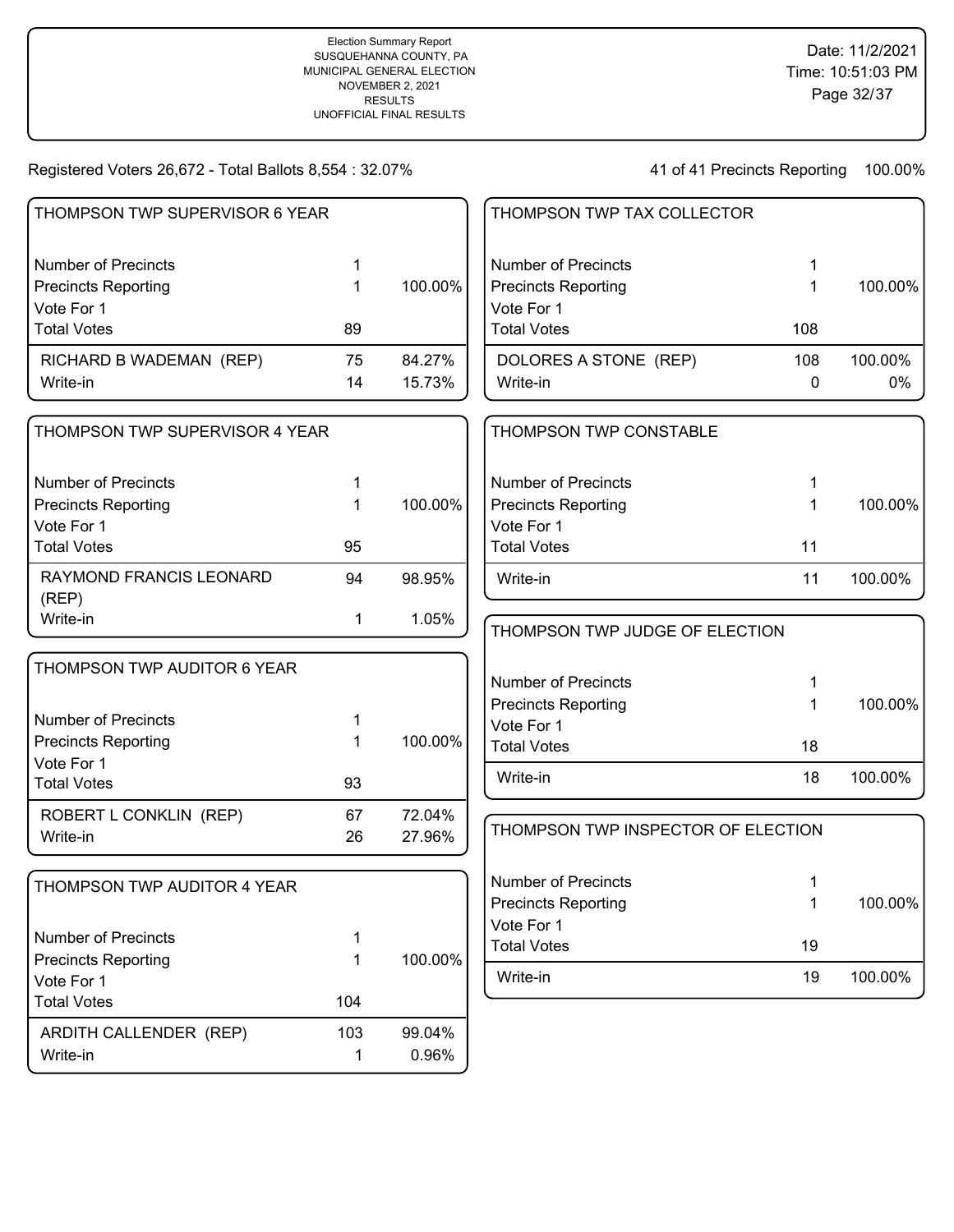| THOMPSON TWP SUPERVISOR 6 YEAR   |             |         | THOMPSON TWP TAX COLLECTOR         |             |         |
|----------------------------------|-------------|---------|------------------------------------|-------------|---------|
| <b>Number of Precincts</b>       | 1           |         | <b>Number of Precincts</b>         | 1           |         |
| <b>Precincts Reporting</b>       | 1           | 100.00% | <b>Precincts Reporting</b>         | 1           | 100.00% |
| Vote For 1                       |             |         | Vote For 1                         |             |         |
| <b>Total Votes</b>               | 89          |         | <b>Total Votes</b>                 | 108         |         |
| RICHARD B WADEMAN (REP)          | 75          | 84.27%  | DOLORES A STONE (REP)              | 108         | 100.00% |
| Write-in                         | 14          | 15.73%  | Write-in                           | 0           | $0\%$   |
| THOMPSON TWP SUPERVISOR 4 YEAR   |             |         | THOMPSON TWP CONSTABLE             |             |         |
| <b>Number of Precincts</b>       | 1           |         | <b>Number of Precincts</b>         |             |         |
| <b>Precincts Reporting</b>       |             | 100.00% | <b>Precincts Reporting</b>         |             | 100.00% |
| Vote For 1                       |             |         | Vote For 1                         |             |         |
| <b>Total Votes</b>               | 95          |         | <b>Total Votes</b>                 | 11          |         |
| RAYMOND FRANCIS LEONARD<br>(REP) | 94          | 98.95%  | Write-in                           | 11          | 100.00% |
| Write-in                         | 1           | 1.05%   | THOMPSON TWP JUDGE OF ELECTION     |             |         |
| THOMPSON TWP AUDITOR 6 YEAR      |             |         |                                    |             |         |
|                                  |             |         | <b>Number of Precincts</b>         |             |         |
| <b>Number of Precincts</b>       | 1           |         | <b>Precincts Reporting</b>         | 1           | 100.00% |
| <b>Precincts Reporting</b>       | 1           | 100.00% | Vote For 1                         |             |         |
| Vote For 1                       |             |         | <b>Total Votes</b>                 | 18          |         |
| <b>Total Votes</b>               | 93          |         | Write-in                           | 18          | 100.00% |
| ROBERT L CONKLIN (REP)           | 67          | 72.04%  |                                    |             |         |
| Write-in                         | 26          | 27.96%  | THOMPSON TWP INSPECTOR OF ELECTION |             |         |
| THOMPSON TWP AUDITOR 4 YEAR      |             |         | <b>Number of Precincts</b>         | 1           |         |
|                                  |             |         | <b>Precincts Reporting</b>         | $\mathbf 1$ | 100.00% |
|                                  |             |         | Vote For 1                         |             |         |
| <b>Number of Precincts</b>       | 1           |         | <b>Total Votes</b>                 | 19          |         |
| <b>Precincts Reporting</b>       | 1           | 100.00% |                                    |             |         |
| Vote For 1                       |             |         | Write-in                           | 19          | 100.00% |
| <b>Total Votes</b>               | 104         |         |                                    |             |         |
| ARDITH CALLENDER (REP)           | 103         | 99.04%  |                                    |             |         |
| Write-in                         | $\mathbf 1$ | 0.96%   |                                    |             |         |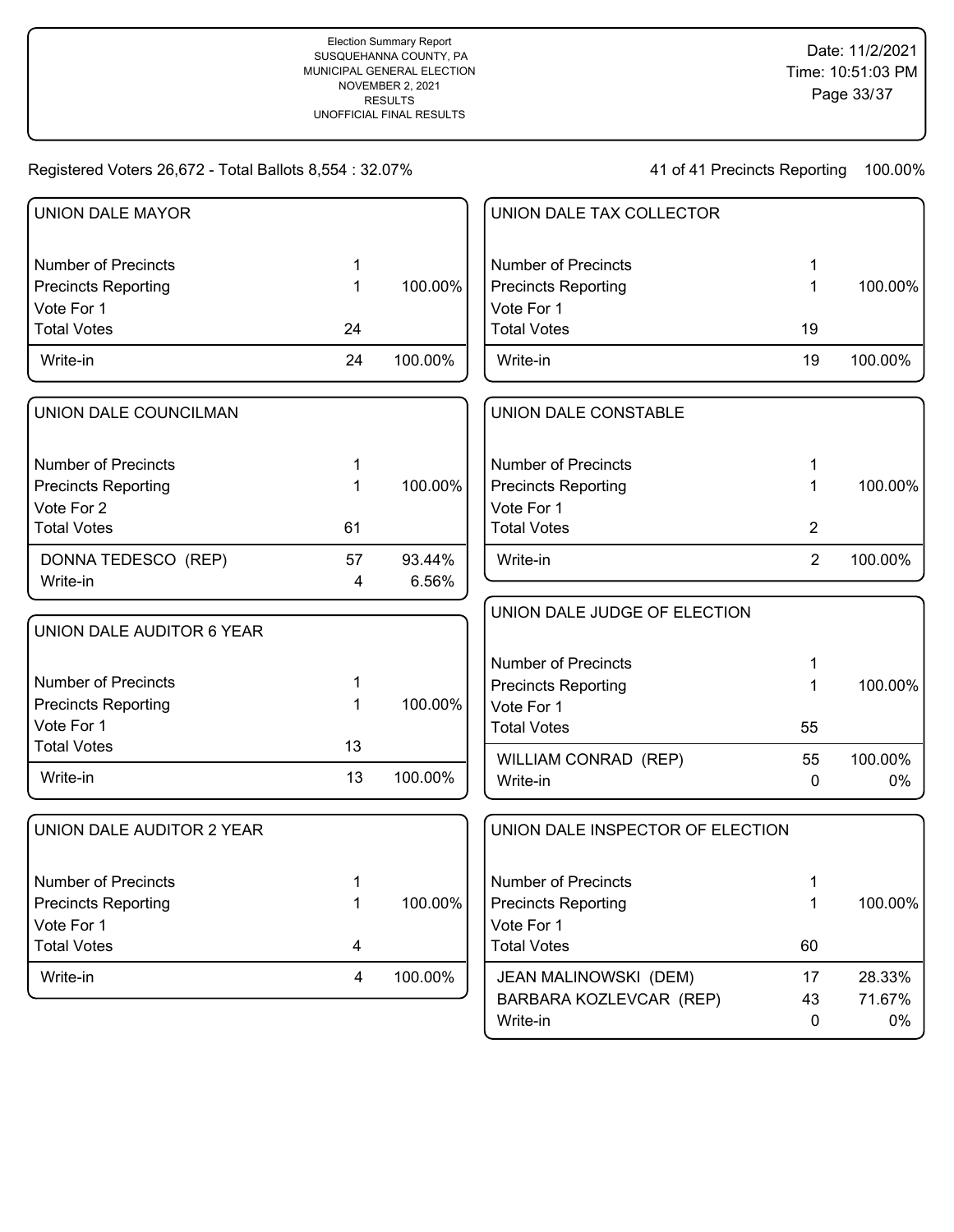41 of 41 Precincts Reporting 100.00%

Write-in 0 0%

| <b>UNION DALE MAYOR</b>    |             |         | UNION DALE TAX COLLECTOR         |                |         |
|----------------------------|-------------|---------|----------------------------------|----------------|---------|
| <b>Number of Precincts</b> | 1           |         | <b>Number of Precincts</b>       | 1              |         |
| <b>Precincts Reporting</b> | 1           | 100.00% | <b>Precincts Reporting</b>       | 1              | 100.00% |
| Vote For 1                 |             |         | Vote For 1                       |                |         |
| <b>Total Votes</b>         | 24          |         | <b>Total Votes</b>               | 19             |         |
| Write-in                   | 24          | 100.00% | Write-in                         | 19             | 100.00% |
| UNION DALE COUNCILMAN      |             |         | UNION DALE CONSTABLE             |                |         |
| <b>Number of Precincts</b> | 1           |         | <b>Number of Precincts</b>       | 1              |         |
| <b>Precincts Reporting</b> | $\mathbf 1$ | 100.00% | <b>Precincts Reporting</b>       | 1              | 100.00% |
| Vote For 2                 |             |         | Vote For 1                       |                |         |
| <b>Total Votes</b>         | 61          |         | <b>Total Votes</b>               | $\overline{2}$ |         |
| DONNA TEDESCO (REP)        | 57          | 93.44%  | Write-in                         | $\overline{2}$ | 100.00% |
| Write-in                   | 4           | 6.56%   |                                  |                |         |
|                            |             |         | UNION DALE JUDGE OF ELECTION     |                |         |
| UNION DALE AUDITOR 6 YEAR  |             |         |                                  |                |         |
|                            |             |         | <b>Number of Precincts</b>       | 1              |         |
| <b>Number of Precincts</b> | 1           |         | <b>Precincts Reporting</b>       | 1              | 100.00% |
| <b>Precincts Reporting</b> | 1           | 100.00% | Vote For 1                       |                |         |
| Vote For 1                 |             |         | <b>Total Votes</b>               | 55             |         |
| <b>Total Votes</b>         | 13          |         | WILLIAM CONRAD (REP)             | 55             | 100.00% |
| Write-in                   | 13          | 100.00% | Write-in                         | $\mathbf 0$    | 0%      |
| UNION DALE AUDITOR 2 YEAR  |             |         | UNION DALE INSPECTOR OF ELECTION |                |         |
| <b>Number of Precincts</b> | 1           |         | <b>Number of Precincts</b>       | 1              |         |
| <b>Precincts Reporting</b> | 1           | 100.00% | <b>Precincts Reporting</b>       | 1              | 100.00% |
| Vote For 1                 |             |         | Vote For 1                       |                |         |
| <b>Total Votes</b>         | 4           |         | <b>Total Votes</b>               | 60             |         |
| Write-in                   | 4           | 100.00% | JEAN MALINOWSKI (DEM)            | 17             | 28.33%  |
|                            |             |         | BARBARA KOZLEVCAR (REP)          | 43             | 71.67%  |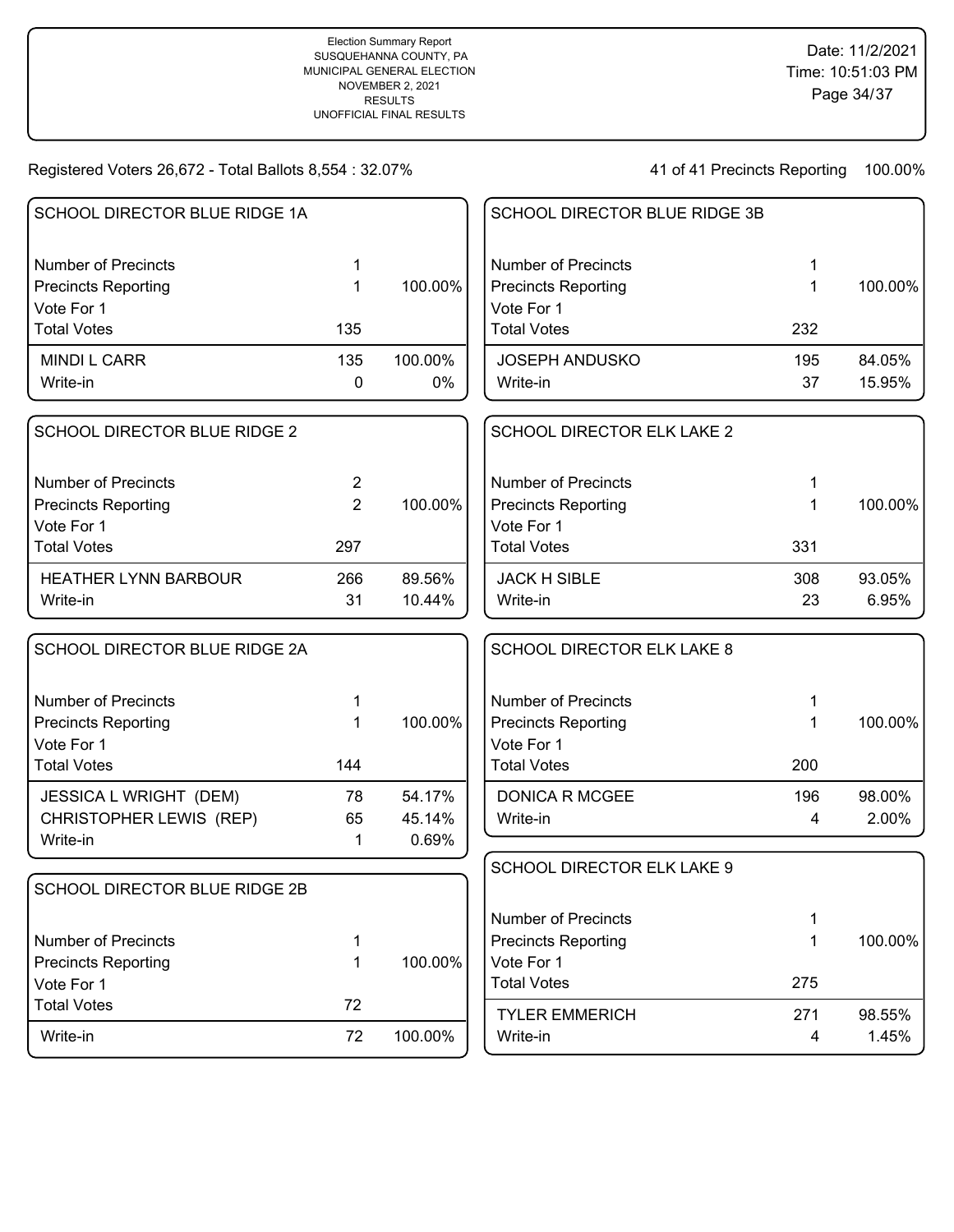| SCHOOL DIRECTOR BLUE RIDGE 1A |                |         | SCHOOL DIRECTOR BLUE RIDGE 3B     |     |         |
|-------------------------------|----------------|---------|-----------------------------------|-----|---------|
| <b>Number of Precincts</b>    | 1              |         | <b>Number of Precincts</b>        | 1   |         |
| <b>Precincts Reporting</b>    | 1              | 100.00% | <b>Precincts Reporting</b>        | 1   | 100.00% |
| Vote For 1                    |                |         | Vote For 1                        |     |         |
| <b>Total Votes</b>            | 135            |         | <b>Total Votes</b>                | 232 |         |
| <b>MINDI L CARR</b>           | 135            | 100.00% | <b>JOSEPH ANDUSKO</b>             | 195 | 84.05%  |
| Write-in                      | 0              | $0\%$   | Write-in                          | 37  | 15.95%  |
| SCHOOL DIRECTOR BLUE RIDGE 2  |                |         | SCHOOL DIRECTOR ELK LAKE 2        |     |         |
| <b>Number of Precincts</b>    | $\overline{2}$ |         | <b>Number of Precincts</b>        | 1   |         |
| <b>Precincts Reporting</b>    | $\overline{2}$ | 100.00% | <b>Precincts Reporting</b>        | 1   | 100.00% |
| Vote For 1                    |                |         | Vote For 1                        |     |         |
| <b>Total Votes</b>            | 297            |         | <b>Total Votes</b>                | 331 |         |
| <b>HEATHER LYNN BARBOUR</b>   | 266            | 89.56%  | <b>JACK H SIBLE</b>               | 308 | 93.05%  |
| Write-in                      | 31             | 10.44%  | Write-in                          | 23  | 6.95%   |
| SCHOOL DIRECTOR BLUE RIDGE 2A |                |         | <b>SCHOOL DIRECTOR ELK LAKE 8</b> |     |         |
| <b>Number of Precincts</b>    | 1              |         | <b>Number of Precincts</b>        | 1   |         |
| <b>Precincts Reporting</b>    | 1              | 100.00% | <b>Precincts Reporting</b>        | 1   | 100.00% |
| Vote For 1                    |                |         | Vote For 1                        |     |         |
| <b>Total Votes</b>            | 144            |         | <b>Total Votes</b>                | 200 |         |
| JESSICA L WRIGHT (DEM)        | 78             | 54.17%  | <b>DONICA R MCGEE</b>             | 196 | 98.00%  |
| CHRISTOPHER LEWIS (REP)       | 65             | 45.14%  | Write-in                          | 4   | 2.00%   |
| Write-in                      | $\mathbf 1$    | 0.69%   |                                   |     |         |
|                               |                |         | SCHOOL DIRECTOR ELK LAKE 9        |     |         |
| SCHOOL DIRECTOR BLUE RIDGE 2B |                |         |                                   |     |         |
|                               |                |         | <b>Number of Precincts</b>        | 1   |         |
| <b>Number of Precincts</b>    | 1              |         | <b>Precincts Reporting</b>        | 1   | 100.00% |
| <b>Precincts Reporting</b>    | 1              | 100.00% | Vote For 1                        |     |         |
| Vote For 1                    |                |         | <b>Total Votes</b>                | 275 |         |
| <b>Total Votes</b>            | 72             |         | <b>TYLER EMMERICH</b>             | 271 | 98.55%  |
| Write-in                      | 72             | 100.00% | Write-in                          | 4   | 1.45%   |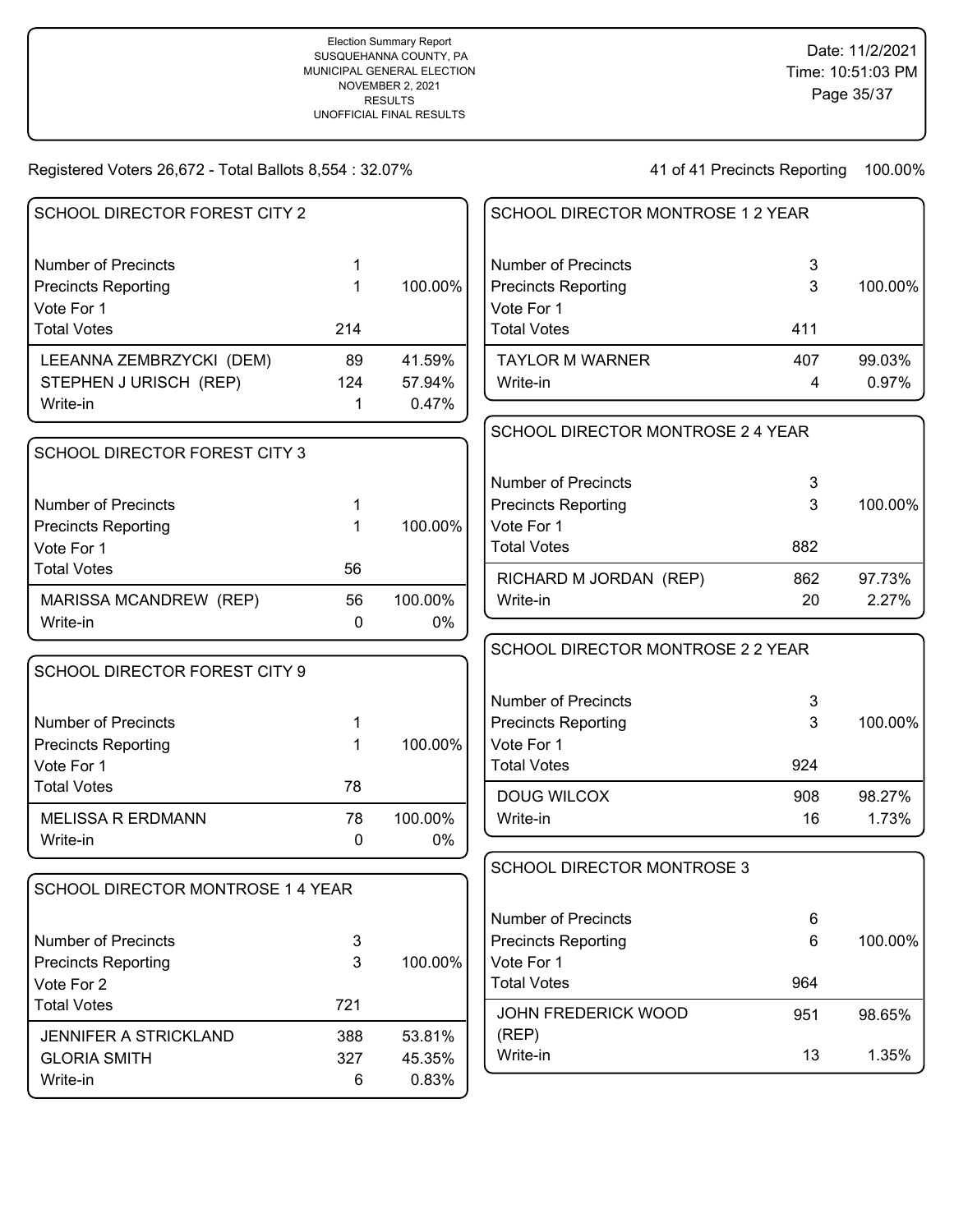| SCHOOL DIRECTOR FOREST CITY 2                       |              |                  | SCHOOL DIRECTOR MONTROSE 1 2 YEAR        |        |         |
|-----------------------------------------------------|--------------|------------------|------------------------------------------|--------|---------|
| <b>Number of Precincts</b>                          | 1            |                  | <b>Number of Precincts</b>               | 3      |         |
| <b>Precincts Reporting</b>                          | 1            | 100.00%          | <b>Precincts Reporting</b>               | 3      | 100.00% |
| Vote For 1                                          |              |                  | Vote For 1                               |        |         |
| <b>Total Votes</b>                                  | 214          |                  | <b>Total Votes</b>                       | 411    |         |
| LEEANNA ZEMBRZYCKI (DEM)                            | 89           | 41.59%           | <b>TAYLOR M WARNER</b>                   | 407    | 99.03%  |
| STEPHEN J URISCH (REP)                              | 124          | 57.94%           | Write-in                                 | 4      | 0.97%   |
| Write-in                                            | 1            | 0.47%            |                                          |        |         |
|                                                     |              |                  | SCHOOL DIRECTOR MONTROSE 2 4 YEAR        |        |         |
| SCHOOL DIRECTOR FOREST CITY 3                       |              |                  |                                          |        |         |
|                                                     |              |                  | <b>Number of Precincts</b>               | 3      |         |
| <b>Number of Precincts</b>                          | 1            |                  | <b>Precincts Reporting</b>               | 3      | 100.00% |
| <b>Precincts Reporting</b>                          |              | 100.00%          | Vote For 1                               |        |         |
| Vote For 1                                          |              |                  | <b>Total Votes</b>                       | 882    |         |
| <b>Total Votes</b>                                  | 56           |                  | RICHARD M JORDAN (REP)                   | 862    | 97.73%  |
| MARISSA MCANDREW (REP)                              | 56           | 100.00%          | Write-in                                 | 20     | 2.27%   |
| Write-in                                            | $\mathbf{0}$ | $0\%$            |                                          |        |         |
|                                                     |              |                  | SCHOOL DIRECTOR MONTROSE 2 2 YEAR        |        |         |
| SCHOOL DIRECTOR FOREST CITY 9                       |              |                  |                                          |        |         |
|                                                     |              |                  | <b>Number of Precincts</b>               | 3      |         |
| <b>Number of Precincts</b>                          | 1            |                  | <b>Precincts Reporting</b>               | 3      | 100.00% |
| <b>Precincts Reporting</b>                          | 1            | 100.00%          | Vote For 1                               |        |         |
| Vote For 1                                          |              |                  | <b>Total Votes</b>                       | 924    |         |
| <b>Total Votes</b>                                  | 78           |                  | <b>DOUG WILCOX</b>                       | 908    | 98.27%  |
| <b>MELISSA R ERDMANN</b>                            | 78           |                  |                                          |        |         |
|                                                     |              | 100.00%          | Write-in                                 | 16     | 1.73%   |
| Write-in                                            | 0            | $0\%$            |                                          |        |         |
|                                                     |              |                  |                                          |        |         |
| SCHOOL DIRECTOR MONTROSE 1 4 YEAR                   |              |                  | <b>SCHOOL DIRECTOR MONTROSE 3</b>        |        |         |
|                                                     |              |                  |                                          |        |         |
| <b>Number of Precincts</b>                          |              |                  | <b>Number of Precincts</b>               | 6<br>6 | 100.00% |
| <b>Precincts Reporting</b>                          | 3<br>3       | 100.00%          | <b>Precincts Reporting</b><br>Vote For 1 |        |         |
| Vote For 2                                          |              |                  | <b>Total Votes</b>                       | 964    |         |
| <b>Total Votes</b>                                  | 721          |                  |                                          |        |         |
|                                                     |              |                  | <b>JOHN FREDERICK WOOD</b>               | 951    | 98.65%  |
| <b>JENNIFER A STRICKLAND</b><br><b>GLORIA SMITH</b> | 388<br>327   | 53.81%<br>45.35% | (REP)<br>Write-in                        | 13     | 1.35%   |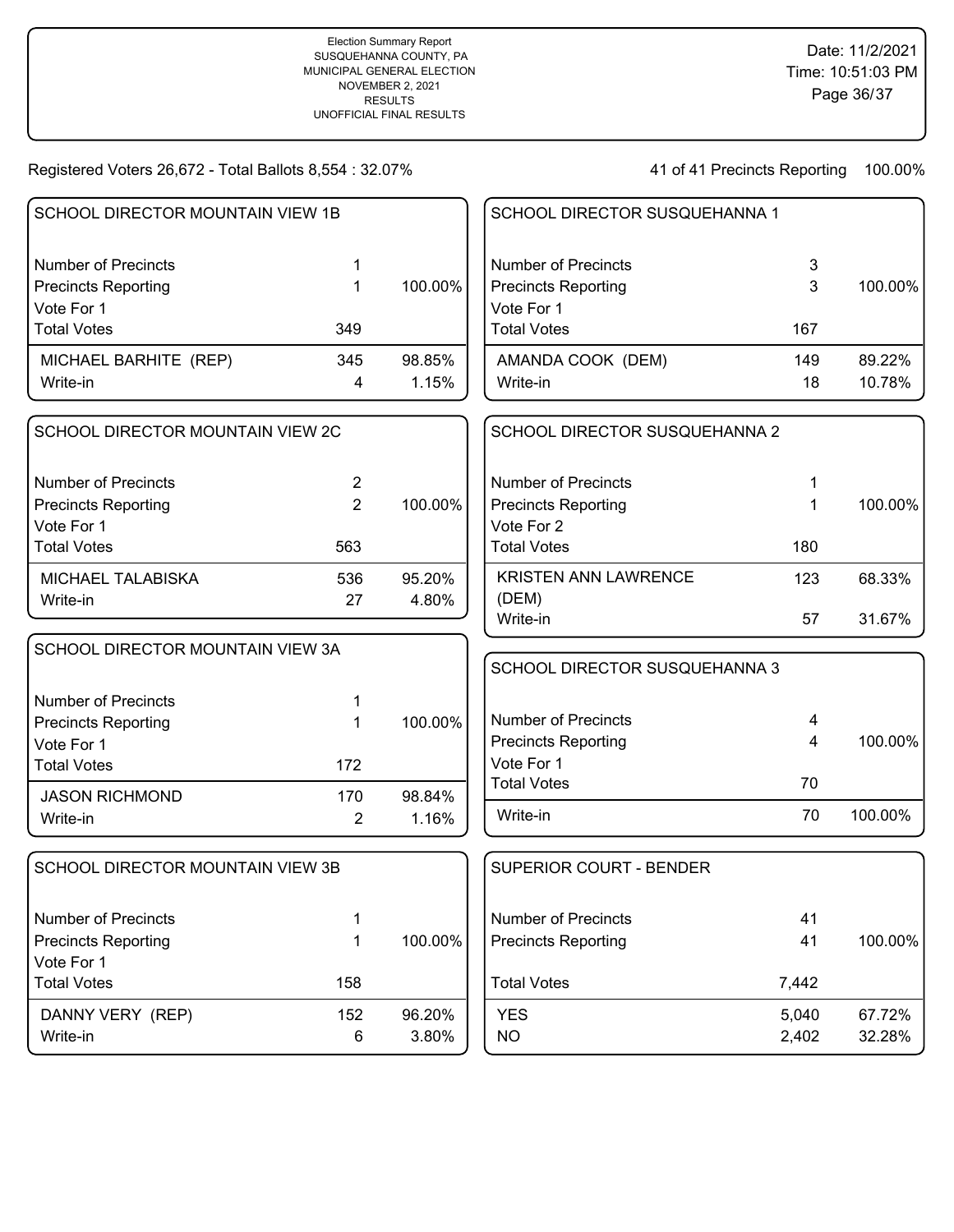| SCHOOL DIRECTOR MOUNTAIN VIEW 1B        |                |         | SCHOOL DIRECTOR SUSQUEHANNA 1 |       |         |
|-----------------------------------------|----------------|---------|-------------------------------|-------|---------|
| <b>Number of Precincts</b>              | 1              |         | <b>Number of Precincts</b>    | 3     |         |
| <b>Precincts Reporting</b>              | 1              | 100.00% | <b>Precincts Reporting</b>    | 3     | 100.00% |
| Vote For 1                              |                |         | Vote For 1                    |       |         |
| <b>Total Votes</b>                      | 349            |         | <b>Total Votes</b>            | 167   |         |
| MICHAEL BARHITE (REP)                   | 345            | 98.85%  | AMANDA COOK (DEM)             | 149   | 89.22%  |
| Write-in                                | 4              | 1.15%   | Write-in                      | 18    | 10.78%  |
| SCHOOL DIRECTOR MOUNTAIN VIEW 2C        |                |         | SCHOOL DIRECTOR SUSQUEHANNA 2 |       |         |
| <b>Number of Precincts</b>              | $\overline{2}$ |         | <b>Number of Precincts</b>    | 1     |         |
| <b>Precincts Reporting</b>              | $\overline{2}$ | 100.00% | <b>Precincts Reporting</b>    | 1     | 100.00% |
| Vote For 1                              |                |         | Vote For 2                    |       |         |
| <b>Total Votes</b>                      | 563            |         | <b>Total Votes</b>            | 180   |         |
| MICHAEL TALABISKA                       | 536            | 95.20%  | <b>KRISTEN ANN LAWRENCE</b>   | 123   | 68.33%  |
| Write-in                                | 27             | 4.80%   | (DEM)                         |       |         |
|                                         |                |         | Write-in                      | 57    | 31.67%  |
| <b>SCHOOL DIRECTOR MOUNTAIN VIEW 3A</b> |                |         | SCHOOL DIRECTOR SUSQUEHANNA 3 |       |         |
| <b>Number of Precincts</b>              | 1              |         |                               |       |         |
| <b>Precincts Reporting</b>              | 1              | 100.00% | <b>Number of Precincts</b>    | 4     |         |
| Vote For 1                              |                |         | <b>Precincts Reporting</b>    | 4     | 100.00% |
| <b>Total Votes</b>                      | 172            |         | Vote For 1                    |       |         |
| <b>JASON RICHMOND</b>                   | 170            | 98.84%  | <b>Total Votes</b>            | 70    |         |
| Write-in                                | $\overline{2}$ | 1.16%   | Write-in                      | 70    | 100.00% |
| <b>SCHOOL DIRECTOR MOUNTAIN VIEW 3B</b> |                |         | SUPERIOR COURT - BENDER       |       |         |
| <b>Number of Precincts</b>              | 1              |         | <b>Number of Precincts</b>    | 41    |         |
| <b>Precincts Reporting</b>              | 1              | 100.00% | <b>Precincts Reporting</b>    | 41    | 100.00% |
| Vote For 1                              |                |         |                               |       |         |
| <b>Total Votes</b>                      | 158            |         | <b>Total Votes</b>            | 7,442 |         |
| DANNY VERY (REP)                        | 152            | 96.20%  | <b>YES</b>                    | 5,040 | 67.72%  |
| Write-in                                | $\,6$          | 3.80%   | <b>NO</b>                     | 2,402 | 32.28%  |